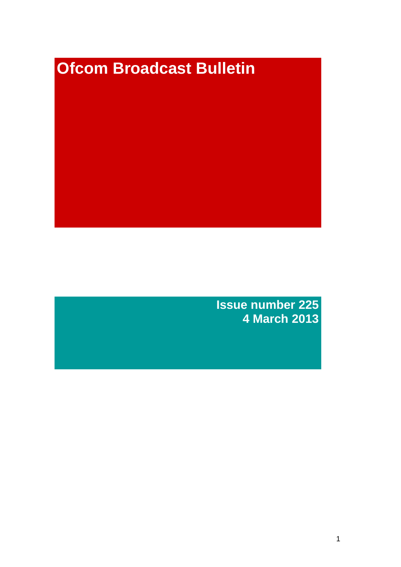# **Ofcom Broadcast Bulletin**

**Issue number 225 4 March 2013**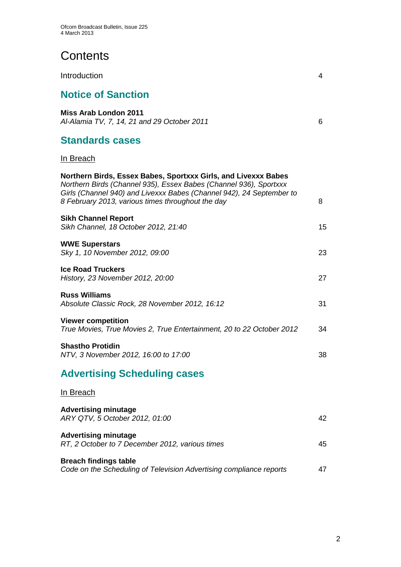# **Contents**

| Introduction                                                                                                                                                                                                                                                     | 4  |
|------------------------------------------------------------------------------------------------------------------------------------------------------------------------------------------------------------------------------------------------------------------|----|
| <b>Notice of Sanction</b>                                                                                                                                                                                                                                        |    |
| <b>Miss Arab London 2011</b><br>Al-Alamia TV, 7, 14, 21 and 29 October 2011                                                                                                                                                                                      | 6  |
| <b>Standards cases</b>                                                                                                                                                                                                                                           |    |
| In Breach                                                                                                                                                                                                                                                        |    |
| Northern Birds, Essex Babes, Sportxxx Girls, and Livexxx Babes<br>Northern Birds (Channel 935), Essex Babes (Channel 936), Sportxxx<br>Girls (Channel 940) and Livexxx Babes (Channel 942), 24 September to<br>8 February 2013, various times throughout the day | 8  |
| <b>Sikh Channel Report</b><br>Sikh Channel, 18 October 2012, 21:40                                                                                                                                                                                               | 15 |
| <b>WWE Superstars</b><br>Sky 1, 10 November 2012, 09:00                                                                                                                                                                                                          | 23 |
| <b>Ice Road Truckers</b><br>History, 23 November 2012, 20:00                                                                                                                                                                                                     | 27 |
| <b>Russ Williams</b><br>Absolute Classic Rock, 28 November 2012, 16:12                                                                                                                                                                                           | 31 |
| <b>Viewer competition</b><br>True Movies, True Movies 2, True Entertainment, 20 to 22 October 2012                                                                                                                                                               | 34 |
| <b>Shastho Protidin</b><br>NTV, 3 November 2012, 16:00 to 17:00                                                                                                                                                                                                  | 38 |
| <b>Advertising Scheduling cases</b>                                                                                                                                                                                                                              |    |
| In Breach                                                                                                                                                                                                                                                        |    |
| <b>Advertising minutage</b><br>ARY QTV, 5 October 2012, 01:00                                                                                                                                                                                                    | 42 |
| <b>Advertising minutage</b><br>RT, 2 October to 7 December 2012, various times                                                                                                                                                                                   | 45 |

**Breach findings table**

|  | Code on the Scheduling of Television Advertising compliance reports |  |
|--|---------------------------------------------------------------------|--|
|--|---------------------------------------------------------------------|--|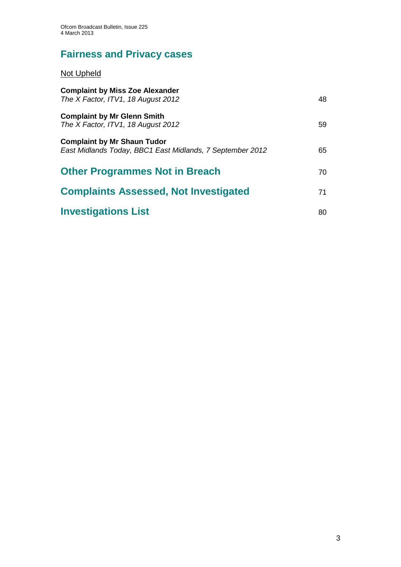# **Fairness and Privacy cases**

## Not Upheld

| <b>Complaint by Miss Zoe Alexander</b><br>The X Factor, ITV1, 18 August 2012                    | 48 |
|-------------------------------------------------------------------------------------------------|----|
| <b>Complaint by Mr Glenn Smith</b><br>The X Factor, ITV1, 18 August 2012                        | 59 |
| <b>Complaint by Mr Shaun Tudor</b><br>East Midlands Today, BBC1 East Midlands, 7 September 2012 | 65 |
| <b>Other Programmes Not in Breach</b>                                                           | 70 |
| <b>Complaints Assessed, Not Investigated</b>                                                    | 71 |
| <b>Investigations List</b>                                                                      | 80 |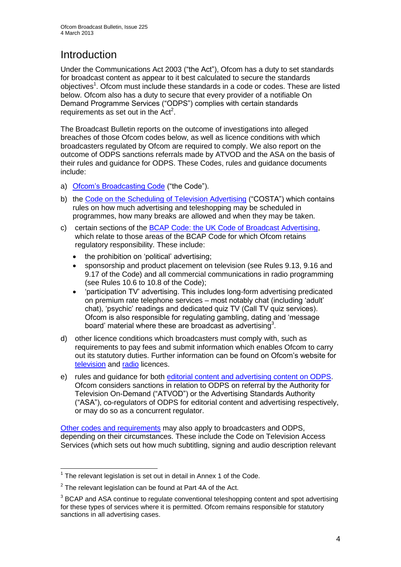# **Introduction**

Under the Communications Act 2003 ("the Act"), Ofcom has a duty to set standards for broadcast content as appear to it best calculated to secure the standards objectives<sup>1</sup>. Ofcom must include these standards in a code or codes. These are listed below. Ofcom also has a duty to secure that every provider of a notifiable On Demand Programme Services ("ODPS") complies with certain standards requirements as set out in the  $Act<sup>2</sup>$ .

The Broadcast Bulletin reports on the outcome of investigations into alleged breaches of those Ofcom codes below, as well as licence conditions with which broadcasters regulated by Ofcom are required to comply. We also report on the outcome of ODPS sanctions referrals made by ATVOD and the ASA on the basis of their rules and guidance for ODPS. These Codes, rules and guidance documents include:

- a) [Ofcom's Broadcasting Code](http://stakeholders.ofcom.org.uk/broadcasting/broadcast-codes/broadcast-code/) ("the Code").
- b) the [Code on the Scheduling of Television Advertising](http://stakeholders.ofcom.org.uk/broadcasting/broadcast-codes/advert-code/) ("COSTA") which contains rules on how much advertising and teleshopping may be scheduled in programmes, how many breaks are allowed and when they may be taken.
- c) certain sections of the [BCAP Code: the UK Code of Broadcast Advertising,](http://www.bcap.org.uk/Advertising-Codes/Broadcast-HTML.aspx) which relate to those areas of the BCAP Code for which Ofcom retains regulatory responsibility. These include:
	- the prohibition on 'political' advertising:
	- sponsorship and product placement on television (see Rules 9.13, 9.16 and 9.17 of the Code) and all commercial communications in radio programming (see Rules 10.6 to 10.8 of the Code);
	- 'participation TV' advertising. This includes long-form advertising predicated on premium rate telephone services – most notably chat (including 'adult' chat), 'psychic' readings and dedicated quiz TV (Call TV quiz services). Ofcom is also responsible for regulating gambling, dating and 'message board' material where these are broadcast as advertising<sup>3</sup>.
- d) other licence conditions which broadcasters must comply with, such as requirements to pay fees and submit information which enables Ofcom to carry out its statutory duties. Further information can be found on Ofcom's website for [television](http://licensing.ofcom.org.uk/tv-broadcast-licences/) and [radio](http://licensing.ofcom.org.uk/radio-broadcast-licensing/) licences.
- e) rules and guidance for both [editorial content and advertising content on ODPS.](http://www.atvod.co.uk/uploads/files/ATVOD_Rules_and_Guidance_Ed_2.0_May_2012.pdf) Ofcom considers sanctions in relation to ODPS on referral by the Authority for Television On-Demand ("ATVOD") or the Advertising Standards Authority ("ASA"), co-regulators of ODPS for editorial content and advertising respectively, or may do so as a concurrent regulator.

[Other codes and requirements](http://stakeholders.ofcom.org.uk/broadcasting/broadcast-codes/) may also apply to broadcasters and ODPS, depending on their circumstances. These include the Code on Television Access Services (which sets out how much subtitling, signing and audio description relevant

<sup>1</sup>  $1$  The relevant legislation is set out in detail in Annex 1 of the Code.

 $2$  The relevant legislation can be found at Part 4A of the Act.

 $3$  BCAP and ASA continue to regulate conventional teleshopping content and spot advertising for these types of services where it is permitted. Ofcom remains responsible for statutory sanctions in all advertising cases.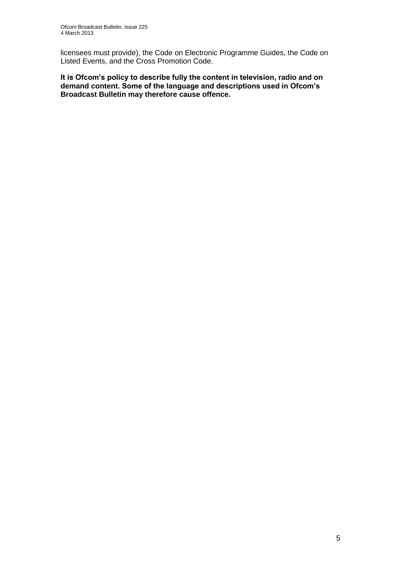licensees must provide), the Code on Electronic Programme Guides, the Code on Listed Events, and the Cross Promotion Code.

**It is Ofcom's policy to describe fully the content in television, radio and on demand content. Some of the language and descriptions used in Ofcom's Broadcast Bulletin may therefore cause offence.**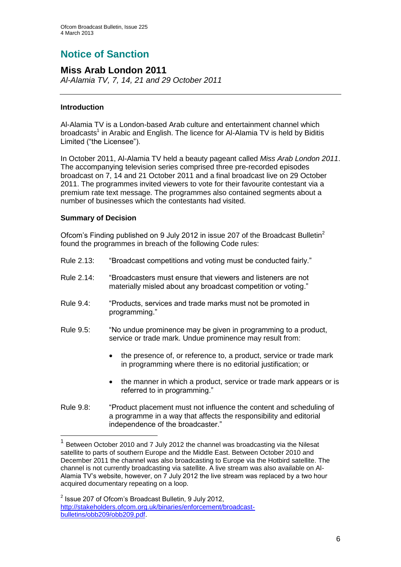# **Notice of Sanction**

#### **Miss Arab London 2011** *Al-Alamia TV, 7, 14, 21 and 29 October 2011*

#### **Introduction**

Al-Alamia TV is a London-based Arab culture and entertainment channel which broadcasts<sup>1</sup> in Arabic and English. The licence for Al-Alamia TV is held by Biditis Limited ("the Licensee").

In October 2011, Al-Alamia TV held a beauty pageant called *Miss Arab London 2011*. The accompanying television series comprised three pre-recorded episodes broadcast on 7, 14 and 21 October 2011 and a final broadcast live on 29 October 2011. The programmes invited viewers to vote for their favourite contestant via a premium rate text message. The programmes also contained segments about a number of businesses which the contestants had visited.

#### **Summary of Decision**

1

Ofcom's Finding published on 9 July 2012 in issue 207 of the Broadcast Bulletin<sup>2</sup> found the programmes in breach of the following Code rules:

- Rule 2.13: "Broadcast competitions and voting must be conducted fairly."
- Rule 2.14: "Broadcasters must ensure that viewers and listeners are not materially misled about any broadcast competition or voting."
- Rule 9.4: "Products, services and trade marks must not be promoted in programming."
- Rule 9.5: "No undue prominence may be given in programming to a product, service or trade mark. Undue prominence may result from:
	- the presence of, or reference to, a product, service or trade mark in programming where there is no editorial justification; or
	- the manner in which a product, service or trade mark appears or is referred to in programming."
- Rule 9.8: "Product placement must not influence the content and scheduling of a programme in a way that affects the responsibility and editorial independence of the broadcaster."

<sup>1</sup> Between October 2010 and 7 July 2012 the channel was broadcasting via the Nilesat satellite to parts of southern Europe and the Middle East. Between October 2010 and December 2011 the channel was also broadcasting to Europe via the Hotbird satellite. The channel is not currently broadcasting via satellite. A live stream was also available on Al-Alamia TV's website, however, on 7 July 2012 the live stream was replaced by a two hour acquired documentary repeating on a loop.

 $2$  Issue 207 of Ofcom's Broadcast Bulletin, 9 July 2012, [http://stakeholders.ofcom.org.uk/binaries/enforcement/broadcast](http://stakeholders.ofcom.org.uk/binaries/enforcement/broadcast-bulletins/obb209/obb209.pdf)[bulletins/obb209/obb209.pdf.](http://stakeholders.ofcom.org.uk/binaries/enforcement/broadcast-bulletins/obb209/obb209.pdf)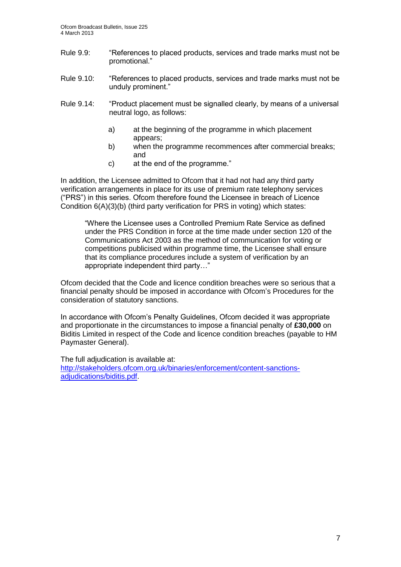- Rule 9.9: "References to placed products, services and trade marks must not be promotional."
- Rule 9.10: "References to placed products, services and trade marks must not be unduly prominent."
- Rule 9.14: "Product placement must be signalled clearly, by means of a universal neutral logo, as follows:
	- a) at the beginning of the programme in which placement appears;
	- b) when the programme recommences after commercial breaks; and
	- c) at the end of the programme."

In addition, the Licensee admitted to Ofcom that it had not had any third party verification arrangements in place for its use of premium rate telephony services ("PRS") in this series. Ofcom therefore found the Licensee in breach of Licence Condition 6(A)(3)(b) (third party verification for PRS in voting) which states:

"Where the Licensee uses a Controlled Premium Rate Service as defined under the PRS Condition in force at the time made under section 120 of the Communications Act 2003 as the method of communication for voting or competitions publicised within programme time, the Licensee shall ensure that its compliance procedures include a system of verification by an appropriate independent third party…"

Ofcom decided that the Code and licence condition breaches were so serious that a financial penalty should be imposed in accordance with Ofcom's Procedures for the consideration of statutory sanctions.

In accordance with Ofcom's Penalty Guidelines, Ofcom decided it was appropriate and proportionate in the circumstances to impose a financial penalty of **£30,000** on Biditis Limited in respect of the Code and licence condition breaches (payable to HM Paymaster General).

The full adjudication is available at: [http://stakeholders.ofcom.org.uk/binaries/enforcement/content-sanctions](http://stakeholders.ofcom.org.uk/binaries/enforcement/content-sanctions-adjudications/biditis.pdf)[adjudications/biditis.pdf.](http://stakeholders.ofcom.org.uk/binaries/enforcement/content-sanctions-adjudications/biditis.pdf)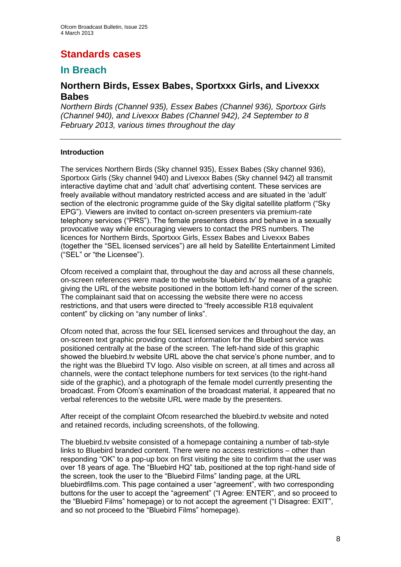# **Standards cases**

## **In Breach**

## **Northern Birds, Essex Babes, Sportxxx Girls, and Livexxx Babes**

*Northern Birds (Channel 935), Essex Babes (Channel 936), Sportxxx Girls (Channel 940), and Livexxx Babes (Channel 942), 24 September to 8 February 2013, various times throughout the day*

#### **Introduction**

The services Northern Birds (Sky channel 935), Essex Babes (Sky channel 936), Sportxxx Girls (Sky channel 940) and Livexxx Babes (Sky channel 942) all transmit interactive daytime chat and 'adult chat' advertising content. These services are freely available without mandatory restricted access and are situated in the 'adult' section of the electronic programme guide of the Sky digital satellite platform ("Sky EPG"). Viewers are invited to contact on-screen presenters via premium-rate telephony services ("PRS"). The female presenters dress and behave in a sexually provocative way while encouraging viewers to contact the PRS numbers. The licences for Northern Birds, Sportxxx Girls, Essex Babes and Livexxx Babes (together the "SEL licensed services") are all held by Satellite Entertainment Limited ("SEL" or "the Licensee").

Ofcom received a complaint that, throughout the day and across all these channels, on-screen references were made to the website 'bluebird.tv' by means of a graphic giving the URL of the website positioned in the bottom left-hand corner of the screen. The complainant said that on accessing the website there were no access restrictions, and that users were directed to "freely accessible R18 equivalent content" by clicking on "any number of links".

Ofcom noted that, across the four SEL licensed services and throughout the day, an on-screen text graphic providing contact information for the Bluebird service was positioned centrally at the base of the screen. The left-hand side of this graphic showed the bluebird.tv website URL above the chat service's phone number, and to the right was the Bluebird TV logo. Also visible on screen, at all times and across all channels, were the contact telephone numbers for text services (to the right-hand side of the graphic), and a photograph of the female model currently presenting the broadcast. From Ofcom's examination of the broadcast material, it appeared that no verbal references to the website URL were made by the presenters.

After receipt of the complaint Ofcom researched the bluebird.tv website and noted and retained records, including screenshots, of the following.

The bluebird.tv website consisted of a homepage containing a number of tab-style links to Bluebird branded content. There were no access restrictions – other than responding "OK" to a pop-up box on first visiting the site to confirm that the user was over 18 years of age. The "Bluebird HQ" tab, positioned at the top right-hand side of the screen, took the user to the "Bluebird Films" landing page, at the URL bluebirdfilms.com. This page contained a user "agreement", with two corresponding buttons for the user to accept the "agreement" ("I Agree: ENTER", and so proceed to the "Bluebird Films" homepage) or to not accept the agreement ("I Disagree: EXIT", and so not proceed to the "Bluebird Films" homepage).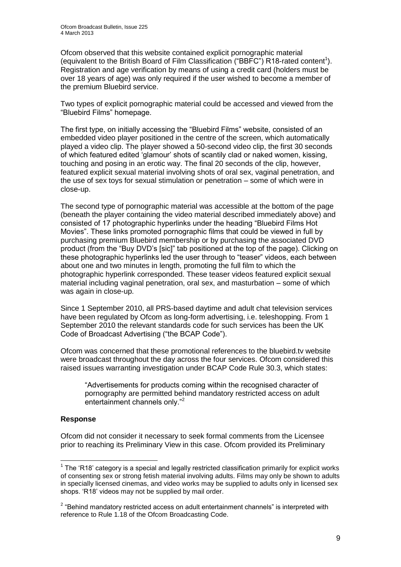Ofcom observed that this website contained explicit pornographic material (equivalent to the British Board of Film Classification ("BBFC") R18-rated content<sup>1</sup>). Registration and age verification by means of using a credit card (holders must be over 18 years of age) was only required if the user wished to become a member of the premium Bluebird service.

Two types of explicit pornographic material could be accessed and viewed from the "Bluebird Films" homepage.

The first type, on initially accessing the "Bluebird Films" website, consisted of an embedded video player positioned in the centre of the screen, which automatically played a video clip. The player showed a 50-second video clip, the first 30 seconds of which featured edited 'glamour' shots of scantily clad or naked women, kissing, touching and posing in an erotic way. The final 20 seconds of the clip, however, featured explicit sexual material involving shots of oral sex, vaginal penetration, and the use of sex toys for sexual stimulation or penetration – some of which were in close-up.

The second type of pornographic material was accessible at the bottom of the page (beneath the player containing the video material described immediately above) and consisted of 17 photographic hyperlinks under the heading "Bluebird Films Hot Movies". These links promoted pornographic films that could be viewed in full by purchasing premium Bluebird membership or by purchasing the associated DVD product (from the "Buy DVD's [sic]" tab positioned at the top of the page). Clicking on these photographic hyperlinks led the user through to "teaser" videos, each between about one and two minutes in length, promoting the full film to which the photographic hyperlink corresponded. These teaser videos featured explicit sexual material including vaginal penetration, oral sex, and masturbation – some of which was again in close-up.

Since 1 September 2010, all PRS-based daytime and adult chat television services have been regulated by Ofcom as long-form advertising, i.e. teleshopping. From 1 September 2010 the relevant standards code for such services has been the UK Code of Broadcast Advertising ("the BCAP Code").

Ofcom was concerned that these promotional references to the bluebird.tv website were broadcast throughout the day across the four services. Ofcom considered this raised issues warranting investigation under BCAP Code Rule 30.3, which states:

"Advertisements for products coming within the recognised character of pornography are permitted behind mandatory restricted access on adult entertainment channels only."<sup>2</sup>

#### **Response**

Ofcom did not consider it necessary to seek formal comments from the Licensee prior to reaching its Preliminary View in this case. Ofcom provided its Preliminary

<sup>1</sup>  $1$  The 'R18' category is a special and legally restricted classification primarily for explicit works of consenting sex or strong fetish material involving adults. Films may only be shown to adults in specially licensed cinemas, and video works may be supplied to adults only in licensed sex shops. 'R18' videos may not be supplied by mail order.

 $2$  "Behind mandatory restricted access on adult entertainment channels" is interpreted with reference to Rule 1.18 of the Ofcom Broadcasting Code.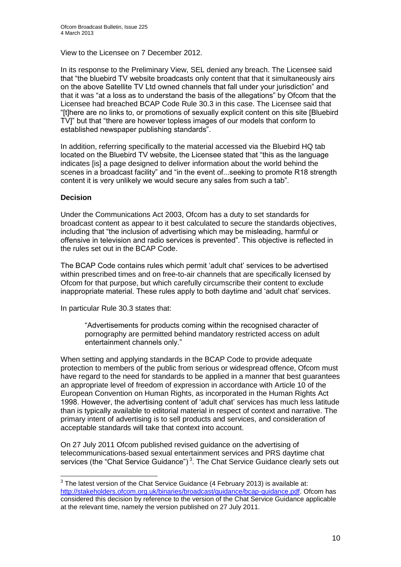View to the Licensee on 7 December 2012.

In its response to the Preliminary View, SEL denied any breach. The Licensee said that "the bluebird TV website broadcasts only content that that it simultaneously airs on the above Satellite TV Ltd owned channels that fall under your jurisdiction" and that it was "at a loss as to understand the basis of the allegations" by Ofcom that the Licensee had breached BCAP Code Rule 30.3 in this case. The Licensee said that "[t]here are no links to, or promotions of sexually explicit content on this site [Bluebird TV]" but that "there are however topless images of our models that conform to established newspaper publishing standards".

In addition, referring specifically to the material accessed via the Bluebird HQ tab located on the Bluebird TV website, the Licensee stated that "this as the language indicates [is] a page designed to deliver information about the world behind the scenes in a broadcast facility" and "in the event of...seeking to promote R18 strength content it is very unlikely we would secure any sales from such a tab".

#### **Decision**

Under the Communications Act 2003, Ofcom has a duty to set standards for broadcast content as appear to it best calculated to secure the standards objectives, including that "the inclusion of advertising which may be misleading, harmful or offensive in television and radio services is prevented". This objective is reflected in the rules set out in the BCAP Code.

The BCAP Code contains rules which permit 'adult chat' services to be advertised within prescribed times and on free-to-air channels that are specifically licensed by Ofcom for that purpose, but which carefully circumscribe their content to exclude inappropriate material. These rules apply to both daytime and 'adult chat' services.

In particular Rule 30.3 states that:

"Advertisements for products coming within the recognised character of pornography are permitted behind mandatory restricted access on adult entertainment channels only."

When setting and applying standards in the BCAP Code to provide adequate protection to members of the public from serious or widespread offence, Ofcom must have regard to the need for standards to be applied in a manner that best guarantees an appropriate level of freedom of expression in accordance with Article 10 of the European Convention on Human Rights, as incorporated in the Human Rights Act 1998. However, the advertising content of 'adult chat' services has much less latitude than is typically available to editorial material in respect of context and narrative. The primary intent of advertising is to sell products and services, and consideration of acceptable standards will take that context into account.

On 27 July 2011 Ofcom published revised guidance on the advertising of telecommunications-based sexual entertainment services and PRS daytime chat services (the "Chat Service Guidance")<sup>3</sup>. The Chat Service Guidance clearly sets out

 3 The latest version of the Chat Service Guidance (4 February 2013) is available at: [http://stakeholders.ofcom.org.uk/binaries/broadcast/guidance/bcap-guidance.pdf.](http://stakeholders.ofcom.org.uk/binaries/broadcast/guidance/bcap-guidance.pdf) Ofcom has considered this decision by reference to the version of the Chat Service Guidance applicable at the relevant time, namely the version published on 27 July 2011.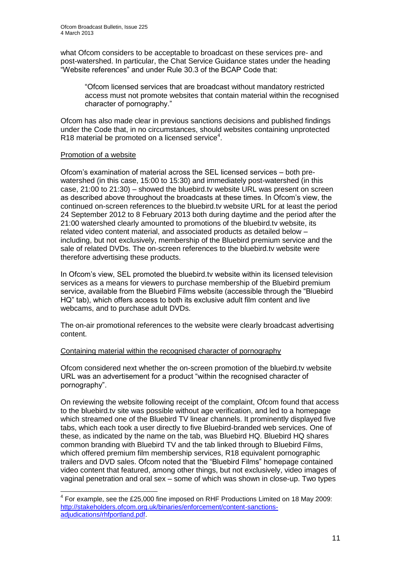what Ofcom considers to be acceptable to broadcast on these services pre- and post-watershed. In particular, the Chat Service Guidance states under the heading "Website references" and under Rule 30.3 of the BCAP Code that:

"Ofcom licensed services that are broadcast without mandatory restricted access must not promote websites that contain material within the recognised character of pornography."

Ofcom has also made clear in previous sanctions decisions and published findings under the Code that, in no circumstances, should websites containing unprotected R18 material be promoted on a licensed service $4$ .

#### Promotion of a website

1

Ofcom's examination of material across the SEL licensed services – both prewatershed (in this case, 15:00 to 15:30) and immediately post-watershed (in this case, 21:00 to 21:30) – showed the bluebird.tv website URL was present on screen as described above throughout the broadcasts at these times. In Ofcom's view, the continued on-screen references to the bluebird.tv website URL for at least the period 24 September 2012 to 8 February 2013 both during daytime and the period after the 21:00 watershed clearly amounted to promotions of the bluebird.tv website, its related video content material, and associated products as detailed below – including, but not exclusively, membership of the Bluebird premium service and the sale of related DVDs. The on-screen references to the bluebird.tv website were therefore advertising these products.

In Ofcom's view, SEL promoted the bluebird.tv website within its licensed television services as a means for viewers to purchase membership of the Bluebird premium service, available from the Bluebird Films website (accessible through the "Bluebird HQ" tab), which offers access to both its exclusive adult film content and live webcams, and to purchase adult DVDs.

The on-air promotional references to the website were clearly broadcast advertising content.

#### Containing material within the recognised character of pornography

Ofcom considered next whether the on-screen promotion of the bluebird.tv website URL was an advertisement for a product "within the recognised character of pornography".

On reviewing the website following receipt of the complaint, Ofcom found that access to the bluebird.tv site was possible without age verification, and led to a homepage which streamed one of the Bluebird TV linear channels. It prominently displayed five tabs, which each took a user directly to five Bluebird-branded web services. One of these, as indicated by the name on the tab, was Bluebird HQ. Bluebird HQ shares common branding with Bluebird TV and the tab linked through to Bluebird Films, which offered premium film membership services, R18 equivalent pornographic trailers and DVD sales. Ofcom noted that the "Bluebird Films" homepage contained video content that featured, among other things, but not exclusively, video images of vaginal penetration and oral sex – some of which was shown in close-up. Two types

 $<sup>4</sup>$  For example, see the £25,000 fine imposed on RHF Productions Limited on 18 May 2009:</sup> [http://stakeholders.ofcom.org.uk/binaries/enforcement/content-sanctions](http://stakeholders.ofcom.org.uk/binaries/enforcement/content-sanctions-adjudications/rhfportland.pdf)[adjudications/rhfportland.pdf.](http://stakeholders.ofcom.org.uk/binaries/enforcement/content-sanctions-adjudications/rhfportland.pdf)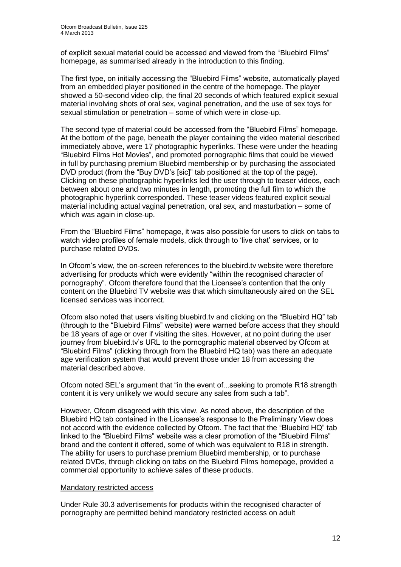of explicit sexual material could be accessed and viewed from the "Bluebird Films" homepage, as summarised already in the introduction to this finding.

The first type, on initially accessing the "Bluebird Films" website, automatically played from an embedded player positioned in the centre of the homepage. The player showed a 50-second video clip, the final 20 seconds of which featured explicit sexual material involving shots of oral sex, vaginal penetration, and the use of sex toys for sexual stimulation or penetration – some of which were in close-up.

The second type of material could be accessed from the "Bluebird Films" homepage. At the bottom of the page, beneath the player containing the video material described immediately above, were 17 photographic hyperlinks. These were under the heading "Bluebird Films Hot Movies", and promoted pornographic films that could be viewed in full by purchasing premium Bluebird membership or by purchasing the associated DVD product (from the "Buy DVD's [sic]" tab positioned at the top of the page). Clicking on these photographic hyperlinks led the user through to teaser videos, each between about one and two minutes in length, promoting the full film to which the photographic hyperlink corresponded. These teaser videos featured explicit sexual material including actual vaginal penetration, oral sex, and masturbation – some of which was again in close-up.

From the "Bluebird Films" homepage, it was also possible for users to click on tabs to watch video profiles of female models, click through to 'live chat' services, or to purchase related DVDs.

In Ofcom's view, the on-screen references to the bluebird.tv website were therefore advertising for products which were evidently "within the recognised character of pornography". Ofcom therefore found that the Licensee's contention that the only content on the Bluebird TV website was that which simultaneously aired on the SEL licensed services was incorrect.

Ofcom also noted that users visiting bluebird.tv and clicking on the "Bluebird HQ" tab (through to the "Bluebird Films" website) were warned before access that they should be 18 years of age or over if visiting the sites. However, at no point during the user journey from bluebird.tv's URL to the pornographic material observed by Ofcom at "Bluebird Films" (clicking through from the Bluebird HQ tab) was there an adequate age verification system that would prevent those under 18 from accessing the material described above.

Ofcom noted SEL's argument that "in the event of...seeking to promote R18 strength content it is very unlikely we would secure any sales from such a tab".

However, Ofcom disagreed with this view. As noted above, the description of the Bluebird HQ tab contained in the Licensee's response to the Preliminary View does not accord with the evidence collected by Ofcom. The fact that the "Bluebird HQ" tab linked to the "Bluebird Films" website was a clear promotion of the "Bluebird Films" brand and the content it offered, some of which was equivalent to R18 in strength. The ability for users to purchase premium Bluebird membership, or to purchase related DVDs, through clicking on tabs on the Bluebird Films homepage, provided a commercial opportunity to achieve sales of these products.

#### Mandatory restricted access

Under Rule 30.3 advertisements for products within the recognised character of pornography are permitted behind mandatory restricted access on adult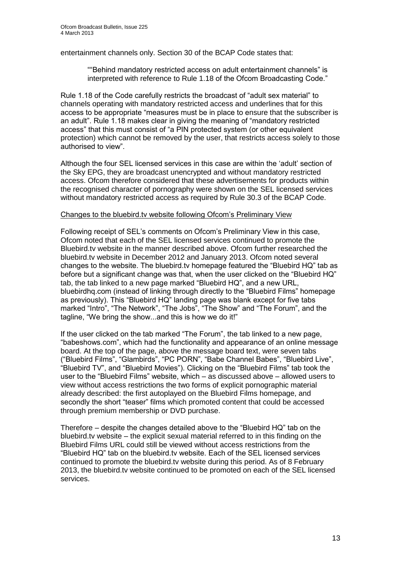entertainment channels only. Section 30 of the BCAP Code states that:

""Behind mandatory restricted access on adult entertainment channels" is interpreted with reference to Rule 1.18 of the Ofcom Broadcasting Code."

Rule 1.18 of the Code carefully restricts the broadcast of "adult sex material" to channels operating with mandatory restricted access and underlines that for this access to be appropriate "measures must be in place to ensure that the subscriber is an adult". Rule 1.18 makes clear in giving the meaning of "mandatory restricted access" that this must consist of "a PIN protected system (or other equivalent protection) which cannot be removed by the user, that restricts access solely to those authorised to view".

Although the four SEL licensed services in this case are within the 'adult' section of the Sky EPG, they are broadcast unencrypted and without mandatory restricted access. Ofcom therefore considered that these advertisements for products within the recognised character of pornography were shown on the SEL licensed services without mandatory restricted access as required by Rule 30.3 of the BCAP Code.

#### Changes to the bluebird.tv website following Ofcom's Preliminary View

Following receipt of SEL's comments on Ofcom's Preliminary View in this case, Ofcom noted that each of the SEL licensed services continued to promote the Bluebird.tv website in the manner described above. Ofcom further researched the bluebird.tv website in December 2012 and January 2013. Ofcom noted several changes to the website. The bluebird.tv homepage featured the "Bluebird HQ" tab as before but a significant change was that, when the user clicked on the "Bluebird HQ" tab, the tab linked to a new page marked "Bluebird HQ", and a new URL, bluebirdhq.com (instead of linking through directly to the "Bluebird Films" homepage as previously). This "Bluebird HQ" landing page was blank except for five tabs marked "Intro", "The Network", "The Jobs", "The Show" and "The Forum", and the tagline, "We bring the show...and this is how we do it!"

If the user clicked on the tab marked "The Forum", the tab linked to a new page, "babeshows.com", which had the functionality and appearance of an online message board. At the top of the page, above the message board text, were seven tabs ("Bluebird Films", "Glambirds", "PC PORN", "Babe Channel Babes", "Bluebird Live", "Bluebird TV", and "Bluebird Movies"). Clicking on the "Bluebird Films" tab took the user to the "Bluebird Films" website, which – as discussed above – allowed users to view without access restrictions the two forms of explicit pornographic material already described: the first autoplayed on the Bluebird Films homepage, and secondly the short "teaser" films which promoted content that could be accessed through premium membership or DVD purchase.

Therefore – despite the changes detailed above to the "Bluebird HQ" tab on the bluebird.tv website – the explicit sexual material referred to in this finding on the Bluebird Films URL could still be viewed without access restrictions from the "Bluebird HQ" tab on the bluebird.tv website. Each of the SEL licensed services continued to promote the bluebird.tv website during this period. As of 8 February 2013, the bluebird.tv website continued to be promoted on each of the SEL licensed services.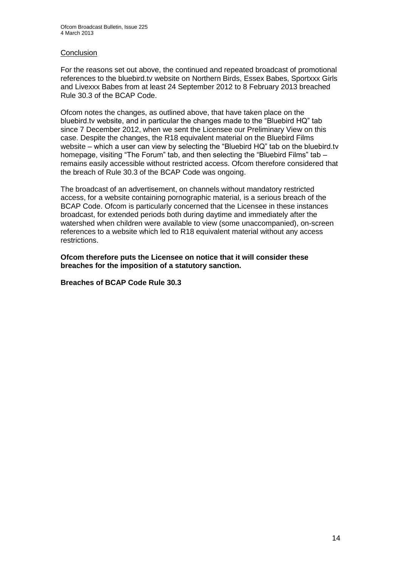#### **Conclusion**

For the reasons set out above, the continued and repeated broadcast of promotional references to the bluebird.tv website on Northern Birds, Essex Babes, Sportxxx Girls and Livexxx Babes from at least 24 September 2012 to 8 February 2013 breached Rule 30.3 of the BCAP Code.

Ofcom notes the changes, as outlined above, that have taken place on the bluebird.tv website, and in particular the changes made to the "Bluebird HQ" tab since 7 December 2012, when we sent the Licensee our Preliminary View on this case. Despite the changes, the R18 equivalent material on the Bluebird Films website – which a user can view by selecting the "Bluebird HQ" tab on the bluebird.tv homepage, visiting "The Forum" tab, and then selecting the "Bluebird Films" tab remains easily accessible without restricted access. Ofcom therefore considered that the breach of Rule 30.3 of the BCAP Code was ongoing.

The broadcast of an advertisement, on channels without mandatory restricted access, for a website containing pornographic material, is a serious breach of the BCAP Code. Ofcom is particularly concerned that the Licensee in these instances broadcast, for extended periods both during daytime and immediately after the watershed when children were available to view (some unaccompanied), on-screen references to a website which led to R18 equivalent material without any access restrictions.

**Ofcom therefore puts the Licensee on notice that it will consider these breaches for the imposition of a statutory sanction.**

**Breaches of BCAP Code Rule 30.3**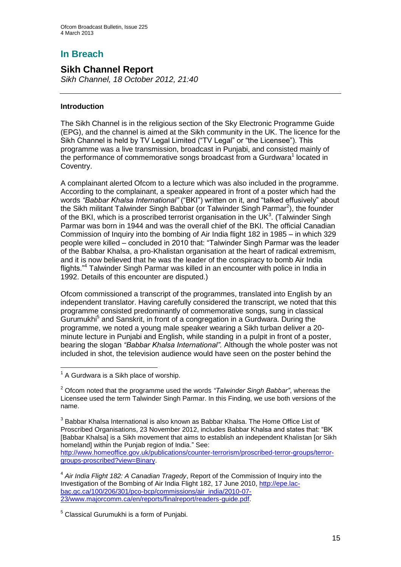## **In Breach**

## **Sikh Channel Report**

*Sikh Channel, 18 October 2012, 21:40*

#### **Introduction**

The Sikh Channel is in the religious section of the Sky Electronic Programme Guide (EPG), and the channel is aimed at the Sikh community in the UK. The licence for the Sikh Channel is held by TV Legal Limited ("TV Legal" or "the Licensee"). This programme was a live transmission, broadcast in Punjabi, and consisted mainly of the performance of commemorative songs broadcast from a Gurdwara<sup>1</sup> located in Coventry.

A complainant alerted Ofcom to a lecture which was also included in the programme. According to the complainant, a speaker appeared in front of a poster which had the words *"Babbar Khalsa International"* ("BKI") written on it, and "talked effusively" about the Sikh militant Talwinder Singh Babbar (or Talwinder Singh Parmar<sup>2</sup>), the founder of the BKI, which is a proscribed terrorist organisation in the UK $3$ . (Talwinder Singh Parmar was born in 1944 and was the overall chief of the BKI. The official Canadian Commission of Inquiry into the bombing of Air India flight 182 in 1985 – in which 329 people were killed – concluded in 2010 that: "Talwinder Singh Parmar was the leader of the Babbar Khalsa, a pro-Khalistan organisation at the heart of radical extremism, and it is now believed that he was the leader of the conspiracy to bomb Air India flights."<sup>4</sup> Talwinder Singh Parmar was killed in an encounter with police in India in 1992. Details of this encounter are disputed.)

Ofcom commissioned a transcript of the programmes, translated into English by an independent translator. Having carefully considered the transcript, we noted that this programme consisted predominantly of commemorative songs, sung in classical Gurumukhi<sup>5</sup> and Sanskrit, in front of a congregation in a Gurdwara. During the programme, we noted a young male speaker wearing a Sikh turban deliver a 20 minute lecture in Punjabi and English, while standing in a pulpit in front of a poster, bearing the slogan *"Babbar Khalsa International".* Although the whole poster was not included in shot, the television audience would have seen on the poster behind the

1

[http://www.homeoffice.gov.uk/publications/counter-terrorism/proscribed-terror-groups/terror](http://www.homeoffice.gov.uk/publications/counter-terrorism/proscribed-terror-groups/terror-groups-proscribed?view=Binary)[groups-proscribed?view=Binary.](http://www.homeoffice.gov.uk/publications/counter-terrorism/proscribed-terror-groups/terror-groups-proscribed?view=Binary)

 $<sup>1</sup>$  A Gurdwara is a Sikh place of worship.</sup>

<sup>2</sup> Ofcom noted that the programme used the words *"Talwinder Singh Babbar"*, whereas the Licensee used the term Talwinder Singh Parmar. In this Finding, we use both versions of the name.

 $3$  Babbar Khalsa International is also known as Babbar Khalsa. The Home Office List of Proscribed Organisations, 23 November 2012, includes Babbar Khalsa and states that: "BK [Babbar Khalsa] is a Sikh movement that aims to establish an independent Khalistan [or Sikh homeland] within the Punjab region of India." See:

<sup>4</sup> *Air India Flight 182: A Canadian Tragedy*, Report of the Commission of Inquiry into the Investigation of the Bombing of Air India Flight 182, 17 June 2010, [http://epe.lac](http://epe.lac-bac.gc.ca/100/206/301/pco-bcp/commissions/air_india/2010-07-23/www.majorcomm.ca/en/reports/finalreport/readers-guide.pdf)[bac.gc.ca/100/206/301/pco-bcp/commissions/air\\_india/2010-07-](http://epe.lac-bac.gc.ca/100/206/301/pco-bcp/commissions/air_india/2010-07-23/www.majorcomm.ca/en/reports/finalreport/readers-guide.pdf) [23/www.majorcomm.ca/en/reports/finalreport/readers-guide.pdf.](http://epe.lac-bac.gc.ca/100/206/301/pco-bcp/commissions/air_india/2010-07-23/www.majorcomm.ca/en/reports/finalreport/readers-guide.pdf)

 $<sup>5</sup>$  Classical Gurumukhi is a form of Punjabi.</sup>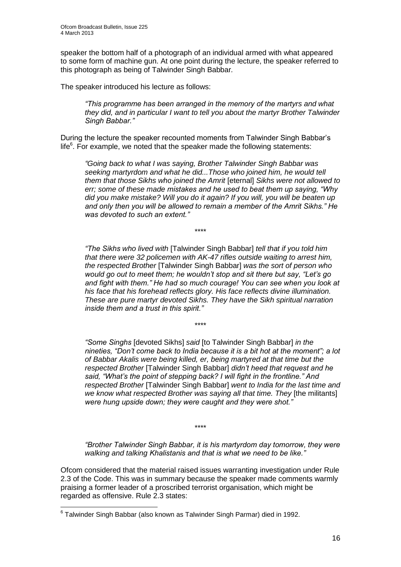speaker the bottom half of a photograph of an individual armed with what appeared to some form of machine gun. At one point during the lecture, the speaker referred to this photograph as being of Talwinder Singh Babbar*.*

The speaker introduced his lecture as follows:

*"This programme has been arranged in the memory of the martyrs and what they did, and in particular I want to tell you about the martyr Brother Talwinder Singh Babbar."*

During the lecture the speaker recounted moments from Talwinder Singh Babbar's life<sup>6</sup>. For example, we noted that the speaker made the following statements:

*"Going back to what I was saying, Brother Talwinder Singh Babbar was seeking martyrdom and what he did...Those who joined him, he would tell them that those Sikhs who joined the Amrit* [eternal] *Sikhs were not allowed to err; some of these made mistakes and he used to beat them up saying, "Why did you make mistake? Will you do it again? If you will, you will be beaten up and only then you will be allowed to remain a member of the Amrit Sikhs." He was devoted to such an extent."*

\*\*\*\*

\*\*\*\*

*"The Sikhs who lived with* [Talwinder Singh Babbar] *tell that if you told him that there were 32 policemen with AK-47 rifles outside waiting to arrest him, the respected Brother* [Talwinder Singh Babbar] *was the sort of person who would go out to meet them; he wouldn't stop and sit there but say, "Let's go and fight with them." He had so much courage! You can see when you look at his face that his forehead reflects glory. His face reflects divine illumination. These are pure martyr devoted Sikhs. They have the Sikh spiritual narration inside them and a trust in this spirit."*

*"Some Singhs* [devoted Sikhs] *said* [to Talwinder Singh Babbar] *in the nineties, "Don't come back to India because it is a bit hot at the moment"; a lot of Babbar Akalis were being killed, er, being martyred at that time but the respected Brother* [Talwinder Singh Babbar] *didn't heed that request and he said, "What's the point of stepping back? I will fight in the frontline." And respected Brother* [Talwinder Singh Babbar] *went to India for the last time and*  we know what respected Brother was saying all that time. They [the militants] *were hung upside down; they were caught and they were shot."*

\*\*\*\*

*"Brother Talwinder Singh Babbar, it is his martyrdom day tomorrow, they were walking and talking Khalistanis and that is what we need to be like."*

Ofcom considered that the material raised issues warranting investigation under Rule 2.3 of the Code. This was in summary because the speaker made comments warmly praising a former leader of a proscribed terrorist organisation, which might be regarded as offensive. Rule 2.3 states:

\_\_\_\_\_\_\_\_\_\_\_\_\_\_\_\_\_\_\_\_\_\_\_\_\_\_\_\_\_\_\_\_<br><sup>6</sup> Talwinder Singh Babbar (also known as Talwinder Singh Parmar) died in 1992.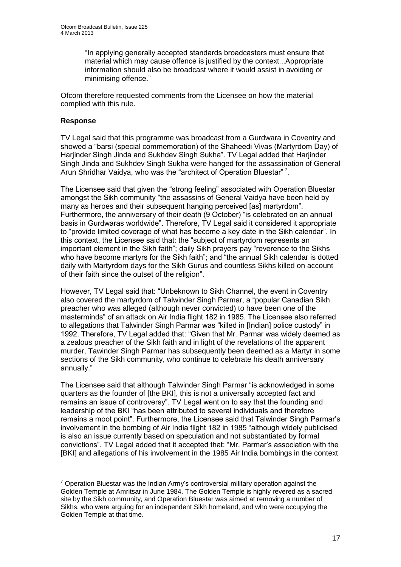"In applying generally accepted standards broadcasters must ensure that material which may cause offence is justified by the context...Appropriate information should also be broadcast where it would assist in avoiding or minimising offence."

Ofcom therefore requested comments from the Licensee on how the material complied with this rule.

#### **Response**

1

TV Legal said that this programme was broadcast from a Gurdwara in Coventry and showed a "barsi (special commemoration) of the Shaheedi Vivas (Martyrdom Day) of Harjinder Singh Jinda and Sukhdev Singh Sukha". TV Legal added that Harjinder Singh Jinda and Sukhdev Singh Sukha were hanged for the assassination of General Arun Shridhar Vaidya, who was the "architect of Operation Bluestar"<sup>7</sup>.

The Licensee said that given the "strong feeling" associated with Operation Bluestar amongst the Sikh community "the assassins of General Vaidya have been held by many as heroes and their subsequent hanging perceived [as] martyrdom". Furthermore, the anniversary of their death (9 October) "is celebrated on an annual basis in Gurdwaras worldwide". Therefore, TV Legal said it considered it appropriate to "provide limited coverage of what has become a key date in the Sikh calendar". In this context, the Licensee said that: the "subject of martyrdom represents an important element in the Sikh faith"; daily Sikh prayers pay "reverence to the Sikhs who have become martyrs for the Sikh faith"; and "the annual Sikh calendar is dotted daily with Martyrdom days for the Sikh Gurus and countless Sikhs killed on account of their faith since the outset of the religion".

However, TV Legal said that: "Unbeknown to Sikh Channel, the event in Coventry also covered the martyrdom of Talwinder Singh Parmar, a "popular Canadian Sikh preacher who was alleged (although never convicted) to have been one of the masterminds" of an attack on Air India flight 182 in 1985. The Licensee also referred to allegations that Talwinder Singh Parmar was "killed in [Indian] police custody" in 1992. Therefore, TV Legal added that: "Given that Mr. Parmar was widely deemed as a zealous preacher of the Sikh faith and in light of the revelations of the apparent murder, Tawinder Singh Parmar has subsequently been deemed as a Martyr in some sections of the Sikh community, who continue to celebrate his death anniversary annually."

The Licensee said that although Talwinder Singh Parmar "is acknowledged in some quarters as the founder of [the BKI], this is not a universally accepted fact and remains an issue of controversy". TV Legal went on to say that the founding and leadership of the BKI "has been attributed to several individuals and therefore remains a moot point". Furthermore, the Licensee said that Talwinder Singh Parmar's involvement in the bombing of Air India flight 182 in 1985 "although widely publicised is also an issue currently based on speculation and not substantiated by formal convictions". TV Legal added that it accepted that: "Mr. Parmar's association with the [BKI] and allegations of his involvement in the 1985 Air India bombings in the context

 $7$  Operation Bluestar was the Indian Army's controversial military operation against the Golden Temple at Amritsar in June 1984. The Golden Temple is highly revered as a sacred site by the Sikh community, and Operation Bluestar was aimed at removing a number of Sikhs, who were arguing for an independent Sikh homeland, and who were occupying the Golden Temple at that time.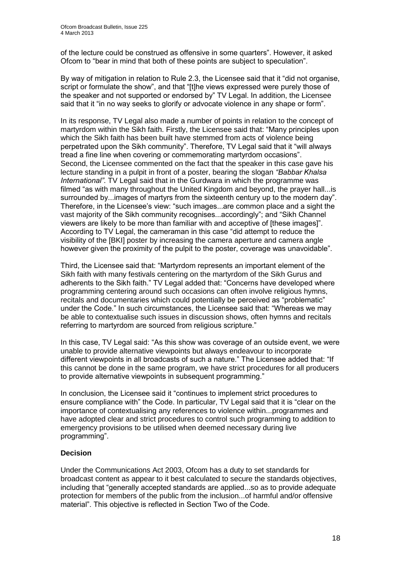of the lecture could be construed as offensive in some quarters". However, it asked Ofcom to "bear in mind that both of these points are subject to speculation".

By way of mitigation in relation to Rule 2.3, the Licensee said that it "did not organise, script or formulate the show", and that "[t]he views expressed were purely those of the speaker and not supported or endorsed by" TV Legal. In addition, the Licensee said that it "in no way seeks to glorify or advocate violence in any shape or form".

In its response, TV Legal also made a number of points in relation to the concept of martyrdom within the Sikh faith. Firstly, the Licensee said that: "Many principles upon which the Sikh faith has been built have stemmed from acts of violence being perpetrated upon the Sikh community". Therefore, TV Legal said that it "will always tread a fine line when covering or commemorating martyrdom occasions". Second, the Licensee commented on the fact that the speaker in this case gave his lecture standing in a pulpit in front of a poster, bearing the slogan *"Babbar Khalsa International"*. TV Legal said that in the Gurdwara in which the programme was filmed "as with many throughout the United Kingdom and beyond, the prayer hall...is surrounded by...images of martyrs from the sixteenth century up to the modern day". Therefore, in the Licensee's view: "such images...are common place and a sight the vast majority of the Sikh community recognises...accordingly"; and "Sikh Channel viewers are likely to be more than familiar with and acceptive of [these images]". According to TV Legal, the cameraman in this case "did attempt to reduce the visibility of the [BKI] poster by increasing the camera aperture and camera angle however given the proximity of the pulpit to the poster, coverage was unavoidable".

Third, the Licensee said that: "Martyrdom represents an important element of the Sikh faith with many festivals centering on the martyrdom of the Sikh Gurus and adherents to the Sikh faith." TV Legal added that: "Concerns have developed where programming centering around such occasions can often involve religious hymns, recitals and documentaries which could potentially be perceived as "problematic" under the Code." In such circumstances, the Licensee said that: "Whereas we may be able to contextualise such issues in discussion shows, often hymns and recitals referring to martyrdom are sourced from religious scripture."

In this case, TV Legal said: "As this show was coverage of an outside event, we were unable to provide alternative viewpoints but always endeavour to incorporate different viewpoints in all broadcasts of such a nature." The Licensee added that: "If this cannot be done in the same program, we have strict procedures for all producers to provide alternative viewpoints in subsequent programming."

In conclusion, the Licensee said it "continues to implement strict procedures to ensure compliance with" the Code. In particular, TV Legal said that it is "clear on the importance of contextualising any references to violence within...programmes and have adopted clear and strict procedures to control such programming to addition to emergency provisions to be utilised when deemed necessary during live programming".

#### **Decision**

Under the Communications Act 2003, Ofcom has a duty to set standards for broadcast content as appear to it best calculated to secure the standards objectives, including that "generally accepted standards are applied...so as to provide adequate protection for members of the public from the inclusion...of harmful and/or offensive material". This objective is reflected in Section Two of the Code.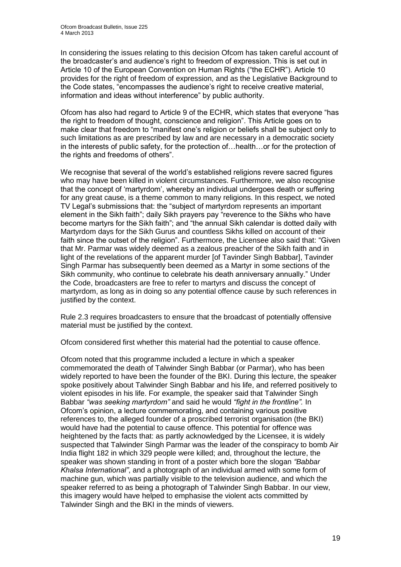In considering the issues relating to this decision Ofcom has taken careful account of the broadcaster's and audience's right to freedom of expression. This is set out in Article 10 of the European Convention on Human Rights ("the ECHR"). Article 10 provides for the right of freedom of expression, and as the Legislative Background to the Code states, "encompasses the audience's right to receive creative material, information and ideas without interference" by public authority.

Ofcom has also had regard to Article 9 of the ECHR, which states that everyone "has the right to freedom of thought, conscience and religion". This Article goes on to make clear that freedom to "manifest one's religion or beliefs shall be subject only to such limitations as are prescribed by law and are necessary in a democratic society in the interests of public safety, for the protection of…health…or for the protection of the rights and freedoms of others".

We recognise that several of the world's established religions revere sacred figures who may have been killed in violent circumstances. Furthermore, we also recognise that the concept of 'martyrdom', whereby an individual undergoes death or suffering for any great cause, is a theme common to many religions. In this respect, we noted TV Legal's submissions that: the "subject of martyrdom represents an important element in the Sikh faith"; daily Sikh prayers pay "reverence to the Sikhs who have become martyrs for the Sikh faith"; and "the annual Sikh calendar is dotted daily with Martyrdom days for the Sikh Gurus and countless Sikhs killed on account of their faith since the outset of the religion". Furthermore, the Licensee also said that: "Given that Mr. Parmar was widely deemed as a zealous preacher of the Sikh faith and in light of the revelations of the apparent murder [of Tavinder Singh Babbar], Tavinder Singh Parmar has subsequently been deemed as a Martyr in some sections of the Sikh community, who continue to celebrate his death anniversary annually." Under the Code, broadcasters are free to refer to martyrs and discuss the concept of martyrdom, as long as in doing so any potential offence cause by such references in justified by the context.

Rule 2.3 requires broadcasters to ensure that the broadcast of potentially offensive material must be justified by the context.

Ofcom considered first whether this material had the potential to cause offence.

Ofcom noted that this programme included a lecture in which a speaker commemorated the death of Talwinder Singh Babbar (or Parmar), who has been widely reported to have been the founder of the BKI. During this lecture, the speaker spoke positively about Talwinder Singh Babbar and his life, and referred positively to violent episodes in his life. For example, the speaker said that Talwinder Singh Babbar *"was seeking martyrdom"* and said he would *"fight in the frontline".* In Ofcom's opinion, a lecture commemorating, and containing various positive references to, the alleged founder of a proscribed terrorist organisation (the BKI) would have had the potential to cause offence. This potential for offence was heightened by the facts that: as partly acknowledged by the Licensee, it is widely suspected that Talwinder Singh Parmar was the leader of the conspiracy to bomb Air India flight 182 in which 329 people were killed; and, throughout the lecture, the speaker was shown standing in front of a poster which bore the slogan *"Babbar Khalsa International"*, and a photograph of an individual armed with some form of machine gun, which was partially visible to the television audience, and which the speaker referred to as being a photograph of Talwinder Singh Babbar. In our view, this imagery would have helped to emphasise the violent acts committed by Talwinder Singh and the BKI in the minds of viewers.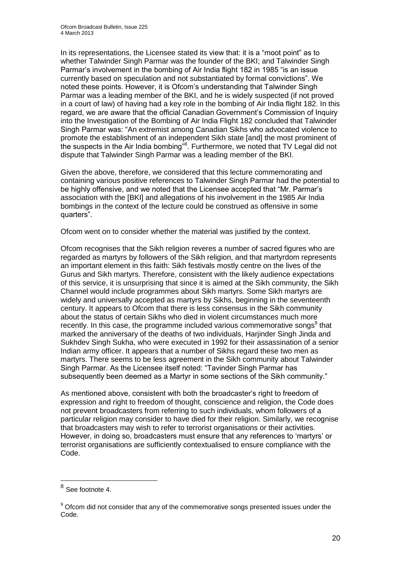In its representations, the Licensee stated its view that: it is a "moot point" as to whether Talwinder Singh Parmar was the founder of the BKI; and Talwinder Singh Parmar's involvement in the bombing of Air India flight 182 in 1985 "is an issue currently based on speculation and not substantiated by formal convictions". We noted these points. However, it is Ofcom's understanding that Talwinder Singh Parmar was a leading member of the BKI, and he is widely suspected (if not proved in a court of law) of having had a key role in the bombing of Air India flight 182. In this regard, we are aware that the official Canadian Government's Commission of Inquiry into the Investigation of the Bombing of Air India Flight 182 concluded that Talwinder Singh Parmar was: "An extremist among Canadian Sikhs who advocated violence to promote the establishment of an independent Sikh state [and] the most prominent of the suspects in the Air India bombing<sup>"8</sup>. Furthermore, we noted that TV Legal did not dispute that Talwinder Singh Parmar was a leading member of the BKI.

Given the above, therefore, we considered that this lecture commemorating and containing various positive references to Talwinder Singh Parmar had the potential to be highly offensive, and we noted that the Licensee accepted that "Mr. Parmar's association with the [BKI] and allegations of his involvement in the 1985 Air India bombings in the context of the lecture could be construed as offensive in some quarters".

Ofcom went on to consider whether the material was justified by the context.

Ofcom recognises that the Sikh religion reveres a number of sacred figures who are regarded as martyrs by followers of the Sikh religion, and that martyrdom represents an important element in this faith: Sikh festivals mostly centre on the lives of the Gurus and Sikh martyrs. Therefore, consistent with the likely audience expectations of this service, it is unsurprising that since it is aimed at the Sikh community, the Sikh Channel would include programmes about Sikh martyrs. Some Sikh martyrs are widely and universally accepted as martyrs by Sikhs, beginning in the seventeenth century. It appears to Ofcom that there is less consensus in the Sikh community about the status of certain Sikhs who died in violent circumstances much more recently. In this case, the programme included various commemorative songs $9$  that marked the anniversary of the deaths of two individuals, Harjinder Singh Jinda and Sukhdev Singh Sukha, who were executed in 1992 for their assassination of a senior Indian army officer. It appears that a number of Sikhs regard these two men as martyrs. There seems to be less agreement in the Sikh community about Talwinder Singh Parmar. As the Licensee itself noted: "Tavinder Singh Parmar has subsequently been deemed as a Martyr in some sections of the Sikh community."

As mentioned above, consistent with both the broadcaster's right to freedom of expression and right to freedom of thought, conscience and religion, the Code does not prevent broadcasters from referring to such individuals, whom followers of a particular religion may consider to have died for their religion. Similarly, we recognise that broadcasters may wish to refer to terrorist organisations or their activities. However, in doing so, broadcasters must ensure that any references to 'martyrs' or terrorist organisations are sufficiently contextualised to ensure compliance with the Code.

 8 See footnote 4.

<sup>&</sup>lt;sup>9</sup> Ofcom did not consider that any of the commemorative songs presented issues under the Code.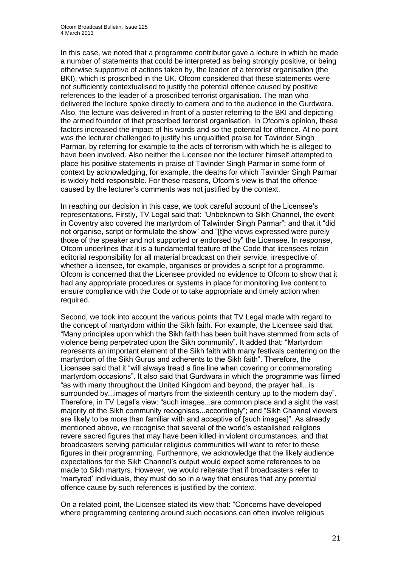In this case, we noted that a programme contributor gave a lecture in which he made a number of statements that could be interpreted as being strongly positive, or being otherwise supportive of actions taken by, the leader of a terrorist organisation (the BKI), which is proscribed in the UK. Ofcom considered that these statements were not sufficiently contextualised to justify the potential offence caused by positive references to the leader of a proscribed terrorist organisation. The man who delivered the lecture spoke directly to camera and to the audience in the Gurdwara. Also, the lecture was delivered in front of a poster referring to the BKI and depicting the armed founder of that proscribed terrorist organisation. In Ofcom's opinion, these factors increased the impact of his words and so the potential for offence. At no point was the lecturer challenged to justify his unqualified praise for Tavinder Singh Parmar, by referring for example to the acts of terrorism with which he is alleged to have been involved. Also neither the Licensee nor the lecturer himself attempted to place his positive statements in praise of Tavinder Singh Parmar in some form of context by acknowledging, for example, the deaths for which Tavinder Singh Parmar is widely held responsible. For these reasons, Ofcom's view is that the offence caused by the lecturer's comments was not justified by the context.

In reaching our decision in this case, we took careful account of the Licensee's representations. Firstly, TV Legal said that: "Unbeknown to Sikh Channel, the event in Coventry also covered the martyrdom of Talwinder Singh Parmar"; and that it "did not organise, script or formulate the show" and "[t]he views expressed were purely those of the speaker and not supported or endorsed by" the Licensee. In response, Ofcom underlines that it is a fundamental feature of the Code that licensees retain editorial responsibility for all material broadcast on their service, irrespective of whether a licensee, for example, organises or provides a script for a programme. Ofcom is concerned that the Licensee provided no evidence to Ofcom to show that it had any appropriate procedures or systems in place for monitoring live content to ensure compliance with the Code or to take appropriate and timely action when required.

Second, we took into account the various points that TV Legal made with regard to the concept of martyrdom within the Sikh faith. For example, the Licensee said that: "Many principles upon which the Sikh faith has been built have stemmed from acts of violence being perpetrated upon the Sikh community". It added that: "Martyrdom represents an important element of the Sikh faith with many festivals centering on the martyrdom of the Sikh Gurus and adherents to the Sikh faith". Therefore, the Licensee said that it "will always tread a fine line when covering or commemorating martyrdom occasions". It also said that Gurdwara in which the programme was filmed "as with many throughout the United Kingdom and beyond, the prayer hall...is surrounded by...images of martyrs from the sixteenth century up to the modern day". Therefore, in TV Legal's view: "such images...are common place and a sight the vast majority of the Sikh community recognises...accordingly"; and "Sikh Channel viewers are likely to be more than familiar with and acceptive of [such images]". As already mentioned above, we recognise that several of the world's established religions revere sacred figures that may have been killed in violent circumstances, and that broadcasters serving particular religious communities will want to refer to these figures in their programming. Furthermore, we acknowledge that the likely audience expectations for the Sikh Channel's output would expect some references to be made to Sikh martyrs. However, we would reiterate that if broadcasters refer to 'martyred' individuals, they must do so in a way that ensures that any potential offence cause by such references is justified by the context.

On a related point, the Licensee stated its view that: "Concerns have developed where programming centering around such occasions can often involve religious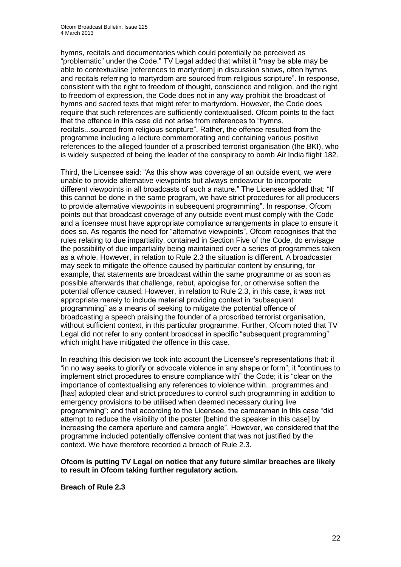hymns, recitals and documentaries which could potentially be perceived as "problematic" under the Code." TV Legal added that whilst it "may be able may be able to contextualise [references to martyrdom] in discussion shows, often hymns and recitals referring to martyrdom are sourced from religious scripture". In response, consistent with the right to freedom of thought, conscience and religion, and the right to freedom of expression, the Code does not in any way prohibit the broadcast of hymns and sacred texts that might refer to martyrdom. However, the Code does require that such references are sufficiently contextualised. Ofcom points to the fact that the offence in this case did not arise from references to "hymns, recitals...sourced from religious scripture". Rather, the offence resulted from the programme including a lecture commemorating and containing various positive references to the alleged founder of a proscribed terrorist organisation (the BKI), who is widely suspected of being the leader of the conspiracy to bomb Air India flight 182.

Third, the Licensee said: "As this show was coverage of an outside event, we were unable to provide alternative viewpoints but always endeavour to incorporate different viewpoints in all broadcasts of such a nature." The Licensee added that: "If this cannot be done in the same program, we have strict procedures for all producers to provide alternative viewpoints in subsequent programming". In response, Ofcom points out that broadcast coverage of any outside event must comply with the Code and a licensee must have appropriate compliance arrangements in place to ensure it does so. As regards the need for "alternative viewpoints", Ofcom recognises that the rules relating to due impartiality, contained in Section Five of the Code, do envisage the possibility of due impartiality being maintained over a series of programmes taken as a whole. However, in relation to Rule 2.3 the situation is different. A broadcaster may seek to mitigate the offence caused by particular content by ensuring, for example, that statements are broadcast within the same programme or as soon as possible afterwards that challenge, rebut, apologise for, or otherwise soften the potential offence caused. However, in relation to Rule 2.3, in this case, it was not appropriate merely to include material providing context in "subsequent programming" as a means of seeking to mitigate the potential offence of broadcasting a speech praising the founder of a proscribed terrorist organisation, without sufficient context, in this particular programme. Further, Ofcom noted that TV Legal did not refer to any content broadcast in specific "subsequent programming" which might have mitigated the offence in this case.

In reaching this decision we took into account the Licensee's representations that: it "in no way seeks to glorify or advocate violence in any shape or form"; it "continues to implement strict procedures to ensure compliance with" the Code; it is "clear on the importance of contextualising any references to violence within...programmes and [has] adopted clear and strict procedures to control such programming in addition to emergency provisions to be utilised when deemed necessary during live programming"; and that according to the Licensee, the cameraman in this case "did attempt to reduce the visibility of the poster [behind the speaker in this case] by increasing the camera aperture and camera angle". However, we considered that the programme included potentially offensive content that was not justified by the context. We have therefore recorded a breach of Rule 2.3.

#### **Ofcom is putting TV Legal on notice that any future similar breaches are likely to result in Ofcom taking further regulatory action.**

**Breach of Rule 2.3**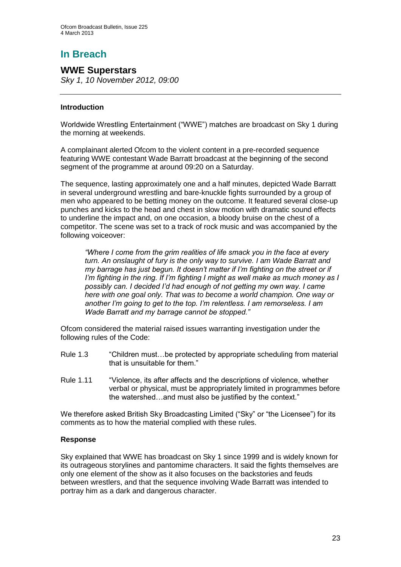# **In Breach**

## **WWE Superstars**

*Sky 1, 10 November 2012, 09:00*

#### **Introduction**

Worldwide Wrestling Entertainment ("WWE") matches are broadcast on Sky 1 during the morning at weekends.

A complainant alerted Ofcom to the violent content in a pre-recorded sequence featuring WWE contestant Wade Barratt broadcast at the beginning of the second segment of the programme at around 09:20 on a Saturday.

The sequence, lasting approximately one and a half minutes, depicted Wade Barratt in several underground wrestling and bare-knuckle fights surrounded by a group of men who appeared to be betting money on the outcome. It featured several close-up punches and kicks to the head and chest in slow motion with dramatic sound effects to underline the impact and, on one occasion, a bloody bruise on the chest of a competitor. The scene was set to a track of rock music and was accompanied by the following voiceover:

*"Where I come from the grim realities of life smack you in the face at every turn. An onslaught of fury is the only way to survive. I am Wade Barratt and my barrage has just begun. It doesn't matter if I'm fighting on the street or if I'm fighting in the ring. If I'm fighting I might as well make as much money as I possibly can. I decided I'd had enough of not getting my own way. I came here with one goal only. That was to become a world champion. One way or another I'm going to get to the top. I'm relentless. I am remorseless. I am Wade Barratt and my barrage cannot be stopped."* 

Ofcom considered the material raised issues warranting investigation under the following rules of the Code:

- Rule 1.3 "Children must…be protected by appropriate scheduling from material that is unsuitable for them."
- Rule 1.11 "Violence, its after affects and the descriptions of violence, whether verbal or physical, must be appropriately limited in programmes before the watershed…and must also be justified by the context."

We therefore asked British Sky Broadcasting Limited ("Sky" or "the Licensee") for its comments as to how the material complied with these rules.

#### **Response**

Sky explained that WWE has broadcast on Sky 1 since 1999 and is widely known for its outrageous storylines and pantomime characters. It said the fights themselves are only one element of the show as it also focuses on the backstories and feuds between wrestlers, and that the sequence involving Wade Barratt was intended to portray him as a dark and dangerous character.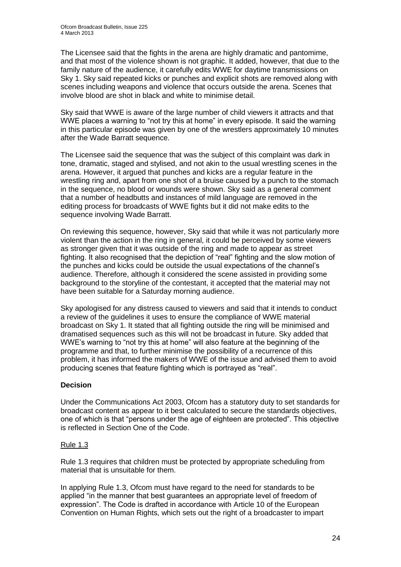The Licensee said that the fights in the arena are highly dramatic and pantomime, and that most of the violence shown is not graphic. It added, however, that due to the family nature of the audience, it carefully edits WWE for daytime transmissions on Sky 1. Sky said repeated kicks or punches and explicit shots are removed along with scenes including weapons and violence that occurs outside the arena. Scenes that involve blood are shot in black and white to minimise detail.

Sky said that WWE is aware of the large number of child viewers it attracts and that WWE places a warning to "not try this at home" in every episode. It said the warning in this particular episode was given by one of the wrestlers approximately 10 minutes after the Wade Barratt sequence.

The Licensee said the sequence that was the subject of this complaint was dark in tone, dramatic, staged and stylised, and not akin to the usual wrestling scenes in the arena. However, it argued that punches and kicks are a regular feature in the wrestling ring and, apart from one shot of a bruise caused by a punch to the stomach in the sequence, no blood or wounds were shown. Sky said as a general comment that a number of headbutts and instances of mild language are removed in the editing process for broadcasts of WWE fights but it did not make edits to the sequence involving Wade Barratt.

On reviewing this sequence, however, Sky said that while it was not particularly more violent than the action in the ring in general, it could be perceived by some viewers as stronger given that it was outside of the ring and made to appear as street fighting. It also recognised that the depiction of "real" fighting and the slow motion of the punches and kicks could be outside the usual expectations of the channel's audience. Therefore, although it considered the scene assisted in providing some background to the storyline of the contestant, it accepted that the material may not have been suitable for a Saturday morning audience.

Sky apologised for any distress caused to viewers and said that it intends to conduct a review of the guidelines it uses to ensure the compliance of WWE material broadcast on Sky 1. It stated that all fighting outside the ring will be minimised and dramatised sequences such as this will not be broadcast in future. Sky added that WWE's warning to "not try this at home" will also feature at the beginning of the programme and that, to further minimise the possibility of a recurrence of this problem, it has informed the makers of WWE of the issue and advised them to avoid producing scenes that feature fighting which is portrayed as "real".

#### **Decision**

Under the Communications Act 2003, Ofcom has a statutory duty to set standards for broadcast content as appear to it best calculated to secure the standards objectives, one of which is that "persons under the age of eighteen are protected". This objective is reflected in Section One of the Code.

#### Rule 1.3

Rule 1.3 requires that children must be protected by appropriate scheduling from material that is unsuitable for them.

In applying Rule 1.3, Ofcom must have regard to the need for standards to be applied "in the manner that best guarantees an appropriate level of freedom of expression". The Code is drafted in accordance with Article 10 of the European Convention on Human Rights, which sets out the right of a broadcaster to impart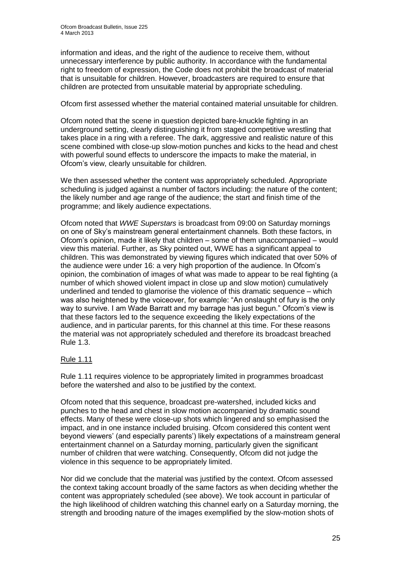information and ideas, and the right of the audience to receive them, without unnecessary interference by public authority. In accordance with the fundamental right to freedom of expression, the Code does not prohibit the broadcast of material that is unsuitable for children. However, broadcasters are required to ensure that children are protected from unsuitable material by appropriate scheduling.

#### Ofcom first assessed whether the material contained material unsuitable for children.

Ofcom noted that the scene in question depicted bare-knuckle fighting in an underground setting, clearly distinguishing it from staged competitive wrestling that takes place in a ring with a referee. The dark, aggressive and realistic nature of this scene combined with close-up slow-motion punches and kicks to the head and chest with powerful sound effects to underscore the impacts to make the material, in Ofcom's view, clearly unsuitable for children.

We then assessed whether the content was appropriately scheduled. Appropriate scheduling is judged against a number of factors including: the nature of the content; the likely number and age range of the audience; the start and finish time of the programme; and likely audience expectations.

Ofcom noted that *WWE Superstars* is broadcast from 09:00 on Saturday mornings on one of Sky's mainstream general entertainment channels. Both these factors, in Ofcom's opinion, made it likely that children – some of them unaccompanied – would view this material. Further, as Sky pointed out, WWE has a significant appeal to children. This was demonstrated by viewing figures which indicated that over 50% of the audience were under 16: a very high proportion of the audience. In Ofcom's opinion, the combination of images of what was made to appear to be real fighting (a number of which showed violent impact in close up and slow motion) cumulatively underlined and tended to glamorise the violence of this dramatic sequence – which was also heightened by the voiceover, for example: "An onslaught of fury is the only way to survive. I am Wade Barratt and my barrage has just begun." Ofcom's view is that these factors led to the sequence exceeding the likely expectations of the audience, and in particular parents, for this channel at this time. For these reasons the material was not appropriately scheduled and therefore its broadcast breached Rule 1.3.

#### Rule 1.11

Rule 1.11 requires violence to be appropriately limited in programmes broadcast before the watershed and also to be justified by the context.

Ofcom noted that this sequence, broadcast pre-watershed, included kicks and punches to the head and chest in slow motion accompanied by dramatic sound effects. Many of these were close-up shots which lingered and so emphasised the impact, and in one instance included bruising. Ofcom considered this content went beyond viewers' (and especially parents') likely expectations of a mainstream general entertainment channel on a Saturday morning, particularly given the significant number of children that were watching. Consequently, Ofcom did not judge the violence in this sequence to be appropriately limited.

Nor did we conclude that the material was justified by the context. Ofcom assessed the context taking account broadly of the same factors as when deciding whether the content was appropriately scheduled (see above). We took account in particular of the high likelihood of children watching this channel early on a Saturday morning, the strength and brooding nature of the images exemplified by the slow-motion shots of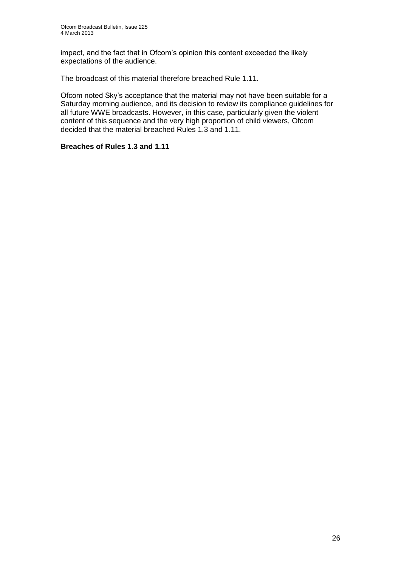impact, and the fact that in Ofcom's opinion this content exceeded the likely expectations of the audience.

The broadcast of this material therefore breached Rule 1.11.

Ofcom noted Sky's acceptance that the material may not have been suitable for a Saturday morning audience, and its decision to review its compliance guidelines for all future WWE broadcasts. However, in this case, particularly given the violent content of this sequence and the very high proportion of child viewers, Ofcom decided that the material breached Rules 1.3 and 1.11.

#### **Breaches of Rules 1.3 and 1.11**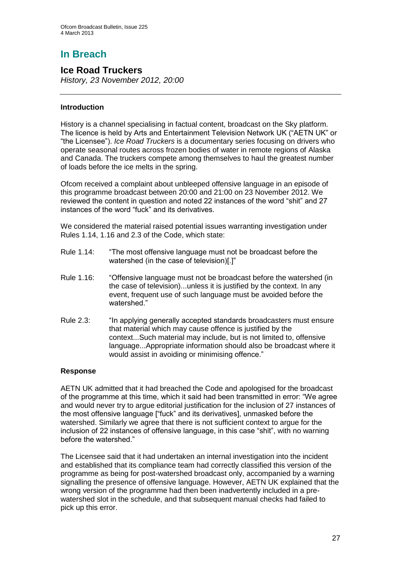# **In Breach**

## **Ice Road Truckers**

*History, 23 November 2012, 20:00*

#### **Introduction**

History is a channel specialising in factual content, broadcast on the Sky platform. The licence is held by Arts and Entertainment Television Network UK ("AETN UK" or "the Licensee"). *Ice Road Truckers* is a documentary series focusing on drivers who operate seasonal routes across frozen bodies of water in remote regions of Alaska and Canada. The truckers compete among themselves to haul the greatest number of loads before the ice melts in the spring.

Ofcom received a complaint about unbleeped offensive language in an episode of this programme broadcast between 20:00 and 21:00 on 23 November 2012. We reviewed the content in question and noted 22 instances of the word "shit" and 27 instances of the word "fuck" and its derivatives.

We considered the material raised potential issues warranting investigation under Rules 1.14, 1.16 and 2.3 of the Code, which state:

- Rule 1.14: "The most offensive language must not be broadcast before the watershed (in the case of television)[.]"
- Rule 1.16: "Offensive language must not be broadcast before the watershed (in the case of television)...unless it is justified by the context. In any event, frequent use of such language must be avoided before the watershed."
- Rule 2.3: "In applying generally accepted standards broadcasters must ensure that material which may cause offence is justified by the context...Such material may include, but is not limited to, offensive language...Appropriate information should also be broadcast where it would assist in avoiding or minimising offence."

#### **Response**

AETN UK admitted that it had breached the Code and apologised for the broadcast of the programme at this time, which it said had been transmitted in error: "We agree and would never try to argue editorial justification for the inclusion of 27 instances of the most offensive language ["fuck" and its derivatives], unmasked before the watershed. Similarly we agree that there is not sufficient context to argue for the inclusion of 22 instances of offensive language, in this case "shit", with no warning before the watershed."

The Licensee said that it had undertaken an internal investigation into the incident and established that its compliance team had correctly classified this version of the programme as being for post-watershed broadcast only, accompanied by a warning signalling the presence of offensive language. However, AETN UK explained that the wrong version of the programme had then been inadvertently included in a prewatershed slot in the schedule, and that subsequent manual checks had failed to pick up this error.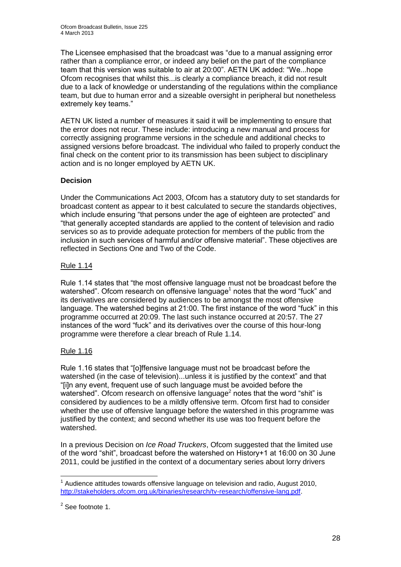The Licensee emphasised that the broadcast was "due to a manual assigning error rather than a compliance error, or indeed any belief on the part of the compliance team that this version was suitable to air at 20:00". AETN UK added: "We...hope Ofcom recognises that whilst this...is clearly a compliance breach, it did not result due to a lack of knowledge or understanding of the regulations within the compliance team, but due to human error and a sizeable oversight in peripheral but nonetheless extremely key teams."

AETN UK listed a number of measures it said it will be implementing to ensure that the error does not recur. These include: introducing a new manual and process for correctly assigning programme versions in the schedule and additional checks to assigned versions before broadcast. The individual who failed to properly conduct the final check on the content prior to its transmission has been subject to disciplinary action and is no longer employed by AETN UK.

#### **Decision**

Under the Communications Act 2003, Ofcom has a statutory duty to set standards for broadcast content as appear to it best calculated to secure the standards objectives, which include ensuring "that persons under the age of eighteen are protected" and "that generally accepted standards are applied to the content of television and radio services so as to provide adequate protection for members of the public from the inclusion in such services of harmful and/or offensive material". These objectives are reflected in Sections One and Two of the Code.

#### Rule 1.14

Rule 1.14 states that "the most offensive language must not be broadcast before the watershed". Ofcom research on offensive language<sup>1</sup> notes that the word "fuck" and its derivatives are considered by audiences to be amongst the most offensive language. The watershed begins at 21:00. The first instance of the word "fuck" in this programme occurred at 20:09. The last such instance occurred at 20:57. The 27 instances of the word "fuck" and its derivatives over the course of this hour-long programme were therefore a clear breach of Rule 1.14.

## Rule 1.16

Rule 1.16 states that "[o]ffensive language must not be broadcast before the watershed (in the case of television)...unless it is justified by the context" and that "[i]n any event, frequent use of such language must be avoided before the watershed". Ofcom research on offensive language<sup>2</sup> notes that the word "shit" is considered by audiences to be a mildly offensive term. Ofcom first had to consider whether the use of offensive language before the watershed in this programme was justified by the context; and second whether its use was too frequent before the watershed.

In a previous Decision on *Ice Road Truckers*, Ofcom suggested that the limited use of the word "shit", broadcast before the watershed on History+1 at 16:00 on 30 June 2011, could be justified in the context of a documentary series about lorry drivers

<sup>1</sup>  $1$  Audience attitudes towards offensive language on television and radio, August 2010, [http://stakeholders.ofcom.org.uk/binaries/research/tv-research/offensive-lang.pdf.](http://stakeholders.ofcom.org.uk/binaries/research/tv-research/offensive-lang.pdf)

<sup>&</sup>lt;sup>2</sup> See footnote 1.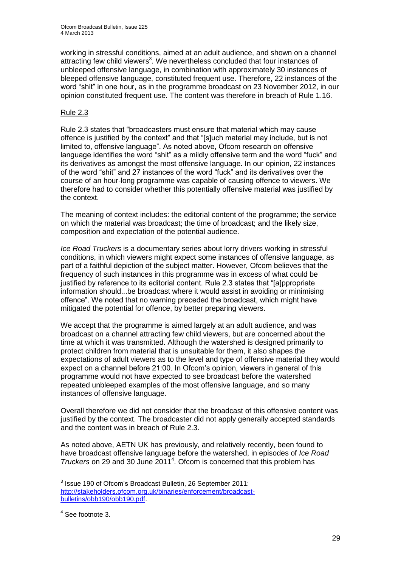working in stressful conditions, aimed at an adult audience, and shown on a channel attracting few child viewers<sup>3</sup>. We nevertheless concluded that four instances of unbleeped offensive language, in combination with approximately 30 instances of bleeped offensive language, constituted frequent use. Therefore, 22 instances of the word "shit" in one hour, as in the programme broadcast on 23 November 2012, in our opinion constituted frequent use. The content was therefore in breach of Rule 1.16.

#### Rule 2.3

Rule 2.3 states that "broadcasters must ensure that material which may cause offence is justified by the context" and that "[s]uch material may include, but is not limited to, offensive language". As noted above, Ofcom research on offensive language identifies the word "shit" as a mildly offensive term and the word "fuck" and its derivatives as amongst the most offensive language. In our opinion, 22 instances of the word "shit" and 27 instances of the word "fuck" and its derivatives over the course of an hour-long programme was capable of causing offence to viewers. We therefore had to consider whether this potentially offensive material was justified by the context.

The meaning of context includes: the editorial content of the programme; the service on which the material was broadcast; the time of broadcast; and the likely size, composition and expectation of the potential audience.

*Ice Road Truckers* is a documentary series about lorry drivers working in stressful conditions, in which viewers might expect some instances of offensive language, as part of a faithful depiction of the subject matter. However, Ofcom believes that the frequency of such instances in this programme was in excess of what could be justified by reference to its editorial content. Rule 2.3 states that "[a]ppropriate information should...be broadcast where it would assist in avoiding or minimising offence". We noted that no warning preceded the broadcast, which might have mitigated the potential for offence, by better preparing viewers.

We accept that the programme is aimed largely at an adult audience, and was broadcast on a channel attracting few child viewers, but are concerned about the time at which it was transmitted. Although the watershed is designed primarily to protect children from material that is unsuitable for them, it also shapes the expectations of adult viewers as to the level and type of offensive material they would expect on a channel before 21:00. In Ofcom's opinion, viewers in general of this programme would not have expected to see broadcast before the watershed repeated unbleeped examples of the most offensive language, and so many instances of offensive language.

Overall therefore we did not consider that the broadcast of this offensive content was justified by the context. The broadcaster did not apply generally accepted standards and the content was in breach of Rule 2.3.

As noted above, AETN UK has previously, and relatively recently, been found to have broadcast offensive language before the watershed, in episodes of *Ice Road*  Truckers on 29 and 30 June 2011<sup>4</sup>. Ofcom is concerned that this problem has

1

<sup>&</sup>lt;sup>3</sup> Issue 190 of Ofcom's Broadcast Bulletin, 26 September 2011: [http://stakeholders.ofcom.org.uk/binaries/enforcement/broadcast](http://stakeholders.ofcom.org.uk/binaries/enforcement/broadcast-bulletins/obb190/obb190.pdf)[bulletins/obb190/obb190.pdf.](http://stakeholders.ofcom.org.uk/binaries/enforcement/broadcast-bulletins/obb190/obb190.pdf)

<sup>4</sup> See footnote 3.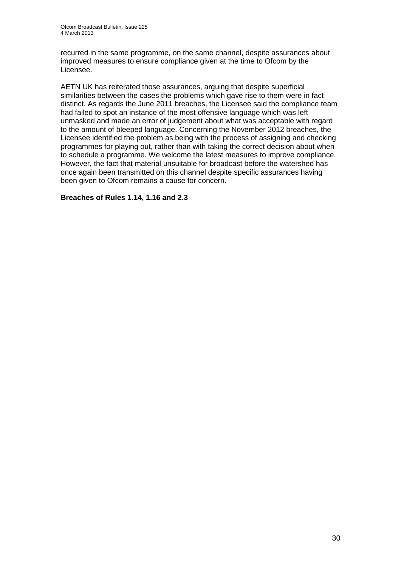recurred in the same programme, on the same channel, despite assurances about improved measures to ensure compliance given at the time to Ofcom by the Licensee.

AETN UK has reiterated those assurances, arguing that despite superficial similarities between the cases the problems which gave rise to them were in fact distinct. As regards the June 2011 breaches, the Licensee said the compliance team had failed to spot an instance of the most offensive language which was left unmasked and made an error of judgement about what was acceptable with regard to the amount of bleeped language. Concerning the November 2012 breaches, the Licensee identified the problem as being with the process of assigning and checking programmes for playing out, rather than with taking the correct decision about when to schedule a programme. We welcome the latest measures to improve compliance. However, the fact that material unsuitable for broadcast before the watershed has once again been transmitted on this channel despite specific assurances having been given to Ofcom remains a cause for concern.

#### **Breaches of Rules 1.14, 1.16 and 2.3**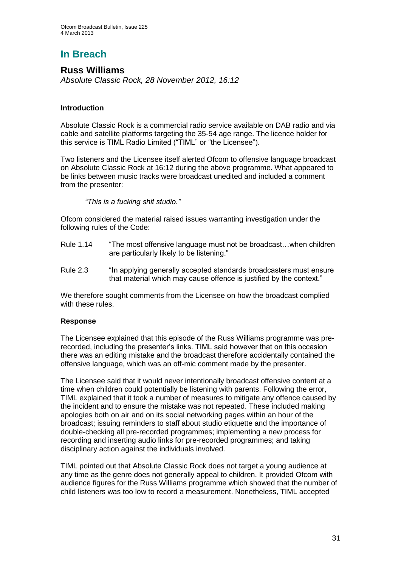# **In Breach**

## **Russ Williams**

*Absolute Classic Rock, 28 November 2012, 16:12*

#### **Introduction**

Absolute Classic Rock is a commercial radio service available on DAB radio and via cable and satellite platforms targeting the 35-54 age range. The licence holder for this service is TIML Radio Limited ("TIML" or "the Licensee").

Two listeners and the Licensee itself alerted Ofcom to offensive language broadcast on Absolute Classic Rock at 16:12 during the above programme. What appeared to be links between music tracks were broadcast unedited and included a comment from the presenter:

*"This is a fucking shit studio."*

Ofcom considered the material raised issues warranting investigation under the following rules of the Code:

- Rule 1.14 "The most offensive language must not be broadcast…when children are particularly likely to be listening."
- Rule 2.3 "In applying generally accepted standards broadcasters must ensure that material which may cause offence is justified by the context."

We therefore sought comments from the Licensee on how the broadcast complied with these rules.

#### **Response**

The Licensee explained that this episode of the Russ Williams programme was prerecorded, including the presenter's links. TIML said however that on this occasion there was an editing mistake and the broadcast therefore accidentally contained the offensive language, which was an off-mic comment made by the presenter.

The Licensee said that it would never intentionally broadcast offensive content at a time when children could potentially be listening with parents. Following the error, TIML explained that it took a number of measures to mitigate any offence caused by the incident and to ensure the mistake was not repeated. These included making apologies both on air and on its social networking pages within an hour of the broadcast; issuing reminders to staff about studio etiquette and the importance of double-checking all pre-recorded programmes; implementing a new process for recording and inserting audio links for pre-recorded programmes; and taking disciplinary action against the individuals involved.

TIML pointed out that Absolute Classic Rock does not target a young audience at any time as the genre does not generally appeal to children. It provided Ofcom with audience figures for the Russ Williams programme which showed that the number of child listeners was too low to record a measurement. Nonetheless, TIML accepted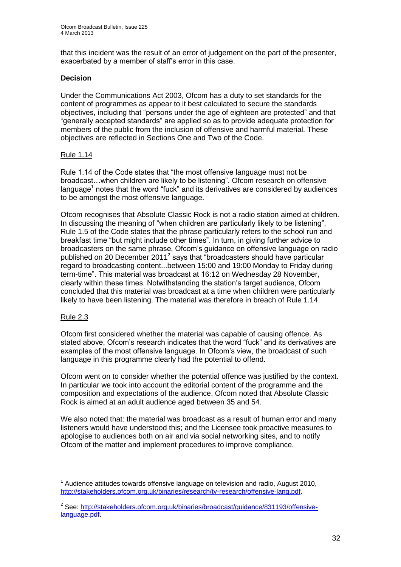that this incident was the result of an error of judgement on the part of the presenter, exacerbated by a member of staff's error in this case.

#### **Decision**

Under the Communications Act 2003, Ofcom has a duty to set standards for the content of programmes as appear to it best calculated to secure the standards objectives, including that "persons under the age of eighteen are protected" and that "generally accepted standards" are applied so as to provide adequate protection for members of the public from the inclusion of offensive and harmful material. These objectives are reflected in Sections One and Two of the Code.

#### Rule 1.14

Rule 1.14 of the Code states that "the most offensive language must not be broadcast…when children are likely to be listening". Ofcom research on offensive language $<sup>1</sup>$  notes that the word "fuck" and its derivatives are considered by audiences</sup> to be amongst the most offensive language.

Ofcom recognises that Absolute Classic Rock is not a radio station aimed at children. In discussing the meaning of "when children are particularly likely to be listening", Rule 1.5 of the Code states that the phrase particularly refers to the school run and breakfast time "but might include other times". In turn, in giving further advice to broadcasters on the same phrase, Ofcom's guidance on offensive language on radio published on 20 December 2011<sup>2</sup> says that "broadcasters should have particular regard to broadcasting content...between 15:00 and 19:00 Monday to Friday during term-time". This material was broadcast at 16:12 on Wednesday 28 November, clearly within these times. Notwithstanding the station's target audience, Ofcom concluded that this material was broadcast at a time when children were particularly likely to have been listening. The material was therefore in breach of Rule 1.14.

#### Rule 2.3

Ofcom first considered whether the material was capable of causing offence. As stated above, Ofcom's research indicates that the word "fuck" and its derivatives are examples of the most offensive language. In Ofcom's view, the broadcast of such language in this programme clearly had the potential to offend.

Ofcom went on to consider whether the potential offence was justified by the context. In particular we took into account the editorial content of the programme and the composition and expectations of the audience. Ofcom noted that Absolute Classic Rock is aimed at an adult audience aged between 35 and 54.

We also noted that: the material was broadcast as a result of human error and many listeners would have understood this; and the Licensee took proactive measures to apologise to audiences both on air and via social networking sites, and to notify Ofcom of the matter and implement procedures to improve compliance.

<sup>1</sup>  $1$  Audience attitudes towards offensive language on television and radio, August 2010, [http://stakeholders.ofcom.org.uk/binaries/research/tv-research/offensive-lang.pdf.](http://stakeholders.ofcom.org.uk/binaries/research/tv-research/offensive-lang.pdf)

<sup>&</sup>lt;sup>2</sup> See: [http://stakeholders.ofcom.org.uk/binaries/broadcast/guidance/831193/offensive](http://stakeholders.ofcom.org.uk/binaries/broadcast/guidance/831193/offensive-language.pdf)[language.pdf.](http://stakeholders.ofcom.org.uk/binaries/broadcast/guidance/831193/offensive-language.pdf)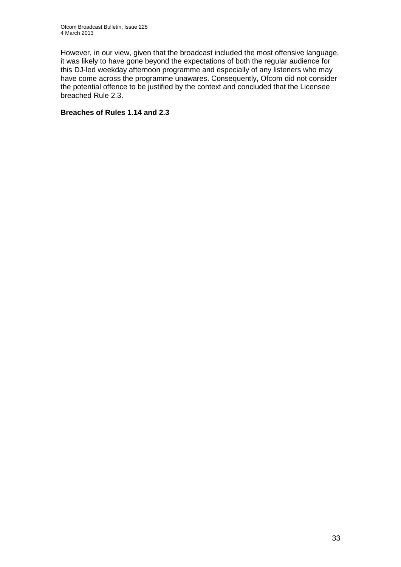However, in our view, given that the broadcast included the most offensive language, it was likely to have gone beyond the expectations of both the regular audience for this DJ-led weekday afternoon programme and especially of any listeners who may have come across the programme unawares. Consequently, Ofcom did not consider the potential offence to be justified by the context and concluded that the Licensee breached Rule 2.3.

#### **Breaches of Rules 1.14 and 2.3**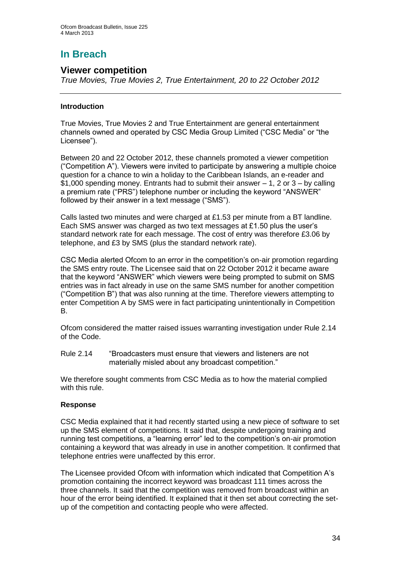# **In Breach**

## **Viewer competition**

*True Movies, True Movies 2, True Entertainment, 20 to 22 October 2012* 

#### **Introduction**

True Movies, True Movies 2 and True Entertainment are general entertainment channels owned and operated by CSC Media Group Limited ("CSC Media" or "the Licensee").

Between 20 and 22 October 2012, these channels promoted a viewer competition ("Competition A"). Viewers were invited to participate by answering a multiple choice question for a chance to win a holiday to the Caribbean Islands, an e-reader and \$1,000 spending money. Entrants had to submit their answer  $-1$ , 2 or 3 – by calling a premium rate ("PRS") telephone number or including the keyword "ANSWER" followed by their answer in a text message ("SMS").

Calls lasted two minutes and were charged at £1.53 per minute from a BT landline. Each SMS answer was charged as two text messages at £1.50 plus the user's standard network rate for each message. The cost of entry was therefore £3.06 by telephone, and £3 by SMS (plus the standard network rate).

CSC Media alerted Ofcom to an error in the competition's on-air promotion regarding the SMS entry route. The Licensee said that on 22 October 2012 it became aware that the keyword "ANSWER" which viewers were being prompted to submit on SMS entries was in fact already in use on the same SMS number for another competition ("Competition B") that was also running at the time. Therefore viewers attempting to enter Competition A by SMS were in fact participating unintentionally in Competition B.

Ofcom considered the matter raised issues warranting investigation under Rule 2.14 of the Code.

Rule 2.14 "Broadcasters must ensure that viewers and listeners are not materially misled about any broadcast competition."

We therefore sought comments from CSC Media as to how the material complied with this rule.

#### **Response**

CSC Media explained that it had recently started using a new piece of software to set up the SMS element of competitions. It said that, despite undergoing training and running test competitions, a "learning error" led to the competition's on-air promotion containing a keyword that was already in use in another competition. It confirmed that telephone entries were unaffected by this error.

The Licensee provided Ofcom with information which indicated that Competition A's promotion containing the incorrect keyword was broadcast 111 times across the three channels. It said that the competition was removed from broadcast within an hour of the error being identified. It explained that it then set about correcting the setup of the competition and contacting people who were affected.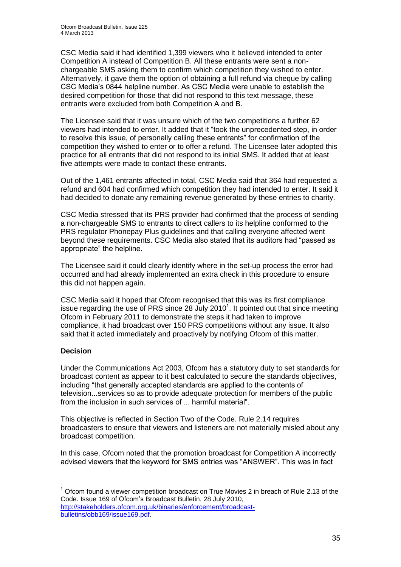CSC Media said it had identified 1,399 viewers who it believed intended to enter Competition A instead of Competition B. All these entrants were sent a nonchargeable SMS asking them to confirm which competition they wished to enter. Alternatively, it gave them the option of obtaining a full refund via cheque by calling CSC Media's 0844 helpline number. As CSC Media were unable to establish the desired competition for those that did not respond to this text message, these entrants were excluded from both Competition A and B.

The Licensee said that it was unsure which of the two competitions a further 62 viewers had intended to enter. It added that it "took the unprecedented step, in order to resolve this issue, of personally calling these entrants" for confirmation of the competition they wished to enter or to offer a refund. The Licensee later adopted this practice for all entrants that did not respond to its initial SMS. It added that at least five attempts were made to contact these entrants.

Out of the 1,461 entrants affected in total, CSC Media said that 364 had requested a refund and 604 had confirmed which competition they had intended to enter. It said it had decided to donate any remaining revenue generated by these entries to charity.

CSC Media stressed that its PRS provider had confirmed that the process of sending a non-chargeable SMS to entrants to direct callers to its helpline conformed to the PRS regulator Phonepay Plus guidelines and that calling everyone affected went beyond these requirements. CSC Media also stated that its auditors had "passed as appropriate" the helpline.

The Licensee said it could clearly identify where in the set-up process the error had occurred and had already implemented an extra check in this procedure to ensure this did not happen again.

CSC Media said it hoped that Ofcom recognised that this was its first compliance issue regarding the use of PRS since 28 July 2010<sup>1</sup>. It pointed out that since meeting Ofcom in February 2011 to demonstrate the steps it had taken to improve compliance, it had broadcast over 150 PRS competitions without any issue. It also said that it acted immediately and proactively by notifying Ofcom of this matter.

#### **Decision**

1

Under the Communications Act 2003, Ofcom has a statutory duty to set standards for broadcast content as appear to it best calculated to secure the standards objectives, including "that generally accepted standards are applied to the contents of television...services so as to provide adequate protection for members of the public from the inclusion in such services of ... harmful material".

This objective is reflected in Section Two of the Code. Rule 2.14 requires broadcasters to ensure that viewers and listeners are not materially misled about any broadcast competition.

In this case, Ofcom noted that the promotion broadcast for Competition A incorrectly advised viewers that the keyword for SMS entries was "ANSWER". This was in fact

 $1$  Ofcom found a viewer competition broadcast on True Movies 2 in breach of Rule 2.13 of the Code. Issue 169 of Ofcom's Broadcast Bulletin, 28 July 2010,

[http://stakeholders.ofcom.org.uk/binaries/enforcement/broadcast](http://stakeholders.ofcom.org.uk/binaries/enforcement/broadcast-bulletins/obb169/issue169.pdf)[bulletins/obb169/issue169.pdf.](http://stakeholders.ofcom.org.uk/binaries/enforcement/broadcast-bulletins/obb169/issue169.pdf)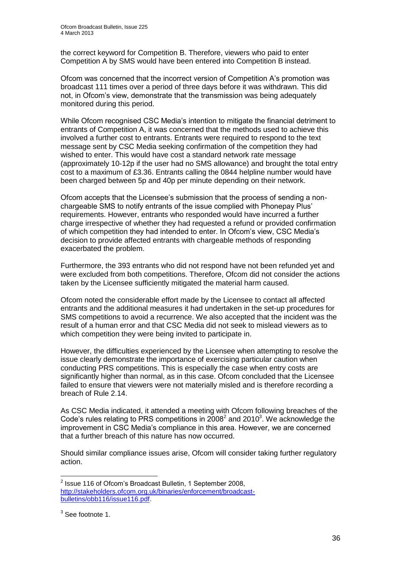the correct keyword for Competition B. Therefore, viewers who paid to enter Competition A by SMS would have been entered into Competition B instead.

Ofcom was concerned that the incorrect version of Competition A's promotion was broadcast 111 times over a period of three days before it was withdrawn. This did not, in Ofcom's view, demonstrate that the transmission was being adequately monitored during this period.

While Ofcom recognised CSC Media's intention to mitigate the financial detriment to entrants of Competition A, it was concerned that the methods used to achieve this involved a further cost to entrants. Entrants were required to respond to the text message sent by CSC Media seeking confirmation of the competition they had wished to enter. This would have cost a standard network rate message (approximately 10-12p if the user had no SMS allowance) and brought the total entry cost to a maximum of £3.36. Entrants calling the 0844 helpline number would have been charged between 5p and 40p per minute depending on their network.

Ofcom accepts that the Licensee's submission that the process of sending a nonchargeable SMS to notify entrants of the issue complied with Phonepay Plus' requirements. However, entrants who responded would have incurred a further charge irrespective of whether they had requested a refund or provided confirmation of which competition they had intended to enter. In Ofcom's view, CSC Media's decision to provide affected entrants with chargeable methods of responding exacerbated the problem.

Furthermore, the 393 entrants who did not respond have not been refunded yet and were excluded from both competitions. Therefore, Ofcom did not consider the actions taken by the Licensee sufficiently mitigated the material harm caused.

Ofcom noted the considerable effort made by the Licensee to contact all affected entrants and the additional measures it had undertaken in the set-up procedures for SMS competitions to avoid a recurrence. We also accepted that the incident was the result of a human error and that CSC Media did not seek to mislead viewers as to which competition they were being invited to participate in.

However, the difficulties experienced by the Licensee when attempting to resolve the issue clearly demonstrate the importance of exercising particular caution when conducting PRS competitions. This is especially the case when entry costs are significantly higher than normal, as in this case. Ofcom concluded that the Licensee failed to ensure that viewers were not materially misled and is therefore recording a breach of Rule 2.14.

As CSC Media indicated, it attended a meeting with Ofcom following breaches of the Code's rules relating to PRS competitions in  $2008<sup>2</sup>$  and  $2010<sup>3</sup>$ . We acknowledge the improvement in CSC Media's compliance in this area. However, we are concerned that a further breach of this nature has now occurred.

Should similar compliance issues arise, Ofcom will consider taking further regulatory action.

 2 Issue 116 of Ofcom's Broadcast Bulletin, 1 September 2008, [http://stakeholders.ofcom.org.uk/binaries/enforcement/broadcast](http://stakeholders.ofcom.org.uk/binaries/enforcement/broadcast-bulletins/obb116/issue116.pdf)[bulletins/obb116/issue116.pdf.](http://stakeholders.ofcom.org.uk/binaries/enforcement/broadcast-bulletins/obb116/issue116.pdf)

 $3$  See footnote 1.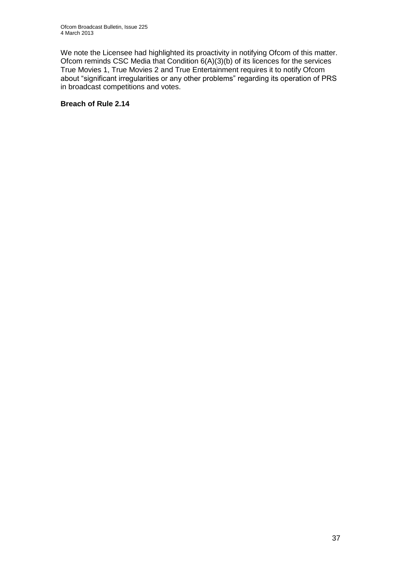We note the Licensee had highlighted its proactivity in notifying Ofcom of this matter. Ofcom reminds CSC Media that Condition 6(A)(3)(b) of its licences for the services True Movies 1, True Movies 2 and True Entertainment requires it to notify Ofcom about "significant irregularities or any other problems" regarding its operation of PRS in broadcast competitions and votes.

#### **Breach of Rule 2.14**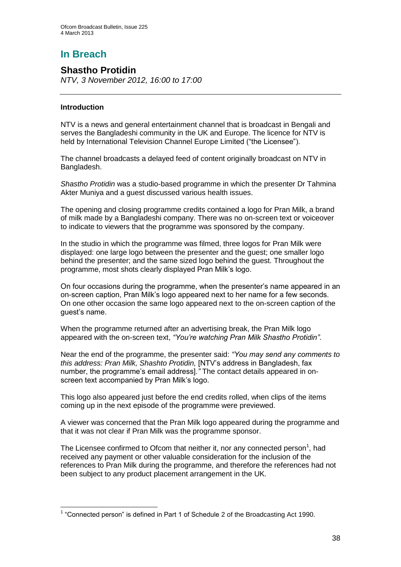# **In Breach**

### **Shastho Protidin**

*NTV, 3 November 2012, 16:00 to 17:00*

### **Introduction**

NTV is a news and general entertainment channel that is broadcast in Bengali and serves the Bangladeshi community in the UK and Europe. The licence for NTV is held by International Television Channel Europe Limited ("the Licensee").

The channel broadcasts a delayed feed of content originally broadcast on NTV in Bangladesh.

*Shastho Protidin* was a studio-based programme in which the presenter Dr Tahmina Akter Muniya and a guest discussed various health issues.

The opening and closing programme credits contained a logo for Pran Milk, a brand of milk made by a Bangladeshi company. There was no on-screen text or voiceover to indicate to viewers that the programme was sponsored by the company.

In the studio in which the programme was filmed, three logos for Pran Milk were displayed: one large logo between the presenter and the guest; one smaller logo behind the presenter; and the same sized logo behind the guest. Throughout the programme, most shots clearly displayed Pran Milk's logo.

On four occasions during the programme, when the presenter's name appeared in an on-screen caption, Pran Milk's logo appeared next to her name for a few seconds. On one other occasion the same logo appeared next to the on-screen caption of the guest's name.

When the programme returned after an advertising break, the Pran Milk logo appeared with the on-screen text, *"You're watching Pran Milk Shastho Protidin"*.

Near the end of the programme, the presenter said: *"You may send any comments to this address: Pran Milk, Shashto Protidin,* [NTV's address in Bangladesh, fax number, the programme's email address]*."* The contact details appeared in onscreen text accompanied by Pran Milk's logo.

This logo also appeared just before the end credits rolled, when clips of the items coming up in the next episode of the programme were previewed.

A viewer was concerned that the Pran Milk logo appeared during the programme and that it was not clear if Pran Milk was the programme sponsor.

The Licensee confirmed to Ofcom that neither it, nor any connected person<sup>1</sup>, had received any payment or other valuable consideration for the inclusion of the references to Pran Milk during the programme, and therefore the references had not been subject to any product placement arrangement in the UK.

 1 "Connected person" is defined in Part 1 of Schedule 2 of the Broadcasting Act 1990.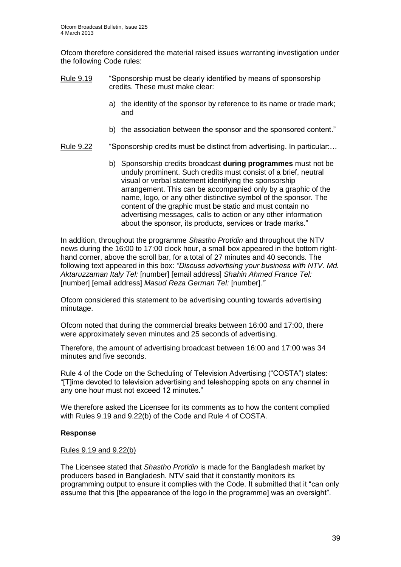Ofcom therefore considered the material raised issues warranting investigation under the following Code rules:

- Rule 9.19 "Sponsorship must be clearly identified by means of sponsorship credits. These must make clear:
	- a) the identity of the sponsor by reference to its name or trade mark; and
	- b) the association between the sponsor and the sponsored content."
- Rule 9.22 "Sponsorship credits must be distinct from advertising. In particular:…
	- b) Sponsorship credits broadcast **during programmes** must not be unduly prominent. Such credits must consist of a brief, neutral visual or verbal statement identifying the sponsorship arrangement. This can be accompanied only by a graphic of the name, logo, or any other distinctive symbol of the sponsor. The content of the graphic must be static and must contain no advertising messages, calls to action or any other information about the sponsor, its products, services or trade marks."

In addition, throughout the programme *Shastho Protidin* and throughout the NTV news during the 16:00 to 17:00 clock hour, a small box appeared in the bottom righthand corner, above the scroll bar, for a total of 27 minutes and 40 seconds. The following text appeared in this box: *"Discuss advertising your business with NTV. Md. Aktaruzzaman Italy Tel:* [number] [email address] *Shahin Ahmed France Tel:*  [number] [email address] *Masud Reza German Tel:* [number]*."* 

Ofcom considered this statement to be advertising counting towards advertising minutage.

Ofcom noted that during the commercial breaks between 16:00 and 17:00, there were approximately seven minutes and 25 seconds of advertising.

Therefore, the amount of advertising broadcast between 16:00 and 17:00 was 34 minutes and five seconds.

Rule 4 of the Code on the Scheduling of Television Advertising ("COSTA") states: "[T]ime devoted to television advertising and teleshopping spots on any channel in any one hour must not exceed 12 minutes."

We therefore asked the Licensee for its comments as to how the content complied with Rules 9.19 and 9.22(b) of the Code and Rule 4 of COSTA.

#### **Response**

#### Rules 9.19 and 9.22(b)

The Licensee stated that *Shastho Protidin* is made for the Bangladesh market by producers based in Bangladesh. NTV said that it constantly monitors its programming output to ensure it complies with the Code. It submitted that it "can only assume that this [the appearance of the logo in the programme] was an oversight".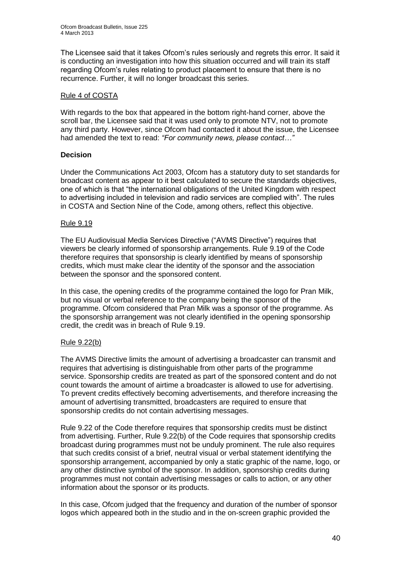The Licensee said that it takes Ofcom's rules seriously and regrets this error. It said it is conducting an investigation into how this situation occurred and will train its staff regarding Ofcom's rules relating to product placement to ensure that there is no recurrence. Further, it will no longer broadcast this series.

### Rule 4 of COSTA

With regards to the box that appeared in the bottom right-hand corner, above the scroll bar, the Licensee said that it was used only to promote NTV, not to promote any third party. However, since Ofcom had contacted it about the issue, the Licensee had amended the text to read: *"For community news, please contact…"*

### **Decision**

Under the Communications Act 2003, Ofcom has a statutory duty to set standards for broadcast content as appear to it best calculated to secure the standards objectives, one of which is that "the international obligations of the United Kingdom with respect to advertising included in television and radio services are complied with". The rules in COSTA and Section Nine of the Code, among others, reflect this objective.

### Rule 9.19

The EU Audiovisual Media Services Directive ("AVMS Directive") requires that viewers be clearly informed of sponsorship arrangements. Rule 9.19 of the Code therefore requires that sponsorship is clearly identified by means of sponsorship credits, which must make clear the identity of the sponsor and the association between the sponsor and the sponsored content.

In this case, the opening credits of the programme contained the logo for Pran Milk, but no visual or verbal reference to the company being the sponsor of the programme. Ofcom considered that Pran Milk was a sponsor of the programme. As the sponsorship arrangement was not clearly identified in the opening sponsorship credit, the credit was in breach of Rule 9.19.

### Rule 9.22(b)

The AVMS Directive limits the amount of advertising a broadcaster can transmit and requires that advertising is distinguishable from other parts of the programme service. Sponsorship credits are treated as part of the sponsored content and do not count towards the amount of airtime a broadcaster is allowed to use for advertising. To prevent credits effectively becoming advertisements, and therefore increasing the amount of advertising transmitted, broadcasters are required to ensure that sponsorship credits do not contain advertising messages.

Rule 9.22 of the Code therefore requires that sponsorship credits must be distinct from advertising. Further, Rule 9.22(b) of the Code requires that sponsorship credits broadcast during programmes must not be unduly prominent. The rule also requires that such credits consist of a brief, neutral visual or verbal statement identifying the sponsorship arrangement, accompanied by only a static graphic of the name, logo, or any other distinctive symbol of the sponsor. In addition, sponsorship credits during programmes must not contain advertising messages or calls to action, or any other information about the sponsor or its products.

In this case, Ofcom judged that the frequency and duration of the number of sponsor logos which appeared both in the studio and in the on-screen graphic provided the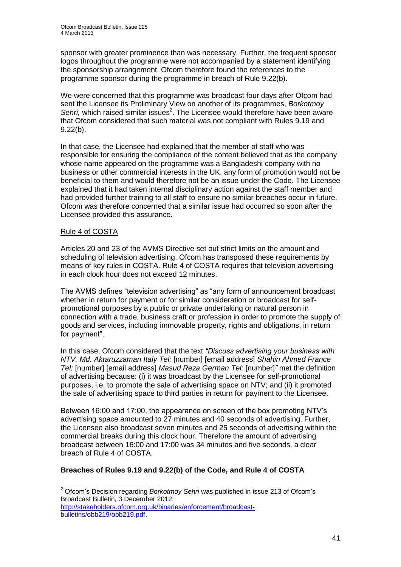sponsor with greater prominence than was necessary. Further, the frequent sponsor logos throughout the programme were not accompanied by a statement identifying the sponsorship arrangement. Ofcom therefore found the references to the programme sponsor during the programme in breach of Rule 9.22(b).

We were concerned that this programme was broadcast four days after Ofcom had sent the Licensee its Preliminary View on another of its programmes, *Borkotmoy*  Sehri, which raised similar issues<sup>2</sup>. The Licensee would therefore have been aware that Ofcom considered that such material was not compliant with Rules 9.19 and 9.22(b).

In that case, the Licensee had explained that the member of staff who was responsible for ensuring the compliance of the content believed that as the company whose name appeared on the programme was a Bangladeshi company with no business or other commercial interests in the UK, any form of promotion would not be beneficial to them and would therefore not be an issue under the Code. The Licensee explained that it had taken internal disciplinary action against the staff member and had provided further training to all staff to ensure no similar breaches occur in future. Ofcom was therefore concerned that a similar issue had occurred so soon after the Licensee provided this assurance.

### Rule 4 of COSTA

Articles 20 and 23 of the AVMS Directive set out strict limits on the amount and scheduling of television advertising. Ofcom has transposed these requirements by means of key rules in COSTA. Rule 4 of COSTA requires that television advertising in each clock hour does not exceed 12 minutes.

The AVMS defines "television advertising" as "any form of announcement broadcast whether in return for payment or for similar consideration or broadcast for selfpromotional purposes by a public or private undertaking or natural person in connection with a trade, business craft or profession in order to promote the supply of goods and services, including immovable property, rights and obligations, in return for payment".

In this case, Ofcom considered that the text *"Discuss advertising your business with NTV. Md. Aktaruzzaman Italy Tel:* [number] [email address] *Shahin Ahmed France Tel:* [number] [email address] *Masud Reza German Tel:* [number]*"* met the definition of advertising because: (i) it was broadcast by the Licensee for self-promotional purposes, i.e. to promote the sale of advertising space on NTV; and (ii) it promoted the sale of advertising space to third parties in return for payment to the Licensee.

Between 16:00 and 17:00, the appearance on screen of the box promoting NTV's advertising space amounted to 27 minutes and 40 seconds of advertising. Further, the Licensee also broadcast seven minutes and 25 seconds of advertising within the commercial breaks during this clock hour. Therefore the amount of advertising broadcast between 16:00 and 17:00 was 34 minutes and five seconds, a clear breach of Rule 4 of COSTA.

### **Breaches of Rules 9.19 and 9.22(b) of the Code, and Rule 4 of COSTA**

<sup>1</sup> <sup>2</sup> Ofcom's Decision regarding *Borkotmoy Sehri* was published in issue 213 of Ofcom's Broadcast Bulletin, 3 December 2012:

[http://stakeholders.ofcom.org.uk/binaries/enforcement/broadcast](http://stakeholders.ofcom.org.uk/binaries/enforcement/broadcast-bulletins/obb219/obb219.pdf)[bulletins/obb219/obb219.pdf.](http://stakeholders.ofcom.org.uk/binaries/enforcement/broadcast-bulletins/obb219/obb219.pdf)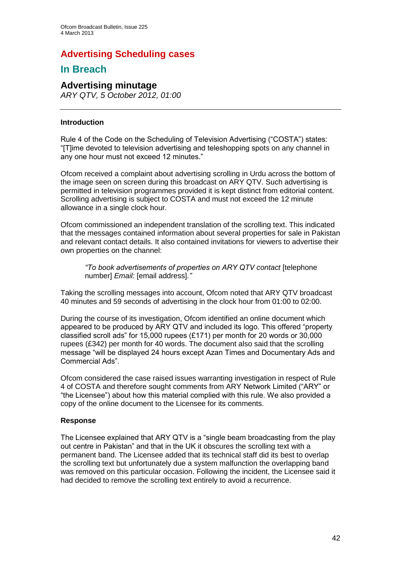## **Advertising Scheduling cases**

### **In Breach**

### **Advertising minutage**

*ARY QTV, 5 October 2012, 01:00*

### **Introduction**

Rule 4 of the Code on the Scheduling of Television Advertising ("COSTA") states: "[T]ime devoted to television advertising and teleshopping spots on any channel in any one hour must not exceed 12 minutes."

Ofcom received a complaint about advertising scrolling in Urdu across the bottom of the image seen on screen during this broadcast on ARY QTV. Such advertising is permitted in television programmes provided it is kept distinct from editorial content. Scrolling advertising is subject to COSTA and must not exceed the 12 minute allowance in a single clock hour.

Ofcom commissioned an independent translation of the scrolling text. This indicated that the messages contained information about several properties for sale in Pakistan and relevant contact details. It also contained invitations for viewers to advertise their own properties on the channel:

*"To book advertisements of properties on ARY QTV contact* [telephone number] *Email:* [email address]*."*

Taking the scrolling messages into account, Ofcom noted that ARY QTV broadcast 40 minutes and 59 seconds of advertising in the clock hour from 01:00 to 02:00.

During the course of its investigation, Ofcom identified an online document which appeared to be produced by ARY QTV and included its logo. This offered "property classified scroll ads" for 15,000 rupees (£171) per month for 20 words or 30,000 rupees (£342) per month for 40 words. The document also said that the scrolling message "will be displayed 24 hours except Azan Times and Documentary Ads and Commercial Ads".

Ofcom considered the case raised issues warranting investigation in respect of Rule 4 of COSTA and therefore sought comments from ARY Network Limited ("ARY" or "the Licensee") about how this material complied with this rule. We also provided a copy of the online document to the Licensee for its comments.

### **Response**

The Licensee explained that ARY QTV is a "single beam broadcasting from the play out centre in Pakistan" and that in the UK it obscures the scrolling text with a permanent band. The Licensee added that its technical staff did its best to overlap the scrolling text but unfortunately due a system malfunction the overlapping band was removed on this particular occasion. Following the incident, the Licensee said it had decided to remove the scrolling text entirely to avoid a recurrence.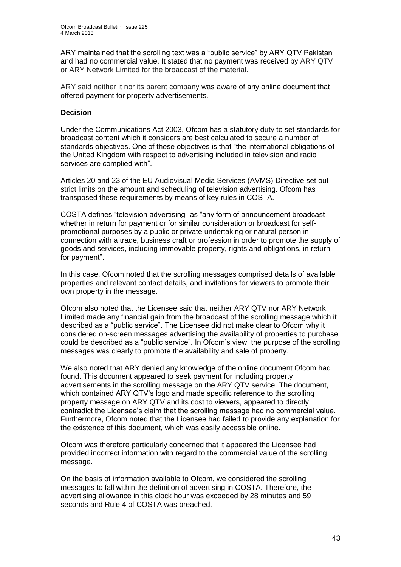ARY maintained that the scrolling text was a "public service" by ARY QTV Pakistan and had no commercial value. It stated that no payment was received by ARY QTV or ARY Network Limited for the broadcast of the material.

ARY said neither it nor its parent company was aware of any online document that offered payment for property advertisements.

#### **Decision**

Under the Communications Act 2003, Ofcom has a statutory duty to set standards for broadcast content which it considers are best calculated to secure a number of standards objectives. One of these objectives is that "the international obligations of the United Kingdom with respect to advertising included in television and radio services are complied with".

Articles 20 and 23 of the EU Audiovisual Media Services (AVMS) Directive set out strict limits on the amount and scheduling of television advertising. Ofcom has transposed these requirements by means of key rules in COSTA.

COSTA defines "television advertising" as "any form of announcement broadcast whether in return for payment or for similar consideration or broadcast for selfpromotional purposes by a public or private undertaking or natural person in connection with a trade, business craft or profession in order to promote the supply of goods and services, including immovable property, rights and obligations, in return for payment".

In this case, Ofcom noted that the scrolling messages comprised details of available properties and relevant contact details, and invitations for viewers to promote their own property in the message.

Ofcom also noted that the Licensee said that neither ARY QTV nor ARY Network Limited made any financial gain from the broadcast of the scrolling message which it described as a "public service". The Licensee did not make clear to Ofcom why it considered on-screen messages advertising the availability of properties to purchase could be described as a "public service". In Ofcom's view, the purpose of the scrolling messages was clearly to promote the availability and sale of property.

We also noted that ARY denied any knowledge of the online document Ofcom had found. This document appeared to seek payment for including property advertisements in the scrolling message on the ARY QTV service. The document, which contained ARY QTV's logo and made specific reference to the scrolling property message on ARY QTV and its cost to viewers, appeared to directly contradict the Licensee's claim that the scrolling message had no commercial value. Furthermore, Ofcom noted that the Licensee had failed to provide any explanation for the existence of this document, which was easily accessible online.

Ofcom was therefore particularly concerned that it appeared the Licensee had provided incorrect information with regard to the commercial value of the scrolling message.

On the basis of information available to Ofcom, we considered the scrolling messages to fall within the definition of advertising in COSTA. Therefore, the advertising allowance in this clock hour was exceeded by 28 minutes and 59 seconds and Rule 4 of COSTA was breached.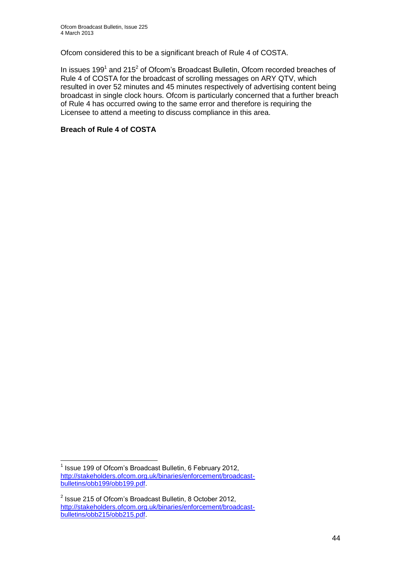Ofcom considered this to be a significant breach of Rule 4 of COSTA.

In issues 199<sup>1</sup> and 215<sup>2</sup> of Ofcom's Broadcast Bulletin, Ofcom recorded breaches of Rule 4 of COSTA for the broadcast of scrolling messages on ARY QTV, which resulted in over 52 minutes and 45 minutes respectively of advertising content being broadcast in single clock hours. Ofcom is particularly concerned that a further breach of Rule 4 has occurred owing to the same error and therefore is requiring the Licensee to attend a meeting to discuss compliance in this area.

### **Breach of Rule 4 of COSTA**

1

<sup>&</sup>lt;sup>1</sup> Issue 199 of Ofcom's Broadcast Bulletin, 6 February 2012, [http://stakeholders.ofcom.org.uk/binaries/enforcement/broadcast](http://stakeholders.ofcom.org.uk/binaries/enforcement/broadcast-bulletins/obb199/obb199.pdf)[bulletins/obb199/obb199.pdf.](http://stakeholders.ofcom.org.uk/binaries/enforcement/broadcast-bulletins/obb199/obb199.pdf)

 $2$  Issue 215 of Ofcom's Broadcast Bulletin, 8 October 2012, [http://stakeholders.ofcom.org.uk/binaries/enforcement/broadcast](http://stakeholders.ofcom.org.uk/binaries/enforcement/broadcast-bulletins/obb215/obb215.pdf)[bulletins/obb215/obb215.pdf.](http://stakeholders.ofcom.org.uk/binaries/enforcement/broadcast-bulletins/obb215/obb215.pdf)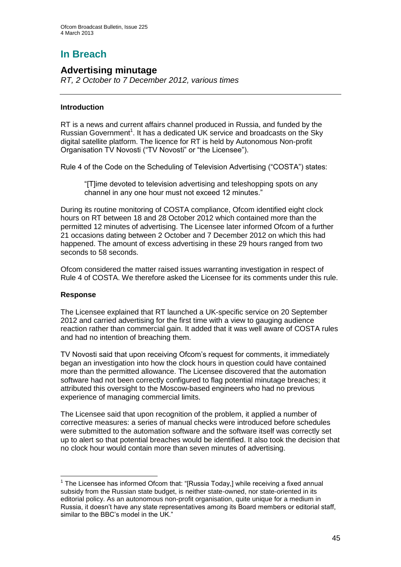# **In Breach**

### **Advertising minutage**

*RT, 2 October to 7 December 2012, various times*

### **Introduction**

RT is a news and current affairs channel produced in Russia, and funded by the Russian Government<sup>1</sup>. It has a dedicated UK service and broadcasts on the Sky digital satellite platform. The licence for RT is held by Autonomous Non-profit Organisation TV Novosti ("TV Novosti" or "the Licensee").

Rule 4 of the Code on the Scheduling of Television Advertising ("COSTA") states:

"[T]ime devoted to television advertising and teleshopping spots on any channel in any one hour must not exceed 12 minutes."

During its routine monitoring of COSTA compliance, Ofcom identified eight clock hours on RT between 18 and 28 October 2012 which contained more than the permitted 12 minutes of advertising. The Licensee later informed Ofcom of a further 21 occasions dating between 2 October and 7 December 2012 on which this had happened. The amount of excess advertising in these 29 hours ranged from two seconds to 58 seconds.

Ofcom considered the matter raised issues warranting investigation in respect of Rule 4 of COSTA. We therefore asked the Licensee for its comments under this rule.

### **Response**

The Licensee explained that RT launched a UK-specific service on 20 September 2012 and carried advertising for the first time with a view to gauging audience reaction rather than commercial gain. It added that it was well aware of COSTA rules and had no intention of breaching them.

TV Novosti said that upon receiving Ofcom's request for comments, it immediately began an investigation into how the clock hours in question could have contained more than the permitted allowance. The Licensee discovered that the automation software had not been correctly configured to flag potential minutage breaches; it attributed this oversight to the Moscow-based engineers who had no previous experience of managing commercial limits.

The Licensee said that upon recognition of the problem, it applied a number of corrective measures: a series of manual checks were introduced before schedules were submitted to the automation software and the software itself was correctly set up to alert so that potential breaches would be identified. It also took the decision that no clock hour would contain more than seven minutes of advertising.

<sup>1</sup> <sup>1</sup> The Licensee has informed Ofcom that: "[Russia Today,] while receiving a fixed annual subsidy from the Russian state budget, is neither state-owned, nor state-oriented in its editorial policy. As an autonomous non-profit organisation, quite unique for a medium in Russia, it doesn't have any state representatives among its Board members or editorial staff, similar to the BBC's model in the UK."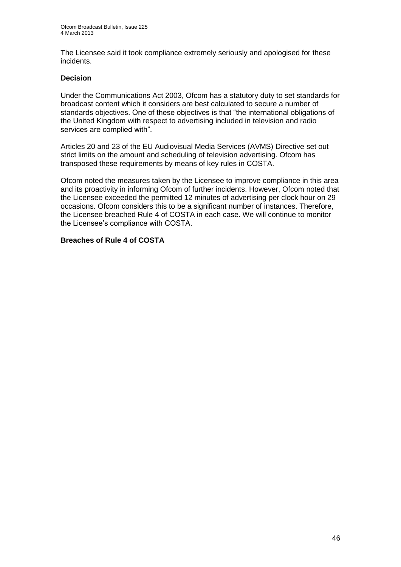The Licensee said it took compliance extremely seriously and apologised for these incidents.

### **Decision**

Under the Communications Act 2003, Ofcom has a statutory duty to set standards for broadcast content which it considers are best calculated to secure a number of standards objectives. One of these objectives is that "the international obligations of the United Kingdom with respect to advertising included in television and radio services are complied with".

Articles 20 and 23 of the EU Audiovisual Media Services (AVMS) Directive set out strict limits on the amount and scheduling of television advertising. Ofcom has transposed these requirements by means of key rules in COSTA.

Ofcom noted the measures taken by the Licensee to improve compliance in this area and its proactivity in informing Ofcom of further incidents. However, Ofcom noted that the Licensee exceeded the permitted 12 minutes of advertising per clock hour on 29 occasions. Ofcom considers this to be a significant number of instances. Therefore, the Licensee breached Rule 4 of COSTA in each case. We will continue to monitor the Licensee's compliance with COSTA.

### **Breaches of Rule 4 of COSTA**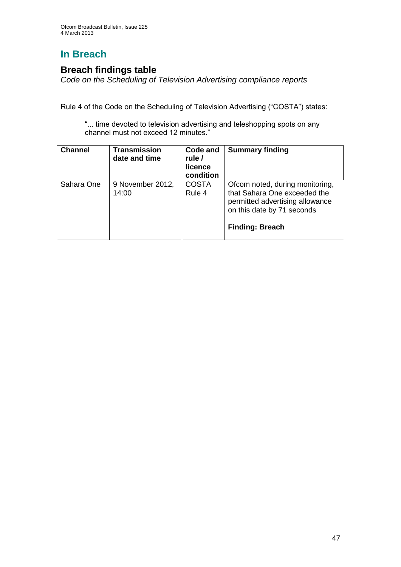# **In Breach**

### **Breach findings table**

*Code on the Scheduling of Television Advertising compliance reports*

Rule 4 of the Code on the Scheduling of Television Advertising ("COSTA") states:

"... time devoted to television advertising and teleshopping spots on any channel must not exceed 12 minutes."

| <b>Channel</b> | <b>Transmission</b><br>date and time | Code and<br>rule /<br>licence<br>condition | <b>Summary finding</b>                                                                                                                                     |
|----------------|--------------------------------------|--------------------------------------------|------------------------------------------------------------------------------------------------------------------------------------------------------------|
| Sahara One     | 9 November 2012,<br>14:00            | <b>COSTA</b><br>Rule 4                     | Ofcom noted, during monitoring,<br>that Sahara One exceeded the<br>permitted advertising allowance<br>on this date by 71 seconds<br><b>Finding: Breach</b> |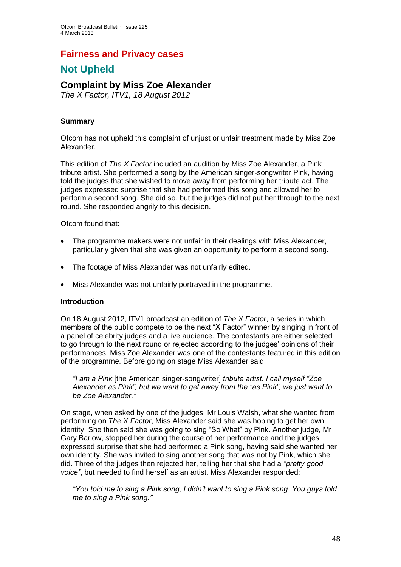### **Fairness and Privacy cases**

## **Not Upheld**

### **Complaint by Miss Zoe Alexander**

*The X Factor, ITV1, 18 August 2012*

### **Summary**

Ofcom has not upheld this complaint of unjust or unfair treatment made by Miss Zoe Alexander.

This edition of *The X Factor* included an audition by Miss Zoe Alexander, a Pink tribute artist. She performed a song by the American singer-songwriter Pink, having told the judges that she wished to move away from performing her tribute act. The judges expressed surprise that she had performed this song and allowed her to perform a second song. She did so, but the judges did not put her through to the next round. She responded angrily to this decision.

Ofcom found that:

- The programme makers were not unfair in their dealings with Miss Alexander, particularly given that she was given an opportunity to perform a second song.
- The footage of Miss Alexander was not unfairly edited.
- Miss Alexander was not unfairly portrayed in the programme.

### **Introduction**

On 18 August 2012, ITV1 broadcast an edition of *The X Factor*, a series in which members of the public compete to be the next "X Factor" winner by singing in front of a panel of celebrity judges and a live audience. The contestants are either selected to go through to the next round or rejected according to the judges' opinions of their performances. Miss Zoe Alexander was one of the contestants featured in this edition of the programme. Before going on stage Miss Alexander said:

*"I am a Pink* [the American singer-songwriter] *tribute artist. I call myself "Zoe Alexander as Pink", but we want to get away from the "as Pink", we just want to be Zoe Alexander."*

On stage, when asked by one of the judges, Mr Louis Walsh, what she wanted from performing on *The X Factor*, Miss Alexander said she was hoping to get her own identity. She then said she was going to sing "So What" by Pink. Another judge, Mr Gary Barlow, stopped her during the course of her performance and the judges expressed surprise that she had performed a Pink song, having said she wanted her own identity. She was invited to sing another song that was not by Pink, which she did. Three of the judges then rejected her, telling her that she had a *"pretty good voice"*, but needed to find herself as an artist. Miss Alexander responded:

*"You told me to sing a Pink song, I didn't want to sing a Pink song. You guys told me to sing a Pink song."*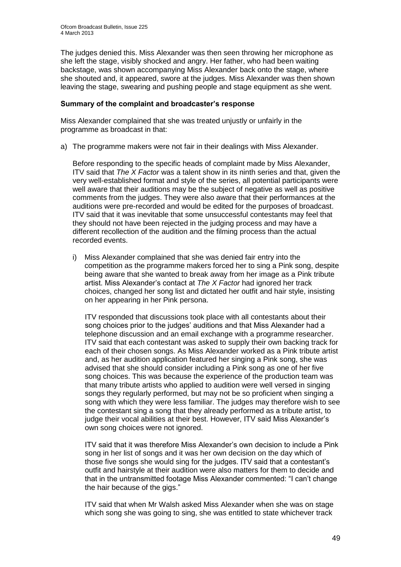The judges denied this. Miss Alexander was then seen throwing her microphone as she left the stage, visibly shocked and angry. Her father, who had been waiting backstage, was shown accompanying Miss Alexander back onto the stage, where she shouted and, it appeared, swore at the judges. Miss Alexander was then shown leaving the stage, swearing and pushing people and stage equipment as she went.

#### **Summary of the complaint and broadcaster's response**

Miss Alexander complained that she was treated unjustly or unfairly in the programme as broadcast in that:

a) The programme makers were not fair in their dealings with Miss Alexander.

Before responding to the specific heads of complaint made by Miss Alexander, ITV said that *The X Factor* was a talent show in its ninth series and that, given the very well-established format and style of the series, all potential participants were well aware that their auditions may be the subject of negative as well as positive comments from the judges. They were also aware that their performances at the auditions were pre-recorded and would be edited for the purposes of broadcast. ITV said that it was inevitable that some unsuccessful contestants may feel that they should not have been rejected in the judging process and may have a different recollection of the audition and the filming process than the actual recorded events.

i) Miss Alexander complained that she was denied fair entry into the competition as the programme makers forced her to sing a Pink song, despite being aware that she wanted to break away from her image as a Pink tribute artist. Miss Alexander's contact at *The X Factor* had ignored her track choices, changed her song list and dictated her outfit and hair style, insisting on her appearing in her Pink persona.

ITV responded that discussions took place with all contestants about their song choices prior to the judges' auditions and that Miss Alexander had a telephone discussion and an email exchange with a programme researcher. ITV said that each contestant was asked to supply their own backing track for each of their chosen songs. As Miss Alexander worked as a Pink tribute artist and, as her audition application featured her singing a Pink song, she was advised that she should consider including a Pink song as one of her five song choices. This was because the experience of the production team was that many tribute artists who applied to audition were well versed in singing songs they regularly performed, but may not be so proficient when singing a song with which they were less familiar. The judges may therefore wish to see the contestant sing a song that they already performed as a tribute artist, to judge their vocal abilities at their best. However, ITV said Miss Alexander's own song choices were not ignored.

ITV said that it was therefore Miss Alexander's own decision to include a Pink song in her list of songs and it was her own decision on the day which of those five songs she would sing for the judges. ITV said that a contestant's outfit and hairstyle at their audition were also matters for them to decide and that in the untransmitted footage Miss Alexander commented: "I can't change the hair because of the gigs."

ITV said that when Mr Walsh asked Miss Alexander when she was on stage which song she was going to sing, she was entitled to state whichever track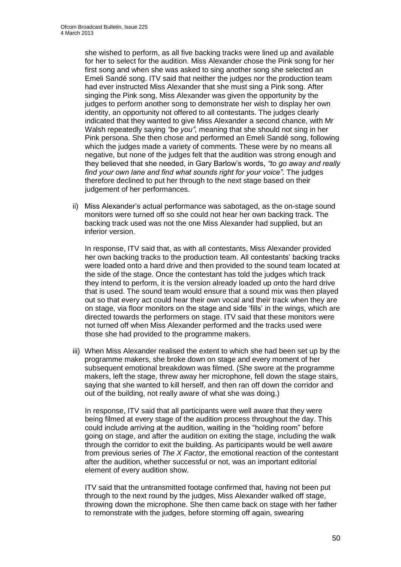she wished to perform, as all five backing tracks were lined up and available for her to select for the audition. Miss Alexander chose the Pink song for her first song and when she was asked to sing another song she selected an Emeli Sandé song. ITV said that neither the judges nor the production team had ever instructed Miss Alexander that she must sing a Pink song. After singing the Pink song, Miss Alexander was given the opportunity by the judges to perform another song to demonstrate her wish to display her own identity, an opportunity not offered to all contestants. The judges clearly indicated that they wanted to give Miss Alexander a second chance, with Mr Walsh repeatedly saying *"be you"*, meaning that she should not sing in her Pink persona. She then chose and performed an Emeli Sandé song, following which the judges made a variety of comments. These were by no means all negative, but none of the judges felt that the audition was strong enough and they believed that she needed, in Gary Barlow's words, *"to go away and really find your own lane and find what sounds right for your voice"*. The judges therefore declined to put her through to the next stage based on their judgement of her performances.

ii) Miss Alexander's actual performance was sabotaged, as the on-stage sound monitors were turned off so she could not hear her own backing track. The backing track used was not the one Miss Alexander had supplied, but an inferior version.

In response, ITV said that, as with all contestants, Miss Alexander provided her own backing tracks to the production team. All contestants' backing tracks were loaded onto a hard drive and then provided to the sound team located at the side of the stage. Once the contestant has told the judges which track they intend to perform, it is the version already loaded up onto the hard drive that is used. The sound team would ensure that a sound mix was then played out so that every act could hear their own vocal and their track when they are on stage, via floor monitors on the stage and side 'fills' in the wings, which are directed towards the performers on stage. ITV said that these monitors were not turned off when Miss Alexander performed and the tracks used were those she had provided to the programme makers.

iii) When Miss Alexander realised the extent to which she had been set up by the programme makers, she broke down on stage and every moment of her subsequent emotional breakdown was filmed. (She swore at the programme makers, left the stage, threw away her microphone, fell down the stage stairs, saying that she wanted to kill herself, and then ran off down the corridor and out of the building, not really aware of what she was doing.)

In response, ITV said that all participants were well aware that they were being filmed at every stage of the audition process throughout the day. This could include arriving at the audition, waiting in the "holding room" before going on stage, and after the audition on exiting the stage, including the walk through the corridor to exit the building. As participants would be well aware from previous series of *The X Factor*, the emotional reaction of the contestant after the audition, whether successful or not, was an important editorial element of every audition show.

ITV said that the untransmitted footage confirmed that, having not been put through to the next round by the judges, Miss Alexander walked off stage, throwing down the microphone. She then came back on stage with her father to remonstrate with the judges, before storming off again, swearing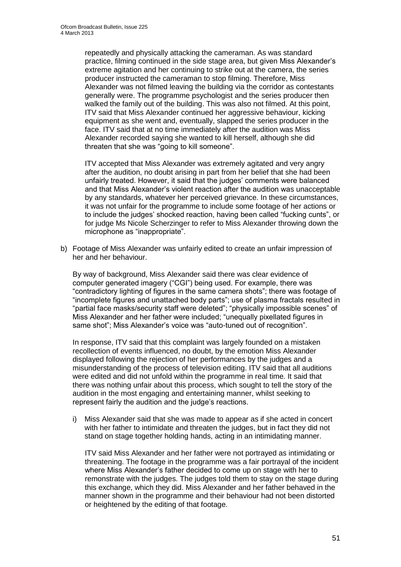repeatedly and physically attacking the cameraman. As was standard practice, filming continued in the side stage area, but given Miss Alexander's extreme agitation and her continuing to strike out at the camera, the series producer instructed the cameraman to stop filming. Therefore, Miss Alexander was not filmed leaving the building via the corridor as contestants generally were. The programme psychologist and the series producer then walked the family out of the building. This was also not filmed. At this point, ITV said that Miss Alexander continued her aggressive behaviour, kicking equipment as she went and, eventually, slapped the series producer in the face. ITV said that at no time immediately after the audition was Miss Alexander recorded saying she wanted to kill herself, although she did threaten that she was "going to kill someone".

ITV accepted that Miss Alexander was extremely agitated and very angry after the audition, no doubt arising in part from her belief that she had been unfairly treated. However, it said that the judges' comments were balanced and that Miss Alexander's violent reaction after the audition was unacceptable by any standards, whatever her perceived grievance. In these circumstances, it was not unfair for the programme to include some footage of her actions or to include the judges' shocked reaction, having been called "fucking cunts", or for judge Ms Nicole Scherzinger to refer to Miss Alexander throwing down the microphone as "inappropriate".

b) Footage of Miss Alexander was unfairly edited to create an unfair impression of her and her behaviour.

By way of background, Miss Alexander said there was clear evidence of computer generated imagery ("CGI") being used. For example, there was "contradictory lighting of figures in the same camera shots"; there was footage of "incomplete figures and unattached body parts"; use of plasma fractals resulted in "partial face masks/security staff were deleted"; "physically impossible scenes" of Miss Alexander and her father were included; "unequally pixellated figures in same shot"; Miss Alexander's voice was "auto-tuned out of recognition".

In response, ITV said that this complaint was largely founded on a mistaken recollection of events influenced, no doubt, by the emotion Miss Alexander displayed following the rejection of her performances by the judges and a misunderstanding of the process of television editing. ITV said that all auditions were edited and did not unfold within the programme in real time. It said that there was nothing unfair about this process, which sought to tell the story of the audition in the most engaging and entertaining manner, whilst seeking to represent fairly the audition and the judge's reactions.

i) Miss Alexander said that she was made to appear as if she acted in concert with her father to intimidate and threaten the judges, but in fact they did not stand on stage together holding hands, acting in an intimidating manner.

ITV said Miss Alexander and her father were not portrayed as intimidating or threatening. The footage in the programme was a fair portrayal of the incident where Miss Alexander's father decided to come up on stage with her to remonstrate with the judges. The judges told them to stay on the stage during this exchange, which they did. Miss Alexander and her father behaved in the manner shown in the programme and their behaviour had not been distorted or heightened by the editing of that footage.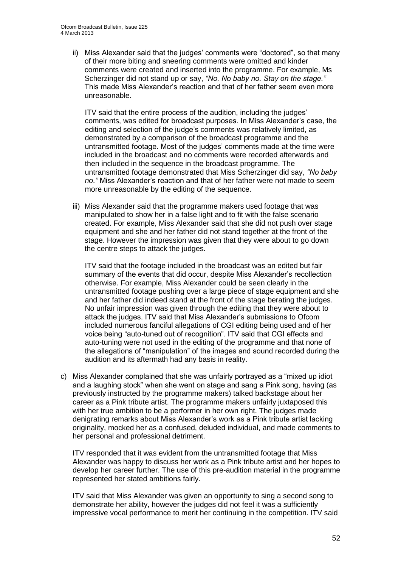ii) Miss Alexander said that the judges' comments were "doctored", so that many of their more biting and sneering comments were omitted and kinder comments were created and inserted into the programme. For example, Ms Scherzinger did not stand up or say, *"No. No baby no. Stay on the stage."*  This made Miss Alexander's reaction and that of her father seem even more unreasonable.

ITV said that the entire process of the audition, including the judges' comments, was edited for broadcast purposes. In Miss Alexander's case, the editing and selection of the judge's comments was relatively limited, as demonstrated by a comparison of the broadcast programme and the untransmitted footage. Most of the judges' comments made at the time were included in the broadcast and no comments were recorded afterwards and then included in the sequence in the broadcast programme. The untransmitted footage demonstrated that Miss Scherzinger did say, *"No baby no."* Miss Alexander's reaction and that of her father were not made to seem more unreasonable by the editing of the sequence.

iii) Miss Alexander said that the programme makers used footage that was manipulated to show her in a false light and to fit with the false scenario created. For example, Miss Alexander said that she did not push over stage equipment and she and her father did not stand together at the front of the stage. However the impression was given that they were about to go down the centre steps to attack the judges.

ITV said that the footage included in the broadcast was an edited but fair summary of the events that did occur, despite Miss Alexander's recollection otherwise. For example, Miss Alexander could be seen clearly in the untransmitted footage pushing over a large piece of stage equipment and she and her father did indeed stand at the front of the stage berating the judges. No unfair impression was given through the editing that they were about to attack the judges. ITV said that Miss Alexander's submissions to Ofcom included numerous fanciful allegations of CGI editing being used and of her voice being "auto-tuned out of recognition". ITV said that CGI effects and auto-tuning were not used in the editing of the programme and that none of the allegations of "manipulation" of the images and sound recorded during the audition and its aftermath had any basis in reality.

c) Miss Alexander complained that she was unfairly portrayed as a "mixed up idiot and a laughing stock" when she went on stage and sang a Pink song, having (as previously instructed by the programme makers) talked backstage about her career as a Pink tribute artist. The programme makers unfairly juxtaposed this with her true ambition to be a performer in her own right. The judges made denigrating remarks about Miss Alexander's work as a Pink tribute artist lacking originality, mocked her as a confused, deluded individual, and made comments to her personal and professional detriment.

ITV responded that it was evident from the untransmitted footage that Miss Alexander was happy to discuss her work as a Pink tribute artist and her hopes to develop her career further. The use of this pre-audition material in the programme represented her stated ambitions fairly.

ITV said that Miss Alexander was given an opportunity to sing a second song to demonstrate her ability, however the judges did not feel it was a sufficiently impressive vocal performance to merit her continuing in the competition. ITV said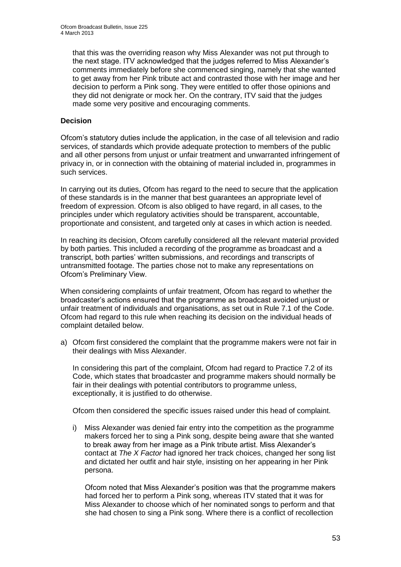that this was the overriding reason why Miss Alexander was not put through to the next stage. ITV acknowledged that the judges referred to Miss Alexander's comments immediately before she commenced singing, namely that she wanted to get away from her Pink tribute act and contrasted those with her image and her decision to perform a Pink song. They were entitled to offer those opinions and they did not denigrate or mock her. On the contrary, ITV said that the judges made some very positive and encouraging comments.

### **Decision**

Ofcom's statutory duties include the application, in the case of all television and radio services, of standards which provide adequate protection to members of the public and all other persons from unjust or unfair treatment and unwarranted infringement of privacy in, or in connection with the obtaining of material included in, programmes in such services.

In carrying out its duties, Ofcom has regard to the need to secure that the application of these standards is in the manner that best guarantees an appropriate level of freedom of expression. Ofcom is also obliged to have regard, in all cases, to the principles under which regulatory activities should be transparent, accountable, proportionate and consistent, and targeted only at cases in which action is needed.

In reaching its decision, Ofcom carefully considered all the relevant material provided by both parties. This included a recording of the programme as broadcast and a transcript, both parties' written submissions, and recordings and transcripts of untransmitted footage. The parties chose not to make any representations on Ofcom's Preliminary View.

When considering complaints of unfair treatment, Ofcom has regard to whether the broadcaster's actions ensured that the programme as broadcast avoided unjust or unfair treatment of individuals and organisations, as set out in Rule 7.1 of the Code. Ofcom had regard to this rule when reaching its decision on the individual heads of complaint detailed below.

a) Ofcom first considered the complaint that the programme makers were not fair in their dealings with Miss Alexander.

In considering this part of the complaint, Ofcom had regard to Practice 7.2 of its Code, which states that broadcaster and programme makers should normally be fair in their dealings with potential contributors to programme unless, exceptionally, it is justified to do otherwise.

Ofcom then considered the specific issues raised under this head of complaint.

i) Miss Alexander was denied fair entry into the competition as the programme makers forced her to sing a Pink song, despite being aware that she wanted to break away from her image as a Pink tribute artist. Miss Alexander's contact at *The X Factor* had ignored her track choices, changed her song list and dictated her outfit and hair style, insisting on her appearing in her Pink persona.

Ofcom noted that Miss Alexander's position was that the programme makers had forced her to perform a Pink song, whereas ITV stated that it was for Miss Alexander to choose which of her nominated songs to perform and that she had chosen to sing a Pink song. Where there is a conflict of recollection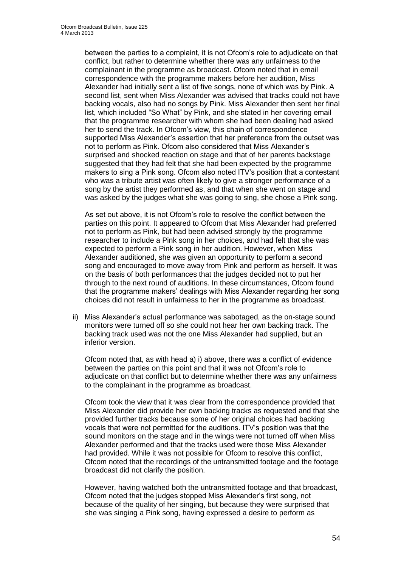between the parties to a complaint, it is not Ofcom's role to adjudicate on that conflict, but rather to determine whether there was any unfairness to the complainant in the programme as broadcast. Ofcom noted that in email correspondence with the programme makers before her audition, Miss Alexander had initially sent a list of five songs, none of which was by Pink. A second list, sent when Miss Alexander was advised that tracks could not have backing vocals, also had no songs by Pink. Miss Alexander then sent her final list, which included "So What" by Pink, and she stated in her covering email that the programme researcher with whom she had been dealing had asked her to send the track. In Ofcom's view, this chain of correspondence supported Miss Alexander's assertion that her preference from the outset was not to perform as Pink. Ofcom also considered that Miss Alexander's surprised and shocked reaction on stage and that of her parents backstage suggested that they had felt that she had been expected by the programme makers to sing a Pink song. Ofcom also noted ITV's position that a contestant who was a tribute artist was often likely to give a stronger performance of a song by the artist they performed as, and that when she went on stage and was asked by the judges what she was going to sing, she chose a Pink song.

As set out above, it is not Ofcom's role to resolve the conflict between the parties on this point. It appeared to Ofcom that Miss Alexander had preferred not to perform as Pink, but had been advised strongly by the programme researcher to include a Pink song in her choices, and had felt that she was expected to perform a Pink song in her audition. However, when Miss Alexander auditioned, she was given an opportunity to perform a second song and encouraged to move away from Pink and perform as herself. It was on the basis of both performances that the judges decided not to put her through to the next round of auditions. In these circumstances, Ofcom found that the programme makers' dealings with Miss Alexander regarding her song choices did not result in unfairness to her in the programme as broadcast.

ii) Miss Alexander's actual performance was sabotaged, as the on-stage sound monitors were turned off so she could not hear her own backing track. The backing track used was not the one Miss Alexander had supplied, but an inferior version.

Ofcom noted that, as with head a) i) above, there was a conflict of evidence between the parties on this point and that it was not Ofcom's role to adjudicate on that conflict but to determine whether there was any unfairness to the complainant in the programme as broadcast.

Ofcom took the view that it was clear from the correspondence provided that Miss Alexander did provide her own backing tracks as requested and that she provided further tracks because some of her original choices had backing vocals that were not permitted for the auditions. ITV's position was that the sound monitors on the stage and in the wings were not turned off when Miss Alexander performed and that the tracks used were those Miss Alexander had provided. While it was not possible for Ofcom to resolve this conflict, Ofcom noted that the recordings of the untransmitted footage and the footage broadcast did not clarify the position.

However, having watched both the untransmitted footage and that broadcast, Ofcom noted that the judges stopped Miss Alexander's first song, not because of the quality of her singing, but because they were surprised that she was singing a Pink song, having expressed a desire to perform as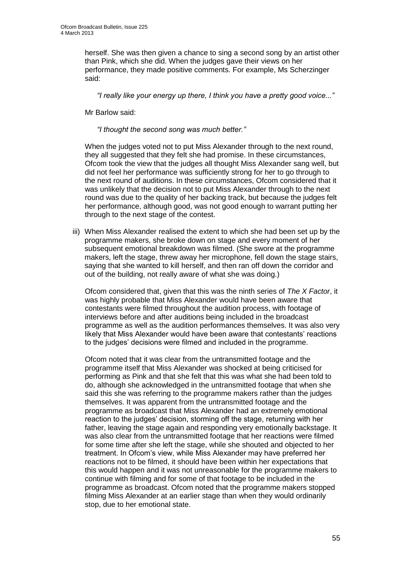herself. She was then given a chance to sing a second song by an artist other than Pink, which she did. When the judges gave their views on her performance, they made positive comments. For example, Ms Scherzinger said:

*"I really like your energy up there, I think you have a pretty good voice..."*

Mr Barlow said:

*"I thought the second song was much better."*

When the judges voted not to put Miss Alexander through to the next round, they all suggested that they felt she had promise. In these circumstances, Ofcom took the view that the judges all thought Miss Alexander sang well, but did not feel her performance was sufficiently strong for her to go through to the next round of auditions. In these circumstances, Ofcom considered that it was unlikely that the decision not to put Miss Alexander through to the next round was due to the quality of her backing track, but because the judges felt her performance, although good, was not good enough to warrant putting her through to the next stage of the contest.

iii) When Miss Alexander realised the extent to which she had been set up by the programme makers, she broke down on stage and every moment of her subsequent emotional breakdown was filmed. (She swore at the programme makers, left the stage, threw away her microphone, fell down the stage stairs, saying that she wanted to kill herself, and then ran off down the corridor and out of the building, not really aware of what she was doing.)

Ofcom considered that, given that this was the ninth series of *The X Factor*, it was highly probable that Miss Alexander would have been aware that contestants were filmed throughout the audition process, with footage of interviews before and after auditions being included in the broadcast programme as well as the audition performances themselves. It was also very likely that Miss Alexander would have been aware that contestants' reactions to the judges' decisions were filmed and included in the programme.

Ofcom noted that it was clear from the untransmitted footage and the programme itself that Miss Alexander was shocked at being criticised for performing as Pink and that she felt that this was what she had been told to do, although she acknowledged in the untransmitted footage that when she said this she was referring to the programme makers rather than the judges themselves. It was apparent from the untransmitted footage and the programme as broadcast that Miss Alexander had an extremely emotional reaction to the judges' decision, storming off the stage, returning with her father, leaving the stage again and responding very emotionally backstage. It was also clear from the untransmitted footage that her reactions were filmed for some time after she left the stage, while she shouted and objected to her treatment. In Ofcom's view, while Miss Alexander may have preferred her reactions not to be filmed, it should have been within her expectations that this would happen and it was not unreasonable for the programme makers to continue with filming and for some of that footage to be included in the programme as broadcast. Ofcom noted that the programme makers stopped filming Miss Alexander at an earlier stage than when they would ordinarily stop, due to her emotional state.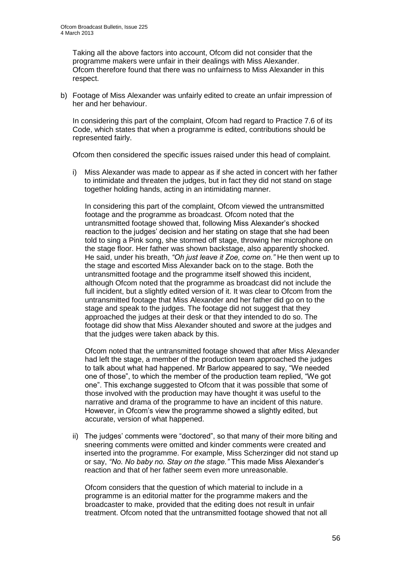Taking all the above factors into account, Ofcom did not consider that the programme makers were unfair in their dealings with Miss Alexander. Ofcom therefore found that there was no unfairness to Miss Alexander in this respect.

b) Footage of Miss Alexander was unfairly edited to create an unfair impression of her and her behaviour.

In considering this part of the complaint, Ofcom had regard to Practice 7.6 of its Code, which states that when a programme is edited, contributions should be represented fairly.

Ofcom then considered the specific issues raised under this head of complaint.

i) Miss Alexander was made to appear as if she acted in concert with her father to intimidate and threaten the judges, but in fact they did not stand on stage together holding hands, acting in an intimidating manner.

In considering this part of the complaint, Ofcom viewed the untransmitted footage and the programme as broadcast. Ofcom noted that the untransmitted footage showed that, following Miss Alexander's shocked reaction to the judges' decision and her stating on stage that she had been told to sing a Pink song, she stormed off stage, throwing her microphone on the stage floor. Her father was shown backstage, also apparently shocked. He said, under his breath, *"Oh just leave it Zoe, come on."* He then went up to the stage and escorted Miss Alexander back on to the stage. Both the untransmitted footage and the programme itself showed this incident, although Ofcom noted that the programme as broadcast did not include the full incident, but a slightly edited version of it. It was clear to Ofcom from the untransmitted footage that Miss Alexander and her father did go on to the stage and speak to the judges. The footage did not suggest that they approached the judges at their desk or that they intended to do so. The footage did show that Miss Alexander shouted and swore at the judges and that the judges were taken aback by this.

Ofcom noted that the untransmitted footage showed that after Miss Alexander had left the stage, a member of the production team approached the judges to talk about what had happened. Mr Barlow appeared to say, "We needed one of those", to which the member of the production team replied, "We got one". This exchange suggested to Ofcom that it was possible that some of those involved with the production may have thought it was useful to the narrative and drama of the programme to have an incident of this nature. However, in Ofcom's view the programme showed a slightly edited, but accurate, version of what happened.

ii) The judges' comments were "doctored", so that many of their more biting and sneering comments were omitted and kinder comments were created and inserted into the programme. For example, Miss Scherzinger did not stand up or say, *"No. No baby no. Stay on the stage."* This made Miss Alexander's reaction and that of her father seem even more unreasonable.

Ofcom considers that the question of which material to include in a programme is an editorial matter for the programme makers and the broadcaster to make, provided that the editing does not result in unfair treatment. Ofcom noted that the untransmitted footage showed that not all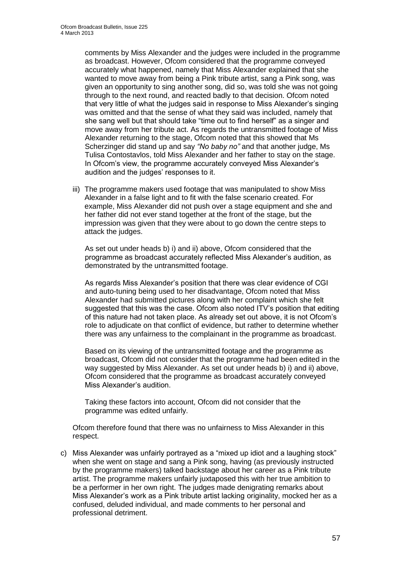comments by Miss Alexander and the judges were included in the programme as broadcast. However, Ofcom considered that the programme conveyed accurately what happened, namely that Miss Alexander explained that she wanted to move away from being a Pink tribute artist, sang a Pink song, was given an opportunity to sing another song, did so, was told she was not going through to the next round, and reacted badly to that decision. Ofcom noted that very little of what the judges said in response to Miss Alexander's singing was omitted and that the sense of what they said was included, namely that she sang well but that should take "time out to find herself" as a singer and move away from her tribute act. As regards the untransmitted footage of Miss Alexander returning to the stage, Ofcom noted that this showed that Ms Scherzinger did stand up and say *"No baby no"* and that another judge, Ms Tulisa Contostavlos, told Miss Alexander and her father to stay on the stage. In Ofcom's view, the programme accurately conveyed Miss Alexander's audition and the judges' responses to it.

iii) The programme makers used footage that was manipulated to show Miss Alexander in a false light and to fit with the false scenario created. For example, Miss Alexander did not push over a stage equipment and she and her father did not ever stand together at the front of the stage, but the impression was given that they were about to go down the centre steps to attack the judges.

As set out under heads b) i) and ii) above, Ofcom considered that the programme as broadcast accurately reflected Miss Alexander's audition, as demonstrated by the untransmitted footage.

As regards Miss Alexander's position that there was clear evidence of CGI and auto-tuning being used to her disadvantage, Ofcom noted that Miss Alexander had submitted pictures along with her complaint which she felt suggested that this was the case. Ofcom also noted ITV's position that editing of this nature had not taken place. As already set out above, it is not Ofcom's role to adjudicate on that conflict of evidence, but rather to determine whether there was any unfairness to the complainant in the programme as broadcast.

Based on its viewing of the untransmitted footage and the programme as broadcast, Ofcom did not consider that the programme had been edited in the way suggested by Miss Alexander. As set out under heads b) i) and ii) above, Ofcom considered that the programme as broadcast accurately conveyed Miss Alexander's audition.

Taking these factors into account, Ofcom did not consider that the programme was edited unfairly.

Ofcom therefore found that there was no unfairness to Miss Alexander in this respect.

c) Miss Alexander was unfairly portrayed as a "mixed up idiot and a laughing stock" when she went on stage and sang a Pink song, having (as previously instructed by the programme makers) talked backstage about her career as a Pink tribute artist. The programme makers unfairly juxtaposed this with her true ambition to be a performer in her own right. The judges made denigrating remarks about Miss Alexander's work as a Pink tribute artist lacking originality, mocked her as a confused, deluded individual, and made comments to her personal and professional detriment.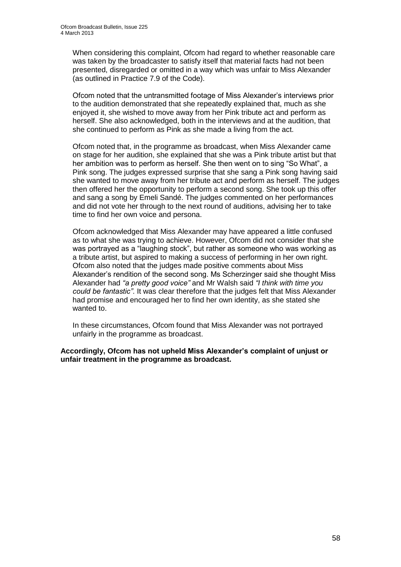When considering this complaint, Ofcom had regard to whether reasonable care was taken by the broadcaster to satisfy itself that material facts had not been presented, disregarded or omitted in a way which was unfair to Miss Alexander (as outlined in Practice 7.9 of the Code).

Ofcom noted that the untransmitted footage of Miss Alexander's interviews prior to the audition demonstrated that she repeatedly explained that, much as she enjoyed it, she wished to move away from her Pink tribute act and perform as herself. She also acknowledged, both in the interviews and at the audition, that she continued to perform as Pink as she made a living from the act.

Ofcom noted that, in the programme as broadcast, when Miss Alexander came on stage for her audition, she explained that she was a Pink tribute artist but that her ambition was to perform as herself. She then went on to sing "So What", a Pink song. The judges expressed surprise that she sang a Pink song having said she wanted to move away from her tribute act and perform as herself. The judges then offered her the opportunity to perform a second song. She took up this offer and sang a song by Emeli Sandé. The judges commented on her performances and did not vote her through to the next round of auditions, advising her to take time to find her own voice and persona.

Ofcom acknowledged that Miss Alexander may have appeared a little confused as to what she was trying to achieve. However, Ofcom did not consider that she was portrayed as a "laughing stock", but rather as someone who was working as a tribute artist, but aspired to making a success of performing in her own right. Ofcom also noted that the judges made positive comments about Miss Alexander's rendition of the second song. Ms Scherzinger said she thought Miss Alexander had *"a pretty good voice"* and Mr Walsh said *"I think with time you could be fantastic"*. It was clear therefore that the judges felt that Miss Alexander had promise and encouraged her to find her own identity, as she stated she wanted to.

In these circumstances, Ofcom found that Miss Alexander was not portrayed unfairly in the programme as broadcast.

**Accordingly, Ofcom has not upheld Miss Alexander's complaint of unjust or unfair treatment in the programme as broadcast.**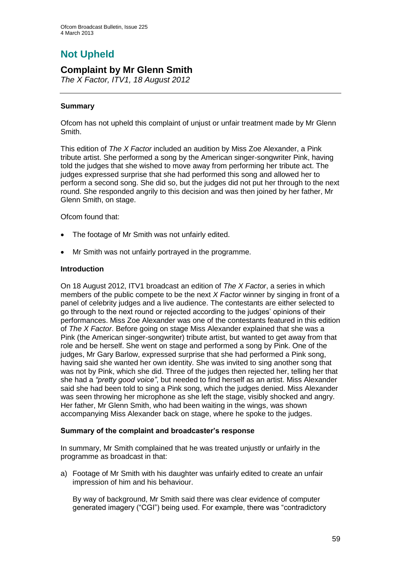# **Not Upheld**

### **Complaint by Mr Glenn Smith**

*The X Factor, ITV1, 18 August 2012*

### **Summary**

Ofcom has not upheld this complaint of unjust or unfair treatment made by Mr Glenn Smith.

This edition of *The X Factor* included an audition by Miss Zoe Alexander, a Pink tribute artist. She performed a song by the American singer-songwriter Pink, having told the judges that she wished to move away from performing her tribute act. The judges expressed surprise that she had performed this song and allowed her to perform a second song. She did so, but the judges did not put her through to the next round. She responded angrily to this decision and was then joined by her father, Mr Glenn Smith, on stage.

Ofcom found that:

- The footage of Mr Smith was not unfairly edited.
- Mr Smith was not unfairly portrayed in the programme.

#### **Introduction**

On 18 August 2012, ITV1 broadcast an edition of *The X Factor*, a series in which members of the public compete to be the next *X Factor* winner by singing in front of a panel of celebrity judges and a live audience. The contestants are either selected to go through to the next round or rejected according to the judges' opinions of their performances. Miss Zoe Alexander was one of the contestants featured in this edition of *The X Factor*. Before going on stage Miss Alexander explained that she was a Pink (the American singer-songwriter) tribute artist, but wanted to get away from that role and be herself. She went on stage and performed a song by Pink. One of the judges, Mr Gary Barlow, expressed surprise that she had performed a Pink song, having said she wanted her own identity. She was invited to sing another song that was not by Pink, which she did. Three of the judges then rejected her, telling her that she had a *"pretty good voice"*, but needed to find herself as an artist. Miss Alexander said she had been told to sing a Pink song, which the judges denied. Miss Alexander was seen throwing her microphone as she left the stage, visibly shocked and angry. Her father, Mr Glenn Smith, who had been waiting in the wings, was shown accompanying Miss Alexander back on stage, where he spoke to the judges.

#### **Summary of the complaint and broadcaster's response**

In summary, Mr Smith complained that he was treated unjustly or unfairly in the programme as broadcast in that:

a) Footage of Mr Smith with his daughter was unfairly edited to create an unfair impression of him and his behaviour.

By way of background, Mr Smith said there was clear evidence of computer generated imagery ("CGI") being used. For example, there was "contradictory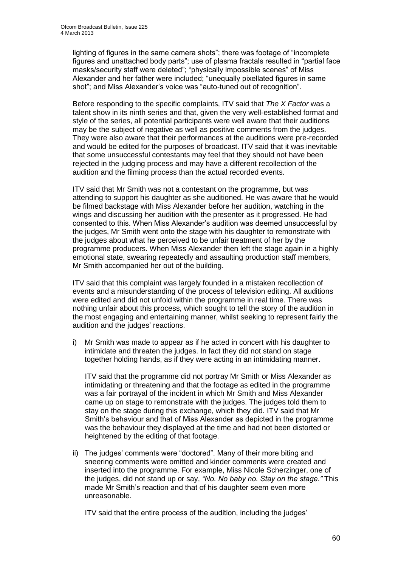lighting of figures in the same camera shots"; there was footage of "incomplete figures and unattached body parts"; use of plasma fractals resulted in "partial face masks/security staff were deleted"; "physically impossible scenes" of Miss Alexander and her father were included; "unequally pixellated figures in same shot"; and Miss Alexander's voice was "auto-tuned out of recognition".

Before responding to the specific complaints, ITV said that *The X Factor* was a talent show in its ninth series and that, given the very well-established format and style of the series, all potential participants were well aware that their auditions may be the subject of negative as well as positive comments from the judges. They were also aware that their performances at the auditions were pre-recorded and would be edited for the purposes of broadcast. ITV said that it was inevitable that some unsuccessful contestants may feel that they should not have been rejected in the judging process and may have a different recollection of the audition and the filming process than the actual recorded events.

ITV said that Mr Smith was not a contestant on the programme, but was attending to support his daughter as she auditioned. He was aware that he would be filmed backstage with Miss Alexander before her audition, watching in the wings and discussing her audition with the presenter as it progressed. He had consented to this. When Miss Alexander's audition was deemed unsuccessful by the judges, Mr Smith went onto the stage with his daughter to remonstrate with the judges about what he perceived to be unfair treatment of her by the programme producers. When Miss Alexander then left the stage again in a highly emotional state, swearing repeatedly and assaulting production staff members, Mr Smith accompanied her out of the building.

ITV said that this complaint was largely founded in a mistaken recollection of events and a misunderstanding of the process of television editing. All auditions were edited and did not unfold within the programme in real time. There was nothing unfair about this process, which sought to tell the story of the audition in the most engaging and entertaining manner, whilst seeking to represent fairly the audition and the judges' reactions.

i) Mr Smith was made to appear as if he acted in concert with his daughter to intimidate and threaten the judges. In fact they did not stand on stage together holding hands, as if they were acting in an intimidating manner.

ITV said that the programme did not portray Mr Smith or Miss Alexander as intimidating or threatening and that the footage as edited in the programme was a fair portrayal of the incident in which Mr Smith and Miss Alexander came up on stage to remonstrate with the judges. The judges told them to stay on the stage during this exchange, which they did. ITV said that Mr Smith's behaviour and that of Miss Alexander as depicted in the programme was the behaviour they displayed at the time and had not been distorted or heightened by the editing of that footage.

ii) The judges' comments were "doctored". Many of their more biting and sneering comments were omitted and kinder comments were created and inserted into the programme. For example, Miss Nicole Scherzinger, one of the judges, did not stand up or say, *"No. No baby no. Stay on the stage."* This made Mr Smith's reaction and that of his daughter seem even more unreasonable.

ITV said that the entire process of the audition, including the judges'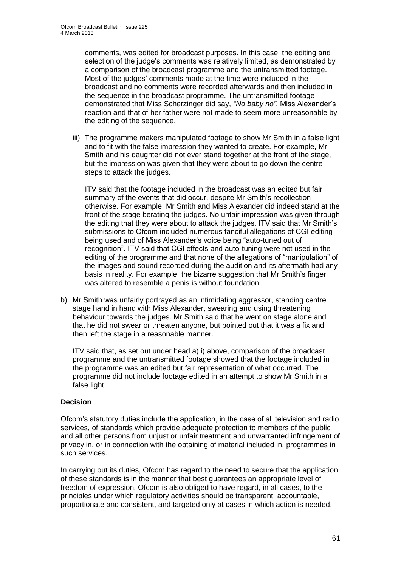comments, was edited for broadcast purposes. In this case, the editing and selection of the judge's comments was relatively limited, as demonstrated by a comparison of the broadcast programme and the untransmitted footage. Most of the judges' comments made at the time were included in the broadcast and no comments were recorded afterwards and then included in the sequence in the broadcast programme. The untransmitted footage demonstrated that Miss Scherzinger did say, *"No baby no"*. Miss Alexander's reaction and that of her father were not made to seem more unreasonable by the editing of the sequence.

iii) The programme makers manipulated footage to show Mr Smith in a false light and to fit with the false impression they wanted to create. For example, Mr Smith and his daughter did not ever stand together at the front of the stage, but the impression was given that they were about to go down the centre steps to attack the judges.

ITV said that the footage included in the broadcast was an edited but fair summary of the events that did occur, despite Mr Smith's recollection otherwise. For example, Mr Smith and Miss Alexander did indeed stand at the front of the stage berating the judges. No unfair impression was given through the editing that they were about to attack the judges. ITV said that Mr Smith's submissions to Ofcom included numerous fanciful allegations of CGI editing being used and of Miss Alexander's voice being "auto-tuned out of recognition". ITV said that CGI effects and auto-tuning were not used in the editing of the programme and that none of the allegations of "manipulation" of the images and sound recorded during the audition and its aftermath had any basis in reality. For example, the bizarre suggestion that Mr Smith's finger was altered to resemble a penis is without foundation.

b) Mr Smith was unfairly portrayed as an intimidating aggressor, standing centre stage hand in hand with Miss Alexander, swearing and using threatening behaviour towards the judges. Mr Smith said that he went on stage alone and that he did not swear or threaten anyone, but pointed out that it was a fix and then left the stage in a reasonable manner.

ITV said that, as set out under head a) i) above, comparison of the broadcast programme and the untransmitted footage showed that the footage included in the programme was an edited but fair representation of what occurred. The programme did not include footage edited in an attempt to show Mr Smith in a false light.

### **Decision**

Ofcom's statutory duties include the application, in the case of all television and radio services, of standards which provide adequate protection to members of the public and all other persons from unjust or unfair treatment and unwarranted infringement of privacy in, or in connection with the obtaining of material included in, programmes in such services.

In carrying out its duties, Ofcom has regard to the need to secure that the application of these standards is in the manner that best guarantees an appropriate level of freedom of expression. Ofcom is also obliged to have regard, in all cases, to the principles under which regulatory activities should be transparent, accountable, proportionate and consistent, and targeted only at cases in which action is needed.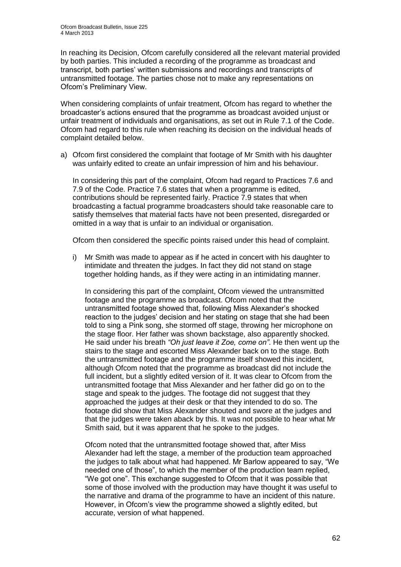In reaching its Decision, Ofcom carefully considered all the relevant material provided by both parties. This included a recording of the programme as broadcast and transcript, both parties' written submissions and recordings and transcripts of untransmitted footage. The parties chose not to make any representations on Ofcom's Preliminary View.

When considering complaints of unfair treatment, Ofcom has regard to whether the broadcaster's actions ensured that the programme as broadcast avoided unjust or unfair treatment of individuals and organisations, as set out in Rule 7.1 of the Code. Ofcom had regard to this rule when reaching its decision on the individual heads of complaint detailed below.

a) Ofcom first considered the complaint that footage of Mr Smith with his daughter was unfairly edited to create an unfair impression of him and his behaviour.

In considering this part of the complaint, Ofcom had regard to Practices 7.6 and 7.9 of the Code. Practice 7.6 states that when a programme is edited, contributions should be represented fairly. Practice 7.9 states that when broadcasting a factual programme broadcasters should take reasonable care to satisfy themselves that material facts have not been presented, disregarded or omitted in a way that is unfair to an individual or organisation.

Ofcom then considered the specific points raised under this head of complaint.

i) Mr Smith was made to appear as if he acted in concert with his daughter to intimidate and threaten the judges. In fact they did not stand on stage together holding hands, as if they were acting in an intimidating manner.

In considering this part of the complaint, Ofcom viewed the untransmitted footage and the programme as broadcast. Ofcom noted that the untransmitted footage showed that, following Miss Alexander's shocked reaction to the judges' decision and her stating on stage that she had been told to sing a Pink song, she stormed off stage, throwing her microphone on the stage floor. Her father was shown backstage, also apparently shocked. He said under his breath *"Oh just leave it Zoe, come on"*. He then went up the stairs to the stage and escorted Miss Alexander back on to the stage. Both the untransmitted footage and the programme itself showed this incident, although Ofcom noted that the programme as broadcast did not include the full incident, but a slightly edited version of it. It was clear to Ofcom from the untransmitted footage that Miss Alexander and her father did go on to the stage and speak to the judges. The footage did not suggest that they approached the judges at their desk or that they intended to do so. The footage did show that Miss Alexander shouted and swore at the judges and that the judges were taken aback by this. It was not possible to hear what Mr Smith said, but it was apparent that he spoke to the judges.

Ofcom noted that the untransmitted footage showed that, after Miss Alexander had left the stage, a member of the production team approached the judges to talk about what had happened. Mr Barlow appeared to say, "We needed one of those", to which the member of the production team replied, "We got one". This exchange suggested to Ofcom that it was possible that some of those involved with the production may have thought it was useful to the narrative and drama of the programme to have an incident of this nature. However, in Ofcom's view the programme showed a slightly edited, but accurate, version of what happened.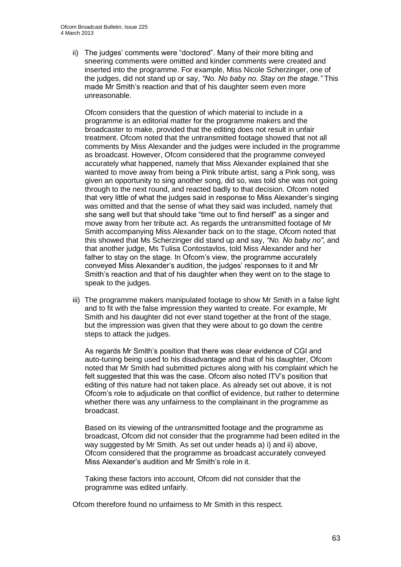ii) The judges' comments were "doctored". Many of their more biting and sneering comments were omitted and kinder comments were created and inserted into the programme. For example, Miss Nicole Scherzinger, one of the judges, did not stand up or say, *"No. No baby no. Stay on the stage."* This made Mr Smith's reaction and that of his daughter seem even more unreasonable.

Ofcom considers that the question of which material to include in a programme is an editorial matter for the programme makers and the broadcaster to make, provided that the editing does not result in unfair treatment. Ofcom noted that the untransmitted footage showed that not all comments by Miss Alexander and the judges were included in the programme as broadcast. However, Ofcom considered that the programme conveyed accurately what happened, namely that Miss Alexander explained that she wanted to move away from being a Pink tribute artist, sang a Pink song, was given an opportunity to sing another song, did so, was told she was not going through to the next round, and reacted badly to that decision. Ofcom noted that very little of what the judges said in response to Miss Alexander's singing was omitted and that the sense of what they said was included, namely that she sang well but that should take "time out to find herself" as a singer and move away from her tribute act. As regards the untransmitted footage of Mr Smith accompanying Miss Alexander back on to the stage, Ofcom noted that this showed that Ms Scherzinger did stand up and say, *"No. No baby no"*, and that another judge, Ms Tulisa Contostavlos, told Miss Alexander and her father to stay on the stage. In Ofcom's view, the programme accurately conveyed Miss Alexander's audition, the judges' responses to it and Mr Smith's reaction and that of his daughter when they went on to the stage to speak to the judges.

iii) The programme makers manipulated footage to show Mr Smith in a false light and to fit with the false impression they wanted to create. For example, Mr Smith and his daughter did not ever stand together at the front of the stage, but the impression was given that they were about to go down the centre steps to attack the judges.

As regards Mr Smith's position that there was clear evidence of CGI and auto-tuning being used to his disadvantage and that of his daughter, Ofcom noted that Mr Smith had submitted pictures along with his complaint which he felt suggested that this was the case. Ofcom also noted ITV's position that editing of this nature had not taken place. As already set out above, it is not Ofcom's role to adjudicate on that conflict of evidence, but rather to determine whether there was any unfairness to the complainant in the programme as broadcast.

Based on its viewing of the untransmitted footage and the programme as broadcast, Ofcom did not consider that the programme had been edited in the way suggested by Mr Smith. As set out under heads a) i) and ii) above, Ofcom considered that the programme as broadcast accurately conveyed Miss Alexander's audition and Mr Smith's role in it.

Taking these factors into account, Ofcom did not consider that the programme was edited unfairly.

Ofcom therefore found no unfairness to Mr Smith in this respect.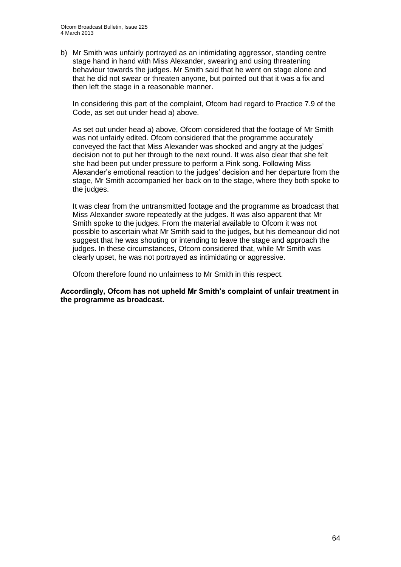b) Mr Smith was unfairly portrayed as an intimidating aggressor, standing centre stage hand in hand with Miss Alexander, swearing and using threatening behaviour towards the judges. Mr Smith said that he went on stage alone and that he did not swear or threaten anyone, but pointed out that it was a fix and then left the stage in a reasonable manner.

In considering this part of the complaint, Ofcom had regard to Practice 7.9 of the Code, as set out under head a) above.

As set out under head a) above, Ofcom considered that the footage of Mr Smith was not unfairly edited. Ofcom considered that the programme accurately conveyed the fact that Miss Alexander was shocked and angry at the judges' decision not to put her through to the next round. It was also clear that she felt she had been put under pressure to perform a Pink song. Following Miss Alexander's emotional reaction to the judges' decision and her departure from the stage, Mr Smith accompanied her back on to the stage, where they both spoke to the judges.

It was clear from the untransmitted footage and the programme as broadcast that Miss Alexander swore repeatedly at the judges. It was also apparent that Mr Smith spoke to the judges. From the material available to Ofcom it was not possible to ascertain what Mr Smith said to the judges, but his demeanour did not suggest that he was shouting or intending to leave the stage and approach the judges. In these circumstances, Ofcom considered that, while Mr Smith was clearly upset, he was not portrayed as intimidating or aggressive.

Ofcom therefore found no unfairness to Mr Smith in this respect.

**Accordingly, Ofcom has not upheld Mr Smith's complaint of unfair treatment in the programme as broadcast.**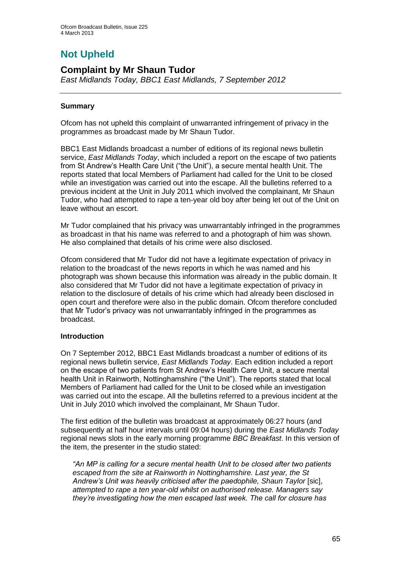# **Not Upheld**

### **Complaint by Mr Shaun Tudor**

*East Midlands Today, BBC1 East Midlands, 7 September 2012*

### **Summary**

Ofcom has not upheld this complaint of unwarranted infringement of privacy in the programmes as broadcast made by Mr Shaun Tudor.

BBC1 East Midlands broadcast a number of editions of its regional news bulletin service, *East Midlands Today*, which included a report on the escape of two patients from St Andrew's Health Care Unit ("the Unit"), a secure mental health Unit. The reports stated that local Members of Parliament had called for the Unit to be closed while an investigation was carried out into the escape. All the bulletins referred to a previous incident at the Unit in July 2011 which involved the complainant, Mr Shaun Tudor, who had attempted to rape a ten-year old boy after being let out of the Unit on leave without an escort.

Mr Tudor complained that his privacy was unwarrantably infringed in the programmes as broadcast in that his name was referred to and a photograph of him was shown. He also complained that details of his crime were also disclosed.

Ofcom considered that Mr Tudor did not have a legitimate expectation of privacy in relation to the broadcast of the news reports in which he was named and his photograph was shown because this information was already in the public domain. It also considered that Mr Tudor did not have a legitimate expectation of privacy in relation to the disclosure of details of his crime which had already been disclosed in open court and therefore were also in the public domain. Ofcom therefore concluded that Mr Tudor's privacy was not unwarrantably infringed in the programmes as broadcast.

### **Introduction**

On 7 September 2012, BBC1 East Midlands broadcast a number of editions of its regional news bulletin service, *East Midlands Today*. Each edition included a report on the escape of two patients from St Andrew's Health Care Unit, a secure mental health Unit in Rainworth, Nottinghamshire ("the Unit"). The reports stated that local Members of Parliament had called for the Unit to be closed while an investigation was carried out into the escape. All the bulletins referred to a previous incident at the Unit in July 2010 which involved the complainant, Mr Shaun Tudor.

The first edition of the bulletin was broadcast at approximately 06:27 hours (and subsequently at half hour intervals until 09:04 hours) during the *East Midlands Today* regional news slots in the early morning programme *BBC Breakfast*. In this version of the item, the presenter in the studio stated:

*"An MP is calling for a secure mental health Unit to be closed after two patients escaped from the site at Rainworth in Nottinghamshire. Last year, the St*  Andrew's Unit was heavily criticised after the paedophile, Shaun Taylor [sic], *attempted to rape a ten year-old whilst on authorised release. Managers say they're investigating how the men escaped last week. The call for closure has*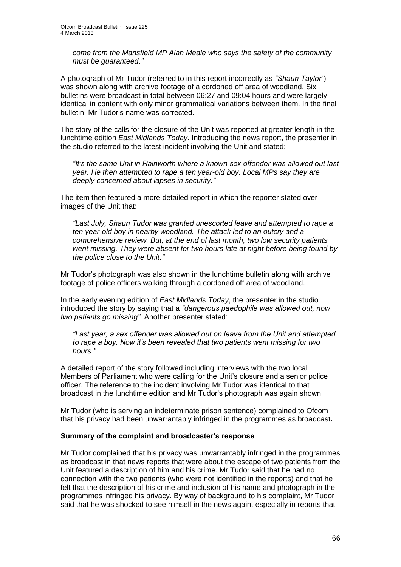*come from the Mansfield MP Alan Meale who says the safety of the community must be guaranteed."*

A photograph of Mr Tudor (referred to in this report incorrectly as *"Shaun Taylor"*) was shown along with archive footage of a cordoned off area of woodland. Six bulletins were broadcast in total between 06:27 and 09:04 hours and were largely identical in content with only minor grammatical variations between them. In the final bulletin, Mr Tudor's name was corrected.

The story of the calls for the closure of the Unit was reported at greater length in the lunchtime edition *East Midlands Today*. Introducing the news report, the presenter in the studio referred to the latest incident involving the Unit and stated:

*"It's the same Unit in Rainworth where a known sex offender was allowed out last year. He then attempted to rape a ten year-old boy. Local MPs say they are deeply concerned about lapses in security."*

The item then featured a more detailed report in which the reporter stated over images of the Unit that:

*"Last July, Shaun Tudor was granted unescorted leave and attempted to rape a ten year-old boy in nearby woodland. The attack led to an outcry and a comprehensive review. But, at the end of last month, two low security patients went missing. They were absent for two hours late at night before being found by the police close to the Unit."*

Mr Tudor's photograph was also shown in the lunchtime bulletin along with archive footage of police officers walking through a cordoned off area of woodland.

In the early evening edition of *East Midlands Today*, the presenter in the studio introduced the story by saying that a *"dangerous paedophile was allowed out, now two patients go missing"*. Another presenter stated:

*"Last year, a sex offender was allowed out on leave from the Unit and attempted to rape a boy. Now it's been revealed that two patients went missing for two hours."*

A detailed report of the story followed including interviews with the two local Members of Parliament who were calling for the Unit's closure and a senior police officer. The reference to the incident involving Mr Tudor was identical to that broadcast in the lunchtime edition and Mr Tudor's photograph was again shown.

Mr Tudor (who is serving an indeterminate prison sentence) complained to Ofcom that his privacy had been unwarrantably infringed in the programmes as broadcast**.**

#### **Summary of the complaint and broadcaster's response**

Mr Tudor complained that his privacy was unwarrantably infringed in the programmes as broadcast in that news reports that were about the escape of two patients from the Unit featured a description of him and his crime. Mr Tudor said that he had no connection with the two patients (who were not identified in the reports) and that he felt that the description of his crime and inclusion of his name and photograph in the programmes infringed his privacy. By way of background to his complaint, Mr Tudor said that he was shocked to see himself in the news again, especially in reports that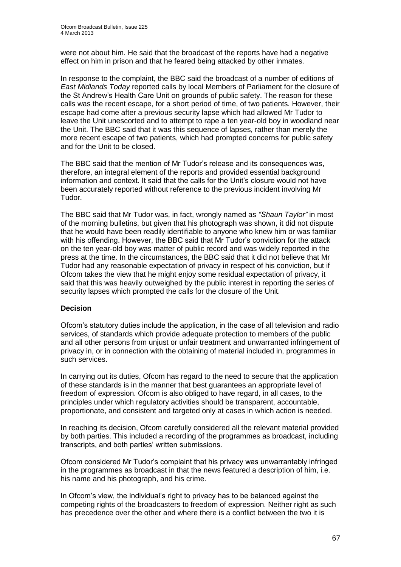were not about him. He said that the broadcast of the reports have had a negative effect on him in prison and that he feared being attacked by other inmates.

In response to the complaint, the BBC said the broadcast of a number of editions of *East Midlands Today* reported calls by local Members of Parliament for the closure of the St Andrew's Health Care Unit on grounds of public safety. The reason for these calls was the recent escape, for a short period of time, of two patients. However, their escape had come after a previous security lapse which had allowed Mr Tudor to leave the Unit unescorted and to attempt to rape a ten year-old boy in woodland near the Unit. The BBC said that it was this sequence of lapses, rather than merely the more recent escape of two patients, which had prompted concerns for public safety and for the Unit to be closed.

The BBC said that the mention of Mr Tudor's release and its consequences was, therefore, an integral element of the reports and provided essential background information and context. It said that the calls for the Unit's closure would not have been accurately reported without reference to the previous incident involving Mr Tudor.

The BBC said that Mr Tudor was, in fact, wrongly named as *"Shaun Taylor"* in most of the morning bulletins, but given that his photograph was shown, it did not dispute that he would have been readily identifiable to anyone who knew him or was familiar with his offending. However, the BBC said that Mr Tudor's conviction for the attack on the ten year-old boy was matter of public record and was widely reported in the press at the time. In the circumstances, the BBC said that it did not believe that Mr Tudor had any reasonable expectation of privacy in respect of his conviction, but if Ofcom takes the view that he might enjoy some residual expectation of privacy, it said that this was heavily outweighed by the public interest in reporting the series of security lapses which prompted the calls for the closure of the Unit.

### **Decision**

Ofcom's statutory duties include the application, in the case of all television and radio services, of standards which provide adequate protection to members of the public and all other persons from unjust or unfair treatment and unwarranted infringement of privacy in, or in connection with the obtaining of material included in, programmes in such services.

In carrying out its duties, Ofcom has regard to the need to secure that the application of these standards is in the manner that best guarantees an appropriate level of freedom of expression. Ofcom is also obliged to have regard, in all cases, to the principles under which regulatory activities should be transparent, accountable, proportionate, and consistent and targeted only at cases in which action is needed.

In reaching its decision, Ofcom carefully considered all the relevant material provided by both parties. This included a recording of the programmes as broadcast, including transcripts, and both parties' written submissions.

Ofcom considered Mr Tudor's complaint that his privacy was unwarrantably infringed in the programmes as broadcast in that the news featured a description of him, i.e. his name and his photograph, and his crime.

In Ofcom's view, the individual's right to privacy has to be balanced against the competing rights of the broadcasters to freedom of expression. Neither right as such has precedence over the other and where there is a conflict between the two it is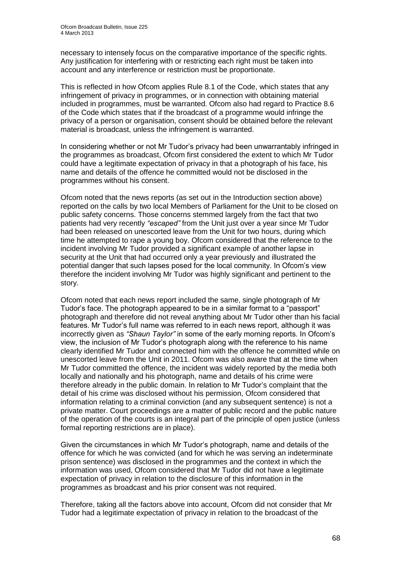necessary to intensely focus on the comparative importance of the specific rights. Any justification for interfering with or restricting each right must be taken into account and any interference or restriction must be proportionate.

This is reflected in how Ofcom applies Rule 8.1 of the Code, which states that any infringement of privacy in programmes, or in connection with obtaining material included in programmes, must be warranted. Ofcom also had regard to Practice 8.6 of the Code which states that if the broadcast of a programme would infringe the privacy of a person or organisation, consent should be obtained before the relevant material is broadcast, unless the infringement is warranted.

In considering whether or not Mr Tudor's privacy had been unwarrantably infringed in the programmes as broadcast, Ofcom first considered the extent to which Mr Tudor could have a legitimate expectation of privacy in that a photograph of his face, his name and details of the offence he committed would not be disclosed in the programmes without his consent.

Ofcom noted that the news reports (as set out in the Introduction section above) reported on the calls by two local Members of Parliament for the Unit to be closed on public safety concerns. Those concerns stemmed largely from the fact that two patients had very recently *"escaped"* from the Unit just over a year since Mr Tudor had been released on unescorted leave from the Unit for two hours, during which time he attempted to rape a young boy. Ofcom considered that the reference to the incident involving Mr Tudor provided a significant example of another lapse in security at the Unit that had occurred only a year previously and illustrated the potential danger that such lapses posed for the local community. In Ofcom's view therefore the incident involving Mr Tudor was highly significant and pertinent to the story.

Ofcom noted that each news report included the same, single photograph of Mr Tudor's face. The photograph appeared to be in a similar format to a "passport" photograph and therefore did not reveal anything about Mr Tudor other than his facial features. Mr Tudor's full name was referred to in each news report, although it was incorrectly given as *"Shaun Taylor"* in some of the early morning reports. In Ofcom's view, the inclusion of Mr Tudor's photograph along with the reference to his name clearly identified Mr Tudor and connected him with the offence he committed while on unescorted leave from the Unit in 2011. Ofcom was also aware that at the time when Mr Tudor committed the offence, the incident was widely reported by the media both locally and nationally and his photograph, name and details of his crime were therefore already in the public domain. In relation to Mr Tudor's complaint that the detail of his crime was disclosed without his permission, Ofcom considered that information relating to a criminal conviction (and any subsequent sentence) is not a private matter. Court proceedings are a matter of public record and the public nature of the operation of the courts is an integral part of the principle of open justice (unless formal reporting restrictions are in place).

Given the circumstances in which Mr Tudor's photograph, name and details of the offence for which he was convicted (and for which he was serving an indeterminate prison sentence) was disclosed in the programmes and the context in which the information was used, Ofcom considered that Mr Tudor did not have a legitimate expectation of privacy in relation to the disclosure of this information in the programmes as broadcast and his prior consent was not required.

Therefore, taking all the factors above into account, Ofcom did not consider that Mr Tudor had a legitimate expectation of privacy in relation to the broadcast of the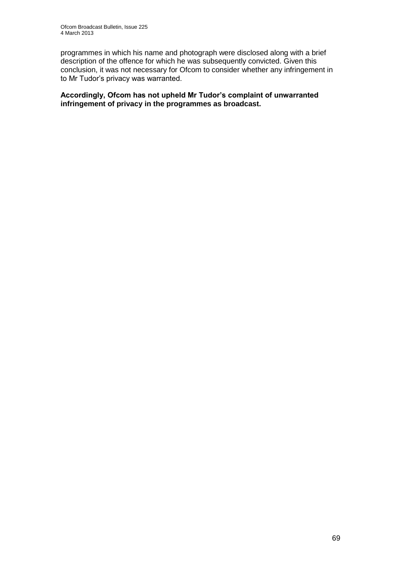programmes in which his name and photograph were disclosed along with a brief description of the offence for which he was subsequently convicted. Given this conclusion, it was not necessary for Ofcom to consider whether any infringement in to Mr Tudor's privacy was warranted.

**Accordingly, Ofcom has not upheld Mr Tudor's complaint of unwarranted infringement of privacy in the programmes as broadcast.**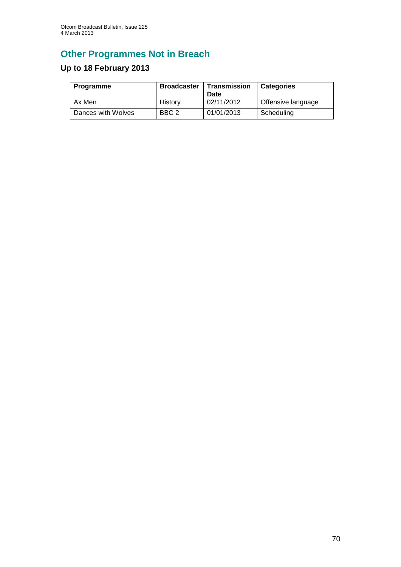# **Other Programmes Not in Breach**

# **Up to 18 February 2013**

| Programme          | <b>Broadcaster</b> | Transmission<br>Date | <b>Categories</b>  |
|--------------------|--------------------|----------------------|--------------------|
| Ax Men             | History            | 02/11/2012           | Offensive language |
| Dances with Wolves | BBC <sub>2</sub>   | 01/01/2013           | Scheduling         |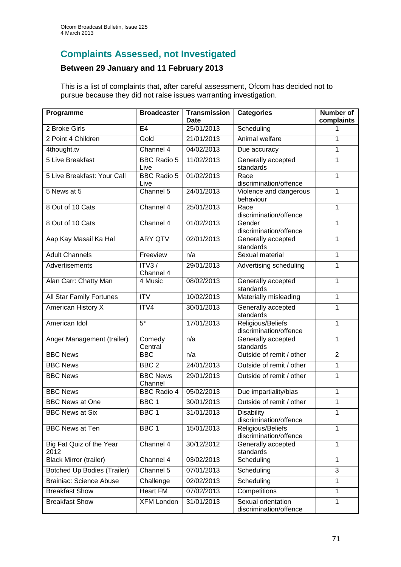## **Complaints Assessed, not Investigated**

### **Between 29 January and 11 February 2013**

This is a list of complaints that, after careful assessment, Ofcom has decided not to pursue because they did not raise issues warranting investigation.

| Programme                          | <b>Broadcaster</b>         | <b>Transmission</b><br>Date | <b>Categories</b>                            | <b>Number of</b><br>complaints |
|------------------------------------|----------------------------|-----------------------------|----------------------------------------------|--------------------------------|
| 2 Broke Girls                      | E <sub>4</sub>             | 25/01/2013                  | Scheduling                                   | 1                              |
| 2 Point 4 Children                 | Gold                       | 21/01/2013                  | Animal welfare                               | 1                              |
| 4thought.tv                        | Channel 4                  | 04/02/2013                  | Due accuracy                                 | 1                              |
| 5 Live Breakfast                   | <b>BBC Radio 5</b><br>Live | 11/02/2013                  | Generally accepted<br>standards              | 1                              |
| 5 Live Breakfast: Your Call        | <b>BBC Radio 5</b><br>Live | 01/02/2013                  | Race<br>discrimination/offence               | 1                              |
| 5 News at 5                        | Channel 5                  | 24/01/2013                  | Violence and dangerous<br>behaviour          | 1                              |
| 8 Out of 10 Cats                   | Channel 4                  | 25/01/2013                  | Race<br>discrimination/offence               | 1                              |
| 8 Out of 10 Cats                   | Channel 4                  | 01/02/2013                  | Gender<br>discrimination/offence             | 1                              |
| Aap Kay Masail Ka Hal              | <b>ARY QTV</b>             | 02/01/2013                  | Generally accepted<br>standards              | 1                              |
| <b>Adult Channels</b>              | Freeview                   | n/a                         | Sexual material                              | 1                              |
| Advertisements                     | ITV3/<br>Channel 4         | 29/01/2013                  | Advertising scheduling                       | 1                              |
| Alan Carr: Chatty Man              | 4 Music                    | 08/02/2013                  | Generally accepted<br>standards              | 1                              |
| All Star Family Fortunes           | <b>ITV</b>                 | 10/02/2013                  | Materially misleading                        | 1                              |
| <b>American History X</b>          | ITV4                       | 30/01/2013                  | Generally accepted<br>standards              | 1                              |
| American Idol                      | $5*$                       | 17/01/2013                  | Religious/Beliefs<br>discrimination/offence  | 1                              |
| Anger Management (trailer)         | Comedy<br>Central          | n/a                         | Generally accepted<br>standards              | 1                              |
| <b>BBC News</b>                    | <b>BBC</b>                 | n/a                         | Outside of remit / other                     | $\overline{2}$                 |
| <b>BBC News</b>                    | BBC <sub>2</sub>           | 24/01/2013                  | Outside of remit / other                     | 1                              |
| <b>BBC News</b>                    | <b>BBC News</b><br>Channel | 29/01/2013                  | Outside of remit / other                     | 1                              |
| <b>BBC News</b>                    | <b>BBC Radio 4</b>         | 05/02/2013                  | Due impartiality/bias                        | 1                              |
| <b>BBC News at One</b>             | BBC <sub>1</sub>           | 30/01/2013                  | Outside of remit / other                     | 1                              |
| <b>BBC News at Six</b>             | BBC 1                      | 31/01/2013                  | <b>Disability</b><br>discrimination/offence  | 1                              |
| <b>BBC News at Ten</b>             | BBC <sub>1</sub>           | 15/01/2013                  | Religious/Beliefs<br>discrimination/offence  | 1                              |
| Big Fat Quiz of the Year<br>2012   | Channel 4                  | 30/12/2012                  | Generally accepted<br>standards              | 1                              |
| <b>Black Mirror (trailer)</b>      | Channel 4                  | 03/02/2013                  | Scheduling                                   | $\mathbf{1}$                   |
| <b>Botched Up Bodies (Trailer)</b> | Channel 5                  | 07/01/2013                  | Scheduling                                   | 3                              |
| <b>Brainiac: Science Abuse</b>     | Challenge                  | 02/02/2013                  | Scheduling                                   | 1                              |
| <b>Breakfast Show</b>              | <b>Heart FM</b>            | 07/02/2013                  | Competitions                                 | 1                              |
| <b>Breakfast Show</b>              | <b>XFM London</b>          | 31/01/2013                  | Sexual orientation<br>discrimination/offence | 1                              |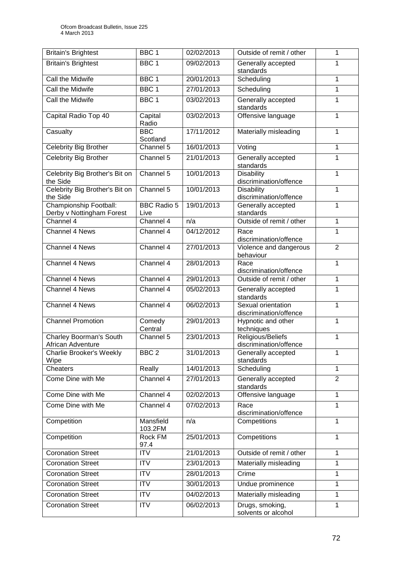| <b>Britain's Brightest</b>                          | BBC <sub>1</sub>           | 02/02/2013 | Outside of remit / other                     | 1              |
|-----------------------------------------------------|----------------------------|------------|----------------------------------------------|----------------|
| <b>Britain's Brightest</b>                          | BBC <sub>1</sub>           | 09/02/2013 | Generally accepted<br>standards              | 1              |
| Call the Midwife                                    | BBC <sub>1</sub>           | 20/01/2013 | Scheduling                                   | 1              |
| Call the Midwife                                    | BBC <sub>1</sub>           | 27/01/2013 | Scheduling                                   | 1              |
| Call the Midwife                                    | BBC <sub>1</sub>           | 03/02/2013 | Generally accepted<br>standards              | 1              |
| Capital Radio Top 40                                | Capital<br>Radio           | 03/02/2013 | Offensive language                           | 1              |
| Casualty                                            | <b>BBC</b><br>Scotland     | 17/11/2012 | Materially misleading                        | 1              |
| <b>Celebrity Big Brother</b>                        | Channel 5                  | 16/01/2013 | Voting                                       | 1              |
| <b>Celebrity Big Brother</b>                        | Channel 5                  | 21/01/2013 | Generally accepted<br>standards              | 1              |
| Celebrity Big Brother's Bit on<br>the Side          | Channel 5                  | 10/01/2013 | <b>Disability</b><br>discrimination/offence  | 1              |
| Celebrity Big Brother's Bit on<br>the Side          | Channel 5                  | 10/01/2013 | <b>Disability</b><br>discrimination/offence  | 1              |
| Championship Football:<br>Derby v Nottingham Forest | <b>BBC Radio 5</b><br>Live | 19/01/2013 | Generally accepted<br>standards              | 1              |
| Channel 4                                           | Channel 4                  | n/a        | Outside of remit / other                     | 1              |
| Channel 4 News                                      | Channel 4                  | 04/12/2012 | Race<br>discrimination/offence               | 1              |
| <b>Channel 4 News</b>                               | Channel 4                  | 27/01/2013 | Violence and dangerous<br>behaviour          | $\overline{2}$ |
| <b>Channel 4 News</b>                               | Channel 4                  | 28/01/2013 | Race<br>discrimination/offence               | 1              |
| Channel 4 News                                      | Channel 4                  | 29/01/2013 | Outside of remit / other                     | 1              |
| Channel 4 News                                      | Channel 4                  | 05/02/2013 | Generally accepted<br>standards              | 1              |
| Channel 4 News                                      | Channel 4                  | 06/02/2013 | Sexual orientation<br>discrimination/offence | 1              |
| <b>Channel Promotion</b>                            | Comedy<br>Central          | 29/01/2013 | Hypnotic and other<br>techniques             | 1              |
| Charley Boorman's South<br>African Adventure        | Channel 5                  | 23/01/2013 | Religious/Beliefs<br>discrimination/offence  | 1              |
| <b>Charlie Brooker's Weekly</b><br>Wipe             | BBC <sub>2</sub>           | 31/01/2013 | Generally accepted<br>standards              | 1              |
| Cheaters                                            | Really                     | 14/01/2013 | Scheduling                                   | 1              |
| Come Dine with Me                                   | Channel 4                  | 27/01/2013 | Generally accepted<br>standards              | $\overline{2}$ |
| Come Dine with Me                                   | Channel 4                  | 02/02/2013 | Offensive language                           | 1              |
| Come Dine with Me                                   | Channel 4                  | 07/02/2013 | Race<br>discrimination/offence               | 1              |
| Competition                                         | Mansfield<br>103.2FM       | n/a        | Competitions                                 | 1              |
| Competition                                         | Rock FM<br>97.4            | 25/01/2013 | Competitions                                 | 1              |
| <b>Coronation Street</b>                            | <b>ITV</b>                 | 21/01/2013 | Outside of remit / other                     | 1              |
| <b>Coronation Street</b>                            | <b>ITV</b>                 | 23/01/2013 | Materially misleading                        | 1              |
| <b>Coronation Street</b>                            | <b>ITV</b>                 | 28/01/2013 | Crime                                        | 1              |
| <b>Coronation Street</b>                            | <b>ITV</b>                 | 30/01/2013 | Undue prominence                             | 1              |
| <b>Coronation Street</b>                            | <b>ITV</b>                 | 04/02/2013 | Materially misleading                        | 1              |
| <b>Coronation Street</b>                            | <b>ITV</b>                 | 06/02/2013 | Drugs, smoking,<br>solvents or alcohol       | 1              |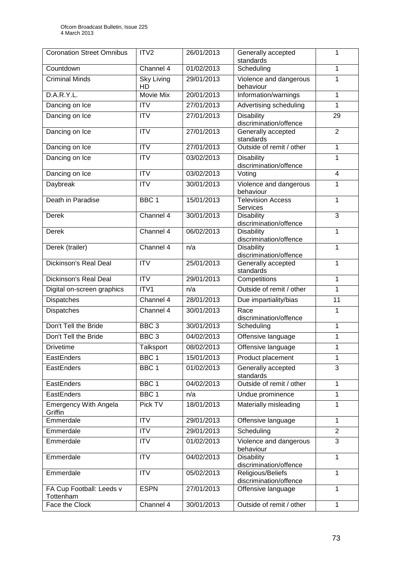| <b>Coronation Street Omnibus</b>        | ITV <sub>2</sub>        | 26/01/2013 | Generally accepted<br>standards             | 1                       |  |
|-----------------------------------------|-------------------------|------------|---------------------------------------------|-------------------------|--|
| Countdown                               | Channel 4               | 01/02/2013 | Scheduling                                  | 1                       |  |
| <b>Criminal Minds</b>                   | <b>Sky Living</b><br>HD | 29/01/2013 | Violence and dangerous<br>behaviour         | 1                       |  |
| D.A.R.Y.L.                              | <b>Movie Mix</b>        | 20/01/2013 | Information/warnings                        | 1                       |  |
| Dancing on Ice                          | <b>ITV</b>              | 27/01/2013 | Advertising scheduling                      | 1                       |  |
| Dancing on Ice                          | $\overline{\text{ITV}}$ | 27/01/2013 | <b>Disability</b><br>discrimination/offence | 29                      |  |
| Dancing on Ice                          | <b>ITV</b>              | 27/01/2013 | Generally accepted<br>standards             | $\overline{2}$          |  |
| Dancing on Ice                          | $\overline{IV}$         | 27/01/2013 | Outside of remit / other                    | 1                       |  |
| Dancing on Ice                          | <b>ITV</b>              | 03/02/2013 | <b>Disability</b><br>discrimination/offence | 1                       |  |
| Dancing on Ice                          | $\overline{IV}$         | 03/02/2013 | Voting                                      | $\overline{\mathbf{4}}$ |  |
| <b>Daybreak</b>                         | $\overline{ITV}$        | 30/01/2013 | Violence and dangerous<br>behaviour         | 1                       |  |
| Death in Paradise                       | BBC <sub>1</sub>        | 15/01/2013 | <b>Television Access</b><br>Services        | 1                       |  |
| Derek                                   | Channel 4               | 30/01/2013 | <b>Disability</b><br>discrimination/offence | $\overline{3}$          |  |
| <b>Derek</b>                            | Channel 4               | 06/02/2013 | <b>Disability</b><br>discrimination/offence | 1                       |  |
| Derek (trailer)                         | Channel 4               | n/a        | <b>Disability</b><br>discrimination/offence | $\mathbf{1}$            |  |
| Dickinson's Real Deal                   | <b>ITV</b>              | 25/01/2013 | Generally accepted<br>standards             | 1                       |  |
| Dickinson's Real Deal                   | <b>ITV</b>              | 29/01/2013 | Competitions                                | 1                       |  |
| Digital on-screen graphics              | ITV1                    | n/a        | Outside of remit / other                    | 1                       |  |
| Dispatches                              | Channel 4               | 28/01/2013 | Due impartiality/bias                       | 11                      |  |
| <b>Dispatches</b>                       | Channel 4               | 30/01/2013 | Race<br>discrimination/offence              | 1                       |  |
| Don't Tell the Bride                    | BBC <sub>3</sub>        | 30/01/2013 | Scheduling                                  | 1                       |  |
| Don't Tell the Bride                    | BBC <sub>3</sub>        | 04/02/2013 | Offensive language                          | 1                       |  |
| <b>Drivetime</b>                        | Talksport               | 08/02/2013 | Offensive language                          | 1                       |  |
| EastEnders                              | BBC <sub>1</sub>        | 15/01/2013 | Product placement                           | 1                       |  |
| EastEnders                              | BBC <sub>1</sub>        | 01/02/2013 | Generally accepted<br>standards             | 3                       |  |
| EastEnders                              | BBC <sub>1</sub>        | 04/02/2013 | Outside of remit / other                    | $\mathbf{1}$            |  |
| EastEnders                              | BBC <sub>1</sub>        | n/a        | Undue prominence                            | 1                       |  |
| <b>Emergency With Angela</b><br>Griffin | Pick TV                 | 18/01/2013 | Materially misleading                       | 1                       |  |
| Emmerdale                               | <b>ITV</b>              | 29/01/2013 | Offensive language                          | $\mathbf{1}$            |  |
| Emmerdale                               | ITV                     | 29/01/2013 | Scheduling                                  | $\overline{2}$          |  |
| Emmerdale                               | <b>ITV</b>              | 01/02/2013 | Violence and dangerous<br>behaviour         | $\overline{3}$          |  |
| Emmerdale                               | <b>ITV</b>              | 04/02/2013 | <b>Disability</b><br>discrimination/offence | $\mathbf{1}$            |  |
| Emmerdale                               | <b>ITV</b>              | 05/02/2013 | Religious/Beliefs<br>discrimination/offence | $\mathbf{1}$            |  |
| FA Cup Football: Leeds v<br>Tottenham   | <b>ESPN</b>             | 27/01/2013 | Offensive language                          | 1                       |  |
| Face the Clock                          | Channel 4               | 30/01/2013 | Outside of remit / other                    | 1                       |  |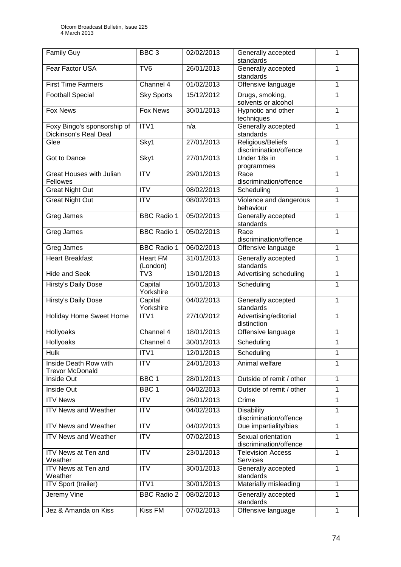| Family Guy                                           | BBC <sub>3</sub>            | 02/02/2013 | Generally accepted<br>1<br>standards              |              |  |
|------------------------------------------------------|-----------------------------|------------|---------------------------------------------------|--------------|--|
| Fear Factor USA                                      | TV <sub>6</sub>             | 26/01/2013 | Generally accepted<br>standards                   |              |  |
| <b>First Time Farmers</b>                            | Channel 4                   | 01/02/2013 | Offensive language                                | 1            |  |
| <b>Football Special</b>                              | <b>Sky Sports</b>           | 15/12/2012 | Drugs, smoking,<br>solvents or alcohol            | 1            |  |
| <b>Fox News</b>                                      | <b>Fox News</b>             | 30/01/2013 | Hypnotic and other<br>techniques                  | 1            |  |
| Foxy Bingo's sponsorship of<br>Dickinson's Real Deal | ITV1                        | n/a        | Generally accepted<br>standards                   | 1            |  |
| Glee                                                 | Sky1                        | 27/01/2013 | Religious/Beliefs<br>1<br>discrimination/offence  |              |  |
| Got to Dance                                         | Sky1                        | 27/01/2013 | Under 18s in<br>programmes                        | 1            |  |
| <b>Great Houses with Julian</b><br>Fellowes          | <b>ITV</b>                  | 29/01/2013 | Race<br>discrimination/offence                    | 1            |  |
| <b>Great Night Out</b>                               | <b>ITV</b>                  | 08/02/2013 | Scheduling                                        | 1            |  |
| <b>Great Night Out</b>                               | $\overline{ITV}$            | 08/02/2013 | Violence and dangerous<br>behaviour               | 1            |  |
| Greg James                                           | <b>BBC Radio 1</b>          | 05/02/2013 | Generally accepted<br>standards                   | 1            |  |
| Greg James                                           | <b>BBC Radio 1</b>          | 05/02/2013 | Race<br>discrimination/offence                    | 1            |  |
| Greg James                                           | <b>BBC Radio 1</b>          | 06/02/2013 | 1<br>Offensive language                           |              |  |
| <b>Heart Breakfast</b>                               | <b>Heart FM</b><br>(London) | 31/01/2013 | Generally accepted<br>1<br>standards              |              |  |
| <b>Hide and Seek</b>                                 | TV3                         | 13/01/2013 | Advertising scheduling<br>1                       |              |  |
| <b>Hirsty's Daily Dose</b>                           | Capital<br>Yorkshire        | 16/01/2013 | Scheduling<br>1                                   |              |  |
| Hirsty's Daily Dose                                  | Capital<br>Yorkshire        | 04/02/2013 | Generally accepted<br>1<br>standards              |              |  |
| <b>Holiday Home Sweet Home</b>                       | ITV1                        | 27/10/2012 | Advertising/editorial<br>1<br>distinction         |              |  |
| Hollyoaks                                            | Channel 4                   | 18/01/2013 | Offensive language<br>1                           |              |  |
| Hollyoaks                                            | Channel 4                   | 30/01/2013 | Scheduling                                        | 1            |  |
| Hulk                                                 | ITV <sub>1</sub>            | 12/01/2013 | Scheduling                                        | 1            |  |
| Inside Death Row with<br><b>Trevor McDonald</b>      | <b>ITV</b>                  | 24/01/2013 | Animal welfare<br>1                               |              |  |
| Inside Out                                           | BBC 1                       | 28/01/2013 | Outside of remit / other                          | 1            |  |
| Inside Out                                           | BBC <sub>1</sub>            | 04/02/2013 | Outside of remit / other                          | 1            |  |
| <b>ITV News</b>                                      | <b>ITV</b>                  | 26/01/2013 | Crime                                             | 1            |  |
| <b>ITV News and Weather</b>                          | <b>ITV</b>                  | 04/02/2013 | <b>Disability</b><br>1<br>discrimination/offence  |              |  |
| <b>ITV News and Weather</b>                          | <b>ITV</b>                  | 04/02/2013 | Due impartiality/bias                             | 1            |  |
| <b>ITV News and Weather</b>                          | <b>ITV</b>                  | 07/02/2013 | Sexual orientation<br>1<br>discrimination/offence |              |  |
| ITV News at Ten and<br>Weather                       | <b>ITV</b>                  | 23/01/2013 | <b>Television Access</b><br><b>Services</b>       | 1            |  |
| <b>ITV News at Ten and</b><br>Weather                | $\overline{IV}$             | 30/01/2013 | Generally accepted<br>standards                   | 1            |  |
| <b>ITV Sport (trailer)</b>                           | ITV1                        | 30/01/2013 | Materially misleading                             | 1            |  |
| Jeremy Vine                                          | <b>BBC Radio 2</b>          | 08/02/2013 | Generally accepted<br>1<br>standards              |              |  |
| Jez & Amanda on Kiss                                 | <b>Kiss FM</b>              | 07/02/2013 | Offensive language                                | $\mathbf{1}$ |  |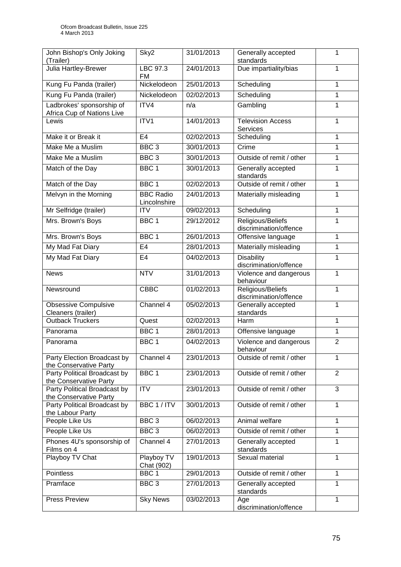| John Bishop's Only Joking<br>(Trailer)                  | Sky2                             | 31/01/2013 | Generally accepted<br>standards                     | 1              |  |
|---------------------------------------------------------|----------------------------------|------------|-----------------------------------------------------|----------------|--|
| <b>Julia Hartley-Brewer</b>                             | LBC 97.3<br><b>FM</b>            | 24/01/2013 | Due impartiality/bias                               | 1              |  |
| Kung Fu Panda (trailer)                                 | Nickelodeon                      | 25/01/2013 | Scheduling                                          | 1              |  |
| Kung Fu Panda (trailer)                                 | Nickelodeon                      | 02/02/2013 | Scheduling                                          | 1              |  |
| Ladbrokes' sponsorship of<br>Africa Cup of Nations Live | ITV4                             | n/a        | Gambling                                            | 1              |  |
| Lewis                                                   | ITV1                             | 14/01/2013 | <b>Television Access</b><br><b>Services</b>         | 1              |  |
| Make it or Break it                                     | E <sub>4</sub>                   | 02/02/2013 | Scheduling                                          | 1              |  |
| Make Me a Muslim                                        | BBC <sub>3</sub>                 | 30/01/2013 | Crime                                               | 1              |  |
| Make Me a Muslim                                        | BBC <sub>3</sub>                 | 30/01/2013 | Outside of remit / other                            | 1              |  |
| Match of the Day                                        | BBC <sub>1</sub>                 | 30/01/2013 | Generally accepted<br>standards                     | 1              |  |
| Match of the Day                                        | BBC <sub>1</sub>                 | 02/02/2013 | Outside of remit / other                            | 1              |  |
| Melvyn in the Morning                                   | <b>BBC Radio</b><br>Lincolnshire | 24/01/2013 | Materially misleading                               | 1              |  |
| Mr Selfridge (trailer)                                  | <b>ITV</b>                       | 09/02/2013 | Scheduling                                          | 1              |  |
| Mrs. Brown's Boys                                       | BBC <sub>1</sub>                 | 29/12/2012 | Religious/Beliefs<br>discrimination/offence         | 1              |  |
| Mrs. Brown's Boys                                       | BBC <sub>1</sub>                 | 26/01/2013 | Offensive language                                  | 1              |  |
| My Mad Fat Diary                                        | E <sub>4</sub>                   | 28/01/2013 | Materially misleading                               | 1              |  |
| My Mad Fat Diary                                        | E <sub>4</sub>                   | 04/02/2013 | <b>Disability</b><br>discrimination/offence         | 1              |  |
| <b>News</b>                                             | <b>NTV</b>                       | 31/01/2013 | $\mathbf{1}$<br>Violence and dangerous<br>behaviour |                |  |
| Newsround                                               | <b>CBBC</b>                      | 01/02/2013 | Religious/Beliefs<br>discrimination/offence         | 1              |  |
| <b>Obsessive Compulsive</b><br>Cleaners (trailer)       | Channel 4                        | 05/02/2013 | Generally accepted<br>standards                     | 1              |  |
| <b>Outback Truckers</b>                                 | Quest                            | 02/02/2013 | Harm                                                | 1              |  |
| Panorama                                                | BBC <sub>1</sub>                 | 28/01/2013 | Offensive language                                  | 1              |  |
| Panorama                                                | BBC <sub>1</sub>                 | 04/02/2013 | Violence and dangerous<br>behaviour                 | $\overline{2}$ |  |
| Party Election Broadcast by<br>the Conservative Party   | Channel 4                        | 23/01/2013 | Outside of remit / other                            | 1              |  |
| Party Political Broadcast by<br>the Conservative Party  | BBC <sub>1</sub>                 | 23/01/2013 | Outside of remit / other                            | $\overline{2}$ |  |
| Party Political Broadcast by<br>the Conservative Party  | <b>ITV</b>                       | 23/01/2013 | Outside of remit / other                            | 3              |  |
| Party Political Broadcast by<br>the Labour Party        | BBC 1 / ITV                      | 30/01/2013 | Outside of remit / other                            | 1              |  |
| People Like Us                                          | BBC <sub>3</sub>                 | 06/02/2013 | Animal welfare                                      | 1              |  |
| People Like Us                                          | BBC <sub>3</sub>                 | 06/02/2013 | Outside of remit / other                            | 1              |  |
| Phones 4U's sponsorship of<br>Films on 4                | Channel 4                        | 27/01/2013 | Generally accepted<br>standards                     | 1              |  |
| Playboy TV Chat                                         | Playboy TV<br>Chat (902)         | 19/01/2013 | Sexual material                                     | 1              |  |
| Pointless                                               | BBC <sub>1</sub>                 | 29/01/2013 | Outside of remit / other                            | 1              |  |
| Pramface                                                | BBC <sub>3</sub>                 | 27/01/2013 | Generally accepted<br>standards                     | 1              |  |
| <b>Press Preview</b>                                    | <b>Sky News</b>                  | 03/02/2013 | Age<br>discrimination/offence                       | 1              |  |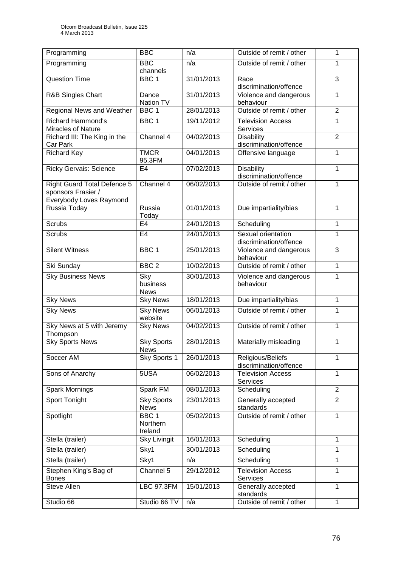| Programming                                                                         | <b>BBC</b>                              | n/a        | Outside of remit / other<br>1                     |                |
|-------------------------------------------------------------------------------------|-----------------------------------------|------------|---------------------------------------------------|----------------|
| Programming                                                                         | <b>BBC</b><br>channels                  | n/a        | Outside of remit / other                          | 1              |
| <b>Question Time</b>                                                                | BBC <sub>1</sub>                        | 31/01/2013 | Race<br>discrimination/offence                    | $\overline{3}$ |
| <b>R&amp;B Singles Chart</b>                                                        | Dance<br>Nation TV                      | 31/01/2013 | Violence and dangerous<br>behaviour               | 1              |
| Regional News and Weather                                                           | BBC <sub>1</sub>                        | 28/01/2013 | Outside of remit / other                          | $\overline{2}$ |
| <b>Richard Hammond's</b><br>Miracles of Nature                                      | BBC <sub>1</sub>                        | 19/11/2012 | <b>Television Access</b><br><b>Services</b>       | 1              |
| Richard III: The King in the<br>Car Park                                            | Channel 4                               | 04/02/2013 | <b>Disability</b><br>discrimination/offence       | $\overline{2}$ |
| <b>Richard Key</b>                                                                  | <b>TMCR</b><br>95.3FM                   | 04/01/2013 | Offensive language                                | 1              |
| <b>Ricky Gervais: Science</b>                                                       | E <sub>4</sub>                          | 07/02/2013 | <b>Disability</b><br>discrimination/offence       | 1              |
| <b>Right Guard Total Defence 5</b><br>sponsors Frasier /<br>Everybody Loves Raymond | Channel 4                               | 06/02/2013 | Outside of remit / other                          | 1              |
| Russia Today                                                                        | Russia<br>Today                         | 01/01/2013 | Due impartiality/bias                             | 1              |
| Scrubs                                                                              | E <sub>4</sub>                          | 24/01/2013 | Scheduling                                        | 1              |
| Scrubs                                                                              | E <sub>4</sub>                          | 24/01/2013 | Sexual orientation<br>1<br>discrimination/offence |                |
| <b>Silent Witness</b>                                                               | BBC <sub>1</sub>                        | 25/01/2013 | 3<br>Violence and dangerous<br>behaviour          |                |
| Ski Sunday                                                                          | BBC <sub>2</sub>                        | 10/02/2013 | Outside of remit / other                          | $\mathbf{1}$   |
| <b>Sky Business News</b>                                                            | Sky<br>business<br><b>News</b>          | 30/01/2013 | Violence and dangerous<br>1<br>behaviour          |                |
| <b>Sky News</b>                                                                     | <b>Sky News</b>                         | 18/01/2013 | Due impartiality/bias                             | 1              |
| <b>Sky News</b>                                                                     | <b>Sky News</b><br>website              | 06/01/2013 | Outside of remit / other                          | 1              |
| Sky News at 5 with Jeremy<br>Thompson                                               | <b>Sky News</b>                         | 04/02/2013 | Outside of remit / other                          | 1              |
| <b>Sky Sports News</b>                                                              | <b>Sky Sports</b><br>News               | 28/01/2013 | 1<br>Materially misleading                        |                |
| Soccer AM                                                                           | Sky Sports 1                            | 26/01/2013 | Religious/Beliefs<br>discrimination/offence       | 1              |
| Sons of Anarchy                                                                     | 5USA                                    | 06/02/2013 | <b>Television Access</b><br><b>Services</b>       | 1              |
| <b>Spark Mornings</b>                                                               | Spark FM                                | 08/01/2013 | Scheduling                                        | $\overline{2}$ |
| <b>Sport Tonight</b>                                                                | <b>Sky Sports</b><br><b>News</b>        | 23/01/2013 | Generally accepted<br>standards                   | $\overline{2}$ |
| Spotlight                                                                           | BBC <sub>1</sub><br>Northern<br>Ireland | 05/02/2013 | Outside of remit / other                          | $\mathbf{1}$   |
| Stella (trailer)                                                                    | <b>Sky Livingit</b>                     | 16/01/2013 | Scheduling                                        | 1              |
| Stella (trailer)                                                                    | Sky1                                    | 30/01/2013 | Scheduling                                        | 1              |
| Stella (trailer)                                                                    | Sky1                                    | n/a        | Scheduling                                        | 1              |
| Stephen King's Bag of<br><b>Bones</b>                                               | Channel 5                               | 29/12/2012 | <b>Television Access</b><br>1<br><b>Services</b>  |                |
| Steve Allen                                                                         | <b>LBC 97.3FM</b>                       | 15/01/2013 | Generally accepted<br>standards                   | $\mathbf{1}$   |
| Studio 66                                                                           | Studio 66 TV                            | n/a        | Outside of remit / other                          | $\mathbf{1}$   |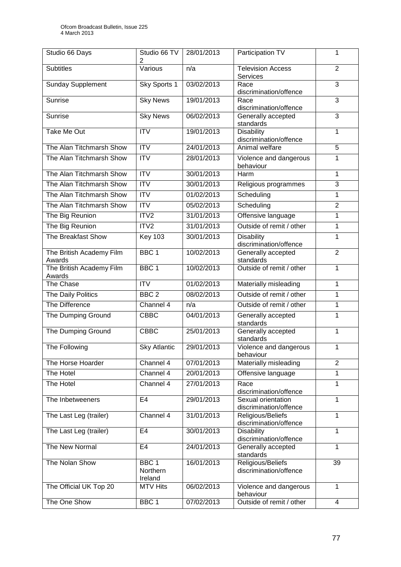| Studio 66 Days                     | Studio 66 TV<br>2                       | 28/01/2013 | Participation TV                                  | 1              |
|------------------------------------|-----------------------------------------|------------|---------------------------------------------------|----------------|
| <b>Subtitles</b>                   | Various                                 | n/a        | <b>Television Access</b><br><b>Services</b>       | $\overline{2}$ |
| <b>Sunday Supplement</b>           | Sky Sports 1                            | 03/02/2013 | Race<br>discrimination/offence                    | 3              |
| Sunrise                            | <b>Sky News</b>                         | 19/01/2013 | Race<br>discrimination/offence                    | 3              |
| Sunrise                            | <b>Sky News</b>                         | 06/02/2013 | Generally accepted<br>standards                   | $\overline{3}$ |
| Take Me Out                        | $\overline{\text{IV}}$                  | 19/01/2013 | <b>Disability</b><br>discrimination/offence       | 1              |
| The Alan Titchmarsh Show           | ITV                                     | 24/01/2013 | Animal welfare                                    | $\overline{5}$ |
| The Alan Titchmarsh Show           | <b>ITV</b>                              | 28/01/2013 | Violence and dangerous<br>behaviour               |                |
| The Alan Titchmarsh Show           | $\overline{IV}$                         | 30/01/2013 | Harm                                              | 1              |
| The Alan Titchmarsh Show           | <b>ITV</b>                              | 30/01/2013 | Religious programmes                              | 3              |
| The Alan Titchmarsh Show           | ITV                                     | 01/02/2013 | Scheduling                                        | 1              |
| The Alan Titchmarsh Show           | <b>ITV</b>                              | 05/02/2013 | Scheduling                                        | $\overline{2}$ |
| The Big Reunion                    | ITV2                                    | 31/01/2013 | Offensive language                                | $\mathbf 1$    |
| The Big Reunion                    | ITV2                                    | 31/01/2013 | Outside of remit / other                          | 1              |
| The Breakfast Show                 | <b>Key 103</b>                          | 30/01/2013 | <b>Disability</b><br>discrimination/offence       |                |
| The British Academy Film<br>Awards | BBC <sub>1</sub>                        | 10/02/2013 | Generally accepted<br>$\overline{2}$<br>standards |                |
| The British Academy Film<br>Awards | BBC <sub>1</sub>                        | 10/02/2013 | Outside of remit / other                          | $\mathbf{1}$   |
| The Chase                          | <b>ITV</b>                              | 01/02/2013 | Materially misleading                             | 1              |
| The Daily Politics                 | BBC <sub>2</sub>                        | 08/02/2013 | Outside of remit / other                          | 1              |
| The Difference                     | Channel 4                               | n/a        | Outside of remit / other                          | 1              |
| The Dumping Ground                 | <b>CBBC</b>                             | 04/01/2013 | Generally accepted<br>standards                   | 1              |
| The Dumping Ground                 | <b>CBBC</b>                             | 25/01/2013 | Generally accepted<br>1<br>standards              |                |
| The Following                      | <b>Sky Atlantic</b>                     | 29/01/2013 | 1<br>Violence and dangerous<br>behaviour          |                |
| The Horse Hoarder                  | Channel 4                               | 07/01/2013 | Materially misleading                             | $\overline{2}$ |
| The Hotel                          | Channel 4                               | 20/01/2013 | Offensive language                                | 1              |
| The Hotel                          | Channel 4                               | 27/01/2013 | Race<br>discrimination/offence                    | 1              |
| The Inbetweeners                   | E <sub>4</sub>                          | 29/01/2013 | Sexual orientation<br>discrimination/offence      | 1              |
| The Last Leg (trailer)             | Channel 4                               | 31/01/2013 | 1<br>Religious/Beliefs<br>discrimination/offence  |                |
| The Last Leg (trailer)             | E <sub>4</sub>                          | 30/01/2013 | <b>Disability</b><br>discrimination/offence       | 1              |
| The New Normal                     | E <sub>4</sub>                          | 24/01/2013 | Generally accepted<br>standards                   | 1              |
| The Nolan Show                     | BBC <sub>1</sub><br>Northern<br>Ireland | 16/01/2013 | Religious/Beliefs<br>39<br>discrimination/offence |                |
| The Official UK Top 20             | <b>MTV Hits</b>                         | 06/02/2013 | Violence and dangerous<br>behaviour               | $\mathbf{1}$   |
| The One Show                       | BBC <sub>1</sub>                        | 07/02/2013 | Outside of remit / other                          | 4              |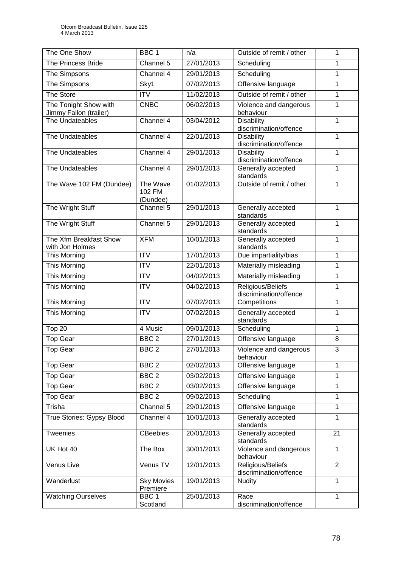| The One Show                                    | BBC <sub>1</sub>               | n/a        | Outside of remit / other                    | 1              |  |
|-------------------------------------------------|--------------------------------|------------|---------------------------------------------|----------------|--|
| The Princess Bride                              | Channel 5                      | 27/01/2013 | Scheduling                                  | 1              |  |
| The Simpsons                                    | Channel 4                      | 29/01/2013 | Scheduling                                  | 1              |  |
| The Simpsons                                    | Sky1                           | 07/02/2013 | Offensive language                          | 1              |  |
| The Store                                       | <b>ITV</b>                     | 11/02/2013 | Outside of remit / other                    | 1              |  |
| The Tonight Show with<br>Jimmy Fallon (trailer) | <b>CNBC</b>                    | 06/02/2013 | Violence and dangerous<br>behaviour         | 1              |  |
| The Undateables                                 | Channel 4                      | 03/04/2012 | <b>Disability</b><br>discrimination/offence | 1              |  |
| The Undateables                                 | Channel 4                      | 22/01/2013 | <b>Disability</b><br>discrimination/offence | 1              |  |
| The Undateables                                 | Channel 4                      | 29/01/2013 | Disability<br>discrimination/offence        | 1              |  |
| The Undateables                                 | Channel 4                      | 29/01/2013 | Generally accepted<br>standards             | 1              |  |
| The Wave 102 FM (Dundee)                        | The Wave<br>102 FM<br>(Dundee) | 01/02/2013 | Outside of remit / other                    | 1              |  |
| The Wright Stuff                                | Channel 5                      | 29/01/2013 | Generally accepted<br>standards             | 1              |  |
| The Wright Stuff                                | Channel 5                      | 29/01/2013 | Generally accepted<br>standards             | 1              |  |
| The Xfm Breakfast Show<br>with Jon Holmes       | <b>XFM</b>                     | 10/01/2013 | Generally accepted<br>standards             | $\mathbf{1}$   |  |
| This Morning                                    | <b>ITV</b>                     | 17/01/2013 | Due impartiality/bias                       | 1              |  |
| This Morning                                    | $\overline{IV}$                | 22/01/2013 | Materially misleading                       | 1              |  |
| This Morning                                    | <b>ITV</b>                     | 04/02/2013 | Materially misleading                       | 1              |  |
| This Morning                                    | <b>ITV</b>                     | 04/02/2013 | Religious/Beliefs<br>discrimination/offence | 1              |  |
| This Morning                                    | <b>ITV</b>                     | 07/02/2013 | Competitions                                | 1              |  |
| This Morning                                    | <b>ITV</b>                     | 07/02/2013 | Generally accepted<br>standards             | 1              |  |
| Top 20                                          | 4 Music                        | 09/01/2013 | Scheduling                                  | 1              |  |
| <b>Top Gear</b>                                 | BBC <sub>2</sub>               | 27/01/2013 | Offensive language                          | 8              |  |
| <b>Top Gear</b>                                 | BBC <sub>2</sub>               | 27/01/2013 | Violence and dangerous<br>behaviour         | $\overline{3}$ |  |
| <b>Top Gear</b>                                 | BBC <sub>2</sub>               | 02/02/2013 | Offensive language                          | 1              |  |
| <b>Top Gear</b>                                 | BBC <sub>2</sub>               | 03/02/2013 | Offensive language                          | 1              |  |
| <b>Top Gear</b>                                 | BBC <sub>2</sub>               | 03/02/2013 | Offensive language                          | 1              |  |
| <b>Top Gear</b>                                 | BBC <sub>2</sub>               | 09/02/2013 | Scheduling                                  | 1              |  |
| Trisha                                          | Channel 5                      | 29/01/2013 | Offensive language                          | 1              |  |
| True Stories: Gypsy Blood                       | Channel 4                      | 10/01/2013 | Generally accepted<br>standards             | 1              |  |
| Tweenies                                        | <b>CBeebies</b>                | 20/01/2013 | Generally accepted<br>standards             | 21             |  |
| UK Hot 40                                       | The Box                        | 30/01/2013 | Violence and dangerous<br>behaviour         | 1              |  |
| Venus Live                                      | Venus TV                       | 12/01/2013 | Religious/Beliefs<br>discrimination/offence | $\overline{2}$ |  |
| Wanderlust                                      | <b>Sky Movies</b><br>Premiere  | 19/01/2013 | <b>Nudity</b>                               | $\mathbf{1}$   |  |
| <b>Watching Ourselves</b>                       | BBC <sub>1</sub><br>Scotland   | 25/01/2013 | Race<br>discrimination/offence              | 1              |  |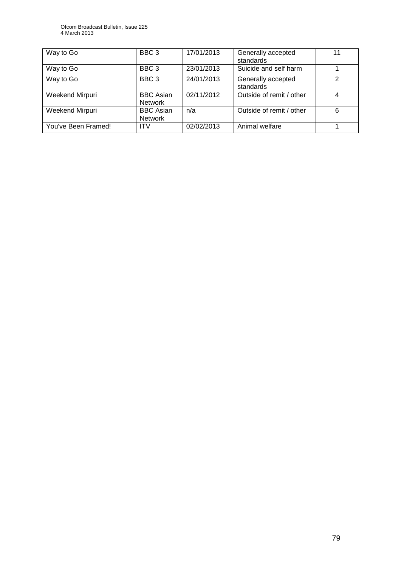| Way to Go           | BBC <sub>3</sub>                   | 17/01/2013 | Generally accepted<br>standards | 11 |
|---------------------|------------------------------------|------------|---------------------------------|----|
| Way to Go           | BBC <sub>3</sub>                   | 23/01/2013 | Suicide and self harm           |    |
| Way to Go           | BBC <sub>3</sub>                   | 24/01/2013 | Generally accepted<br>standards | っ  |
| Weekend Mirpuri     | <b>BBC</b> Asian<br><b>Network</b> | 02/11/2012 | Outside of remit / other        |    |
| Weekend Mirpuri     | <b>BBC Asian</b><br><b>Network</b> | n/a        | Outside of remit / other        | 6  |
| You've Been Framed! | <b>ITV</b>                         | 02/02/2013 | Animal welfare                  |    |